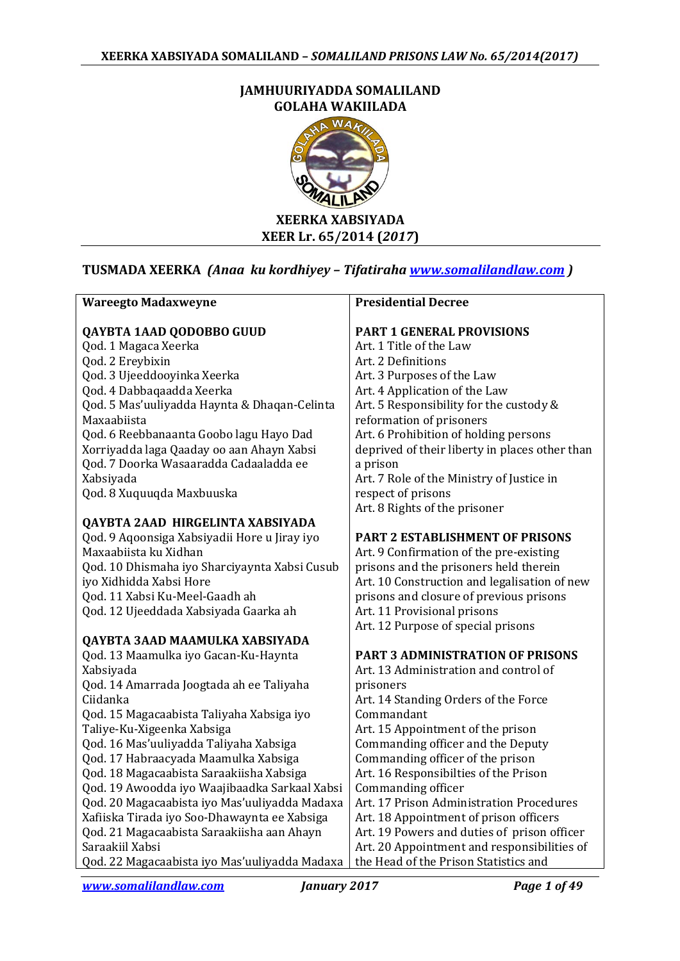#### **JAMHUURIYADDA SOMALILAND GOLAHA WAKIILADA**



# **TUSMADA XEERKA** *(Anaa ku kordhiyey – Tifatiraha [www.somalilandlaw.com](http://www.somalilandlaw.com/) )*

| <b>Wareegto Madaxweyne</b>                    | <b>Presidential Decree</b>                     |
|-----------------------------------------------|------------------------------------------------|
| QAYBTA 1AAD QODOBBO GUUD                      | <b>PART 1 GENERAL PROVISIONS</b>               |
| Qod. 1 Magaca Xeerka                          | Art. 1 Title of the Law                        |
| Qod. 2 Ereybixin                              | Art. 2 Definitions                             |
| Qod. 3 Ujeeddooyinka Xeerka                   | Art. 3 Purposes of the Law                     |
| Qod. 4 Dabbaqaadda Xeerka                     | Art. 4 Application of the Law                  |
| Qod. 5 Mas'uuliyadda Haynta & Dhaqan-Celinta  | Art. 5 Responsibility for the custody &        |
| Maxaabiista                                   | reformation of prisoners                       |
| Qod. 6 Reebbanaanta Goobo lagu Hayo Dad       | Art. 6 Prohibition of holding persons          |
| Xorriyadda laga Qaaday oo aan Ahayn Xabsi     | deprived of their liberty in places other than |
| Qod. 7 Doorka Wasaaradda Cadaaladda ee        | a prison                                       |
| Xabsiyada                                     | Art. 7 Role of the Ministry of Justice in      |
| Qod. 8 Xuquuqda Maxbuuska                     | respect of prisons                             |
|                                               | Art. 8 Rights of the prisoner                  |
| QAYBTA 2AAD HIRGELINTA XABSIYADA              |                                                |
| Qod. 9 Aqoonsiga Xabsiyadii Hore u Jiray iyo  | <b>PART 2 ESTABLISHMENT OF PRISONS</b>         |
| Maxaabiista ku Xidhan                         | Art. 9 Confirmation of the pre-existing        |
| Qod. 10 Dhismaha iyo Sharciyaynta Xabsi Cusub | prisons and the prisoners held therein         |
| iyo Xidhidda Xabsi Hore                       | Art. 10 Construction and legalisation of new   |
| Qod. 11 Xabsi Ku-Meel-Gaadh ah                | prisons and closure of previous prisons        |
| Qod. 12 Ujeeddada Xabsiyada Gaarka ah         | Art. 11 Provisional prisons                    |
|                                               | Art. 12 Purpose of special prisons             |
| QAYBTA 3AAD MAAMULKA XABSIYADA                |                                                |
| Qod. 13 Maamulka iyo Gacan-Ku-Haynta          | <b>PART 3 ADMINISTRATION OF PRISONS</b>        |
| Xabsiyada                                     | Art. 13 Administration and control of          |
| Qod. 14 Amarrada Joogtada ah ee Taliyaha      | prisoners                                      |
| Ciidanka                                      | Art. 14 Standing Orders of the Force           |
| Qod. 15 Magacaabista Taliyaha Xabsiga iyo     | Commandant                                     |
| Taliye-Ku-Xigeenka Xabsiga                    | Art. 15 Appointment of the prison              |
| Qod. 16 Mas'uuliyadda Taliyaha Xabsiga        | Commanding officer and the Deputy              |
| Qod. 17 Habraacyada Maamulka Xabsiga          | Commanding officer of the prison               |
| Qod. 18 Magacaabista Saraakiisha Xabsiga      | Art. 16 Responsibilties of the Prison          |
| Qod. 19 Awoodda iyo Waajibaadka Sarkaal Xabsi | Commanding officer                             |
| Qod. 20 Magacaabista iyo Mas'uuliyadda Madaxa | Art. 17 Prison Administration Procedures       |
| Xafiiska Tirada iyo Soo-Dhawaynta ee Xabsiga  | Art. 18 Appointment of prison officers         |
| Qod. 21 Magacaabista Saraakiisha aan Ahayn    | Art. 19 Powers and duties of prison officer    |
| Saraakiil Xabsi                               | Art. 20 Appointment and responsibilities of    |
| Qod. 22 Magacaabista iyo Mas'uuliyadda Madaxa | the Head of the Prison Statistics and          |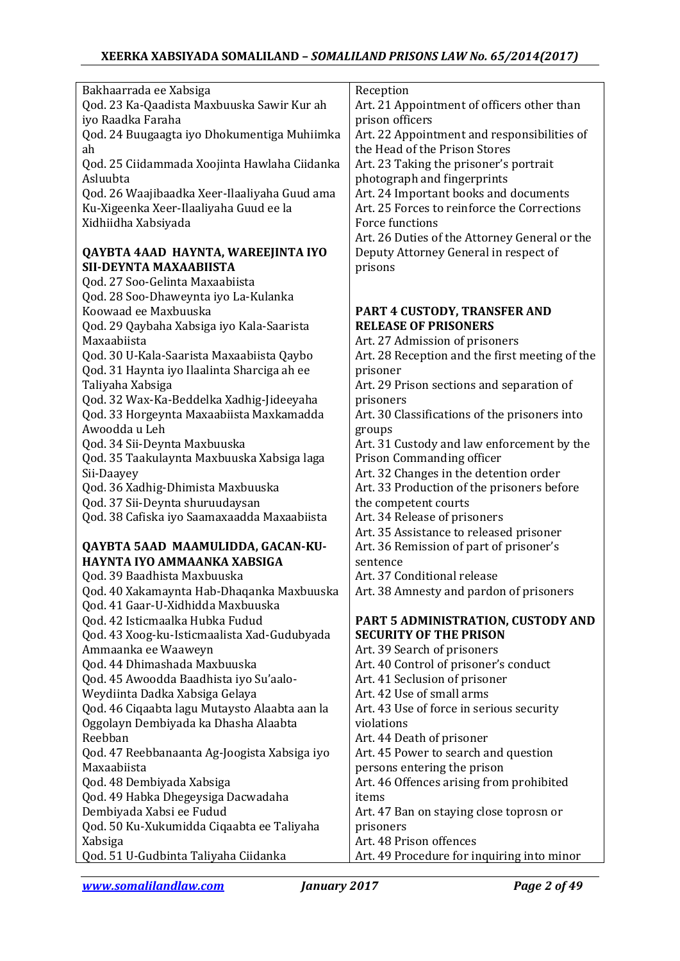| Bakhaarrada ee Xabsiga                                                                 | Reception                                                                            |
|----------------------------------------------------------------------------------------|--------------------------------------------------------------------------------------|
| Qod. 23 Ka-Qaadista Maxbuuska Sawir Kur ah                                             | Art. 21 Appointment of officers other than                                           |
| iyo Raadka Faraha                                                                      | prison officers                                                                      |
| Qod. 24 Buugaagta iyo Dhokumentiga Muhiimka                                            | Art. 22 Appointment and responsibilities of                                          |
| ah                                                                                     | the Head of the Prison Stores                                                        |
| Qod. 25 Ciidammada Xoojinta Hawlaha Ciidanka<br>Asluubta                               | Art. 23 Taking the prisoner's portrait                                               |
|                                                                                        | photograph and fingerprints                                                          |
| Qod. 26 Waajibaadka Xeer-Ilaaliyaha Guud ama<br>Ku-Xigeenka Xeer-Ilaaliyaha Guud ee la | Art. 24 Important books and documents<br>Art. 25 Forces to reinforce the Corrections |
| Xidhiidha Xabsiyada                                                                    | Force functions                                                                      |
|                                                                                        | Art. 26 Duties of the Attorney General or the                                        |
| QAYBTA 4AAD HAYNTA, WAREEJINTA IYO                                                     | Deputy Attorney General in respect of                                                |
| SII-DEYNTA MAXAABIISTA                                                                 | prisons                                                                              |
| Qod. 27 Soo-Gelinta Maxaabiista                                                        |                                                                                      |
| Qod. 28 Soo-Dhaweynta iyo La-Kulanka                                                   |                                                                                      |
| Koowaad ee Maxbuuska                                                                   | PART 4 CUSTODY, TRANSFER AND                                                         |
| Qod. 29 Qaybaha Xabsiga iyo Kala-Saarista                                              | <b>RELEASE OF PRISONERS</b>                                                          |
| Maxaabiista                                                                            | Art. 27 Admission of prisoners                                                       |
| Qod. 30 U-Kala-Saarista Maxaabiista Qaybo                                              | Art. 28 Reception and the first meeting of the                                       |
| Qod. 31 Haynta iyo Ilaalinta Sharciga ah ee                                            | prisoner                                                                             |
| Taliyaha Xabsiga                                                                       | Art. 29 Prison sections and separation of                                            |
| Qod. 32 Wax-Ka-Beddelka Xadhig-Jideeyaha                                               | prisoners                                                                            |
| Qod. 33 Horgeynta Maxaabiista Maxkamadda                                               | Art. 30 Classifications of the prisoners into                                        |
| Awoodda u Leh                                                                          | groups                                                                               |
| Qod. 34 Sii-Deynta Maxbuuska                                                           | Art. 31 Custody and law enforcement by the                                           |
| Qod. 35 Taakulaynta Maxbuuska Xabsiga laga                                             | Prison Commanding officer                                                            |
| Sii-Daayey                                                                             | Art. 32 Changes in the detention order                                               |
| Qod. 36 Xadhig-Dhimista Maxbuuska                                                      | Art. 33 Production of the prisoners before                                           |
| Qod. 37 Sii-Deynta shuruudaysan                                                        | the competent courts                                                                 |
| Qod. 38 Cafiska iyo Saamaxaadda Maxaabiista                                            | Art. 34 Release of prisoners                                                         |
|                                                                                        | Art. 35 Assistance to released prisoner                                              |
| QAYBTA 5AAD MAAMULIDDA, GACAN-KU-<br>HAYNTA IYO AMMAANKA XABSIGA                       | Art. 36 Remission of part of prisoner's                                              |
| Qod. 39 Baadhista Maxbuuska                                                            | sentence<br>Art. 37 Conditional release                                              |
| Qod. 40 Xakamaynta Hab-Dhaqanka Maxbuuska                                              | Art. 38 Amnesty and pardon of prisoners                                              |
| Qod. 41 Gaar-U-Xidhidda Maxbuuska                                                      |                                                                                      |
| Qod. 42 Isticmaalka Hubka Fudud                                                        | PART 5 ADMINISTRATION, CUSTODY AND                                                   |
| Qod. 43 Xoog-ku-Isticmaalista Xad-Gudubyada                                            | <b>SECURITY OF THE PRISON</b>                                                        |
| Ammaanka ee Waaweyn                                                                    | Art. 39 Search of prisoners                                                          |
| Qod. 44 Dhimashada Maxbuuska                                                           | Art. 40 Control of prisoner's conduct                                                |
| Qod. 45 Awoodda Baadhista iyo Su'aalo-                                                 | Art. 41 Seclusion of prisoner                                                        |
| Weydiinta Dadka Xabsiga Gelaya                                                         | Art. 42 Use of small arms                                                            |
| Qod. 46 Ciqaabta lagu Mutaysto Alaabta aan la                                          | Art. 43 Use of force in serious security                                             |
| Oggolayn Dembiyada ka Dhasha Alaabta                                                   | violations                                                                           |
| Reebban                                                                                | Art. 44 Death of prisoner                                                            |
| Qod. 47 Reebbanaanta Ag-Joogista Xabsiga iyo                                           | Art. 45 Power to search and question                                                 |
| Maxaabiista                                                                            | persons entering the prison                                                          |
| Qod. 48 Dembiyada Xabsiga                                                              | Art. 46 Offences arising from prohibited                                             |
| Qod. 49 Habka Dhegeysiga Dacwadaha                                                     | items                                                                                |
| Dembiyada Xabsi ee Fudud                                                               | Art. 47 Ban on staying close toprosn or                                              |
| Qod. 50 Ku-Xukumidda Ciqaabta ee Taliyaha                                              | prisoners                                                                            |
| Xabsiga                                                                                | Art. 48 Prison offences                                                              |
| Qod. 51 U-Gudbinta Taliyaha Ciidanka                                                   | Art. 49 Procedure for inquiring into minor                                           |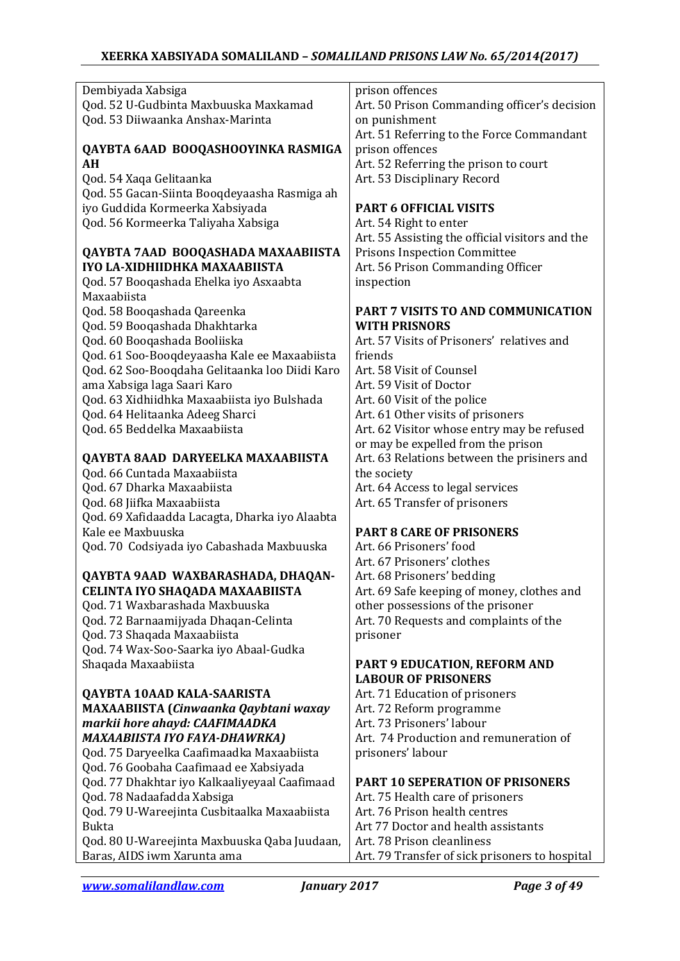### **XEERKA XABSIYADA SOMALILAND –** *SOMALILAND PRISONS LAW No. 65/2014(2017)*

| Dembiyada Xabsiga                              | prison offences                                 |
|------------------------------------------------|-------------------------------------------------|
| Qod. 52 U-Gudbinta Maxbuuska Maxkamad          | Art. 50 Prison Commanding officer's decision    |
| Qod. 53 Diiwaanka Anshax-Marinta               | on punishment                                   |
|                                                | Art. 51 Referring to the Force Commandant       |
| QAYBTA 6AAD BOOQASHOOYINKA RASMIGA             | prison offences                                 |
| AH                                             | Art. 52 Referring the prison to court           |
| Qod. 54 Xaqa Gelitaanka                        | Art. 53 Disciplinary Record                     |
| Qod. 55 Gacan-Siinta Booqdeyaasha Rasmiga ah   |                                                 |
| iyo Guddida Kormeerka Xabsiyada                | <b>PART 6 OFFICIAL VISITS</b>                   |
| Qod. 56 Kormeerka Taliyaha Xabsiga             | Art. 54 Right to enter                          |
|                                                | Art. 55 Assisting the official visitors and the |
| QAYBTA 7AAD BOOQASHADA MAXAABIISTA             | <b>Prisons Inspection Committee</b>             |
| IYO LA-XIDHIIDHKA MAXAABIISTA                  | Art. 56 Prison Commanding Officer               |
| Qod. 57 Booqashada Ehelka iyo Asxaabta         | inspection                                      |
| Maxaabiista                                    |                                                 |
| Qod. 58 Booqashada Qareenka                    | PART 7 VISITS TO AND COMMUNICATION              |
| Qod. 59 Booqashada Dhakhtarka                  | <b>WITH PRISNORS</b>                            |
| Qod. 60 Booqashada Booliiska                   | Art. 57 Visits of Prisoners' relatives and      |
| Qod. 61 Soo-Booqdeyaasha Kale ee Maxaabiista   | friends                                         |
| Qod. 62 Soo-Booqdaha Gelitaanka loo Diidi Karo | Art. 58 Visit of Counsel                        |
| ama Xabsiga laga Saari Karo                    | Art. 59 Visit of Doctor                         |
| Qod. 63 Xidhiidhka Maxaabiista iyo Bulshada    | Art. 60 Visit of the police                     |
| Qod. 64 Helitaanka Adeeg Sharci                | Art. 61 Other visits of prisoners               |
| Qod. 65 Beddelka Maxaabiista                   | Art. 62 Visitor whose entry may be refused      |
|                                                | or may be expelled from the prison              |
| QAYBTA 8AAD DARYEELKA MAXAABIISTA              | Art. 63 Relations between the prisiners and     |
| Qod. 66 Cuntada Maxaabiista                    | the society                                     |
| Qod. 67 Dharka Maxaabiista                     | Art. 64 Access to legal services                |
| Qod. 68 Jiifka Maxaabiista                     | Art. 65 Transfer of prisoners                   |
| Qod. 69 Xafidaadda Lacagta, Dharka iyo Alaabta |                                                 |
| Kale ee Maxbuuska                              | <b>PART 8 CARE OF PRISONERS</b>                 |
|                                                | Art. 66 Prisoners' food                         |
| Qod. 70 Codsiyada iyo Cabashada Maxbuuska      | Art. 67 Prisoners' clothes                      |
|                                                |                                                 |
| QAYBTA 9AAD WAXBARASHADA, DHAQAN-              | Art. 68 Prisoners' bedding                      |
| CELINTA IYO SHAQADA MAXAABIISTA                | Art. 69 Safe keeping of money, clothes and      |
| Qod. 71 Waxbarashada Maxbuuska                 | other possessions of the prisoner               |
| Qod. 72 Barnaamijyada Dhaqan-Celinta           | Art. 70 Requests and complaints of the          |
| Qod. 73 Shaqada Maxaabiista                    | prisoner                                        |
| Qod. 74 Wax-Soo-Saarka iyo Abaal-Gudka         |                                                 |
| Shaqada Maxaabiista                            | PART 9 EDUCATION, REFORM AND                    |
|                                                | <b>LABOUR OF PRISONERS</b>                      |
| QAYBTA 10AAD KALA-SAARISTA                     | Art. 71 Education of prisoners                  |
| MAXAABIISTA (Cinwaanka Qaybtani waxay          | Art. 72 Reform programme                        |
| markii hore ahayd: CAAFIMAADKA                 | Art. 73 Prisoners' labour                       |
| MAXAABIISTA IYO FAYA-DHAWRKA)                  | Art. 74 Production and remuneration of          |
| Qod. 75 Daryeelka Caafimaadka Maxaabiista      | prisoners' labour                               |
| Qod. 76 Goobaha Caafimaad ee Xabsiyada         |                                                 |
| Qod. 77 Dhakhtar iyo Kalkaaliyeyaal Caafimaad  | <b>PART 10 SEPERATION OF PRISONERS</b>          |
| Qod. 78 Nadaafadda Xabsiga                     | Art. 75 Health care of prisoners                |
| Qod. 79 U-Wareejinta Cusbitaalka Maxaabiista   | Art. 76 Prison health centres                   |
| <b>Bukta</b>                                   | Art 77 Doctor and health assistants             |
| Qod. 80 U-Wareejinta Maxbuuska Qaba Juudaan,   | Art. 78 Prison cleanliness                      |
| Baras, AIDS iwm Xarunta ama                    | Art. 79 Transfer of sick prisoners to hospital  |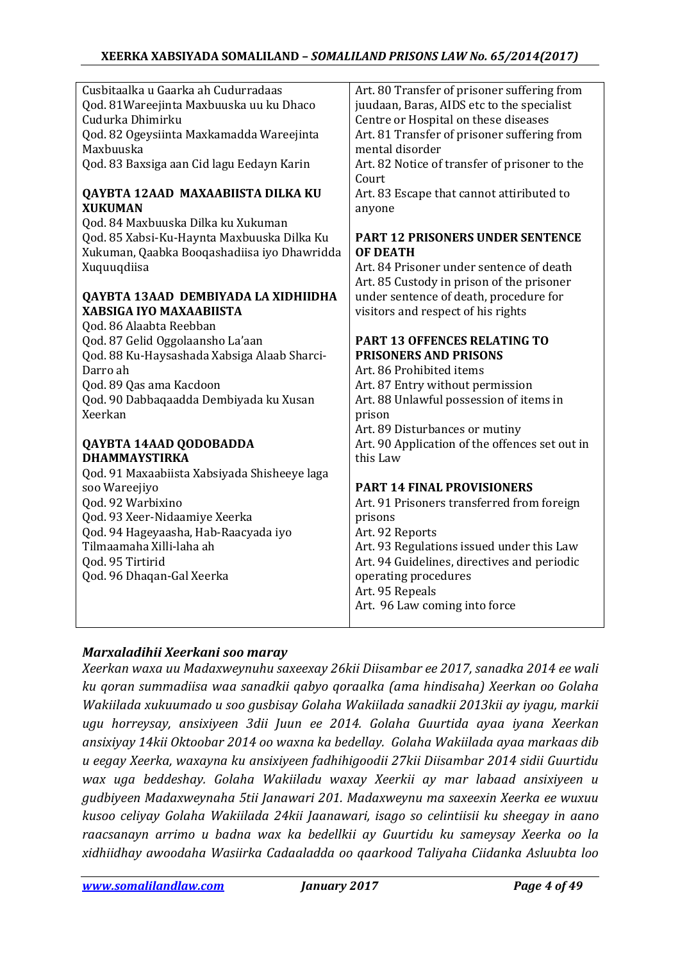| Cusbitaalka u Gaarka ah Cudurradaas          | Art. 80 Transfer of prisoner suffering from    |
|----------------------------------------------|------------------------------------------------|
| Qod. 81 Wareejinta Maxbuuska uu ku Dhaco     | juudaan, Baras, AIDS etc to the specialist     |
| Cudurka Dhimirku                             | Centre or Hospital on these diseases           |
| Qod. 82 Ogeysiinta Maxkamadda Wareejinta     | Art. 81 Transfer of prisoner suffering from    |
| Maxbuuska                                    | mental disorder                                |
| Qod. 83 Baxsiga aan Cid lagu Eedayn Karin    | Art. 82 Notice of transfer of prisoner to the  |
|                                              | Court                                          |
| QAYBTA 12AAD MAXAABIISTA DILKA KU            | Art. 83 Escape that cannot attiributed to      |
| <b>XUKUMAN</b>                               | anyone                                         |
| Qod. 84 Maxbuuska Dilka ku Xukuman           |                                                |
| Qod. 85 Xabsi-Ku-Haynta Maxbuuska Dilka Ku   | <b>PART 12 PRISONERS UNDER SENTENCE</b>        |
| Xukuman, Qaabka Booqashadiisa iyo Dhawridda  | <b>OF DEATH</b>                                |
| Xuquuqdiisa                                  | Art. 84 Prisoner under sentence of death       |
|                                              | Art. 85 Custody in prison of the prisoner      |
| QAYBTA 13AAD DEMBIYADA LA XIDHIIDHA          | under sentence of death, procedure for         |
| <b>XABSIGA IYO MAXAABIISTA</b>               | visitors and respect of his rights             |
| Qod. 86 Alaabta Reebban                      |                                                |
| Qod. 87 Gelid Oggolaansho La'aan             | PART 13 OFFENCES RELATING TO                   |
| Qod. 88 Ku-Haysashada Xabsiga Alaab Sharci-  | <b>PRISONERS AND PRISONS</b>                   |
| Darro ah                                     | Art. 86 Prohibited items                       |
| Qod. 89 Qas ama Kacdoon                      | Art. 87 Entry without permission               |
| Qod. 90 Dabbaqaadda Dembiyada ku Xusan       | Art. 88 Unlawful possession of items in        |
| Xeerkan                                      | prison                                         |
|                                              | Art. 89 Disturbances or mutiny                 |
| QAYBTA 14AAD QODOBADDA                       | Art. 90 Application of the offences set out in |
| <b>DHAMMAYSTIRKA</b>                         | this Law                                       |
| Qod. 91 Maxaabiista Xabsiyada Shisheeye laga |                                                |
| soo Wareejiyo                                | <b>PART 14 FINAL PROVISIONERS</b>              |
| Qod. 92 Warbixino                            | Art. 91 Prisoners transferred from foreign     |
| Qod. 93 Xeer-Nidaamiye Xeerka                | prisons                                        |
| Qod. 94 Hageyaasha, Hab-Raacyada iyo         | Art. 92 Reports                                |
| Tilmaamaha Xilli-laha ah                     | Art. 93 Regulations issued under this Law      |
| Qod. 95 Tirtirid                             | Art. 94 Guidelines, directives and periodic    |
| Qod. 96 Dhaqan-Gal Xeerka                    | operating procedures                           |
|                                              | Art. 95 Repeals                                |
|                                              | Art. 96 Law coming into force                  |
|                                              |                                                |

### *Marxaladihii Xeerkani soo maray*

*Xeerkan waxa uu Madaxweynuhu saxeexay 26kii Diisambar ee 2017, sanadka 2014 ee wali ku qoran summadiisa waa sanadkii qabyo qoraalka (ama hindisaha) Xeerkan oo Golaha Wakiilada xukuumado u soo gusbisay Golaha Wakiilada sanadkii 2013kii ay iyagu, markii ugu horreysay, ansixiyeen 3dii Juun ee 2014. Golaha Guurtida ayaa iyana Xeerkan ansixiyay 14kii Oktoobar 2014 oo waxna ka bedellay. Golaha Wakiilada ayaa markaas dib u eegay Xeerka, waxayna ku ansixiyeen fadhihigoodii 27kii Diisambar 2014 sidii Guurtidu wax uga beddeshay. Golaha Wakiiladu waxay Xeerkii ay mar labaad ansixiyeen u gudbiyeen Madaxweynaha 5tii Janawari 201. Madaxweynu ma saxeexin Xeerka ee wuxuu kusoo celiyay Golaha Wakiilada 24kii Jaanawari, isago so celintiisii ku sheegay in aano raacsanayn arrimo u badna wax ka bedellkii ay Guurtidu ku sameysay Xeerka oo la xidhiidhay awoodaha Wasiirka Cadaaladda oo qaarkood Taliyaha Ciidanka Asluubta loo*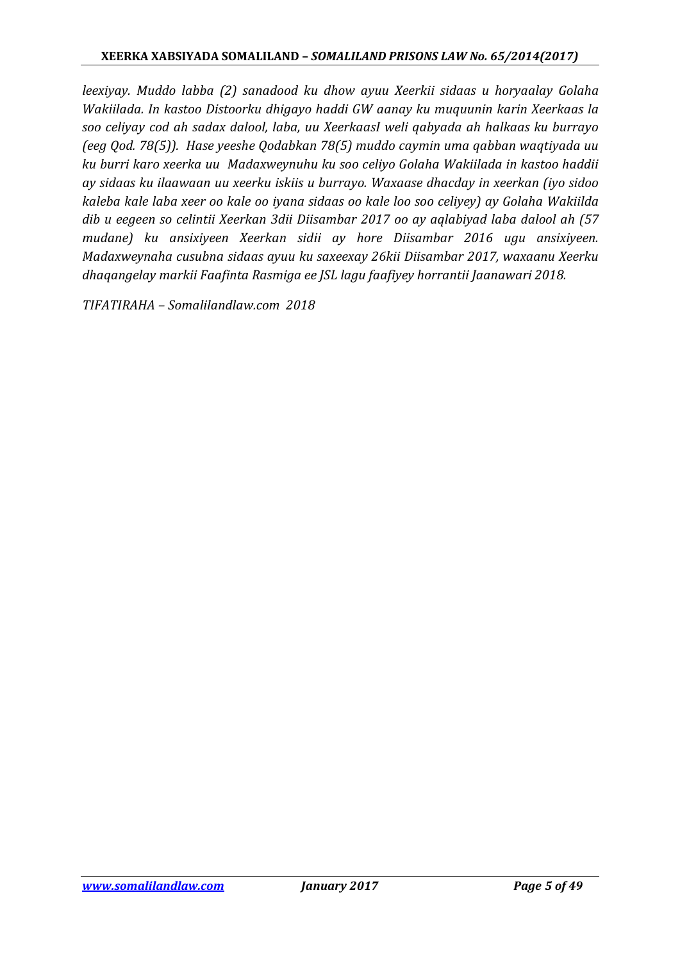*leexiyay. Muddo labba (2) sanadood ku dhow ayuu Xeerkii sidaas u horyaalay Golaha Wakiilada. In kastoo Distoorku dhigayo haddi GW aanay ku muquunin karin Xeerkaas la soo celiyay cod ah sadax dalool, laba, uu XeerkaasI weli qabyada ah halkaas ku burrayo (eeg Qod. 78(5)). Hase yeeshe Qodabkan 78(5) muddo caymin uma qabban waqtiyada uu ku burri karo xeerka uu Madaxweynuhu ku soo celiyo Golaha Wakiilada in kastoo haddii ay sidaas ku ilaawaan uu xeerku iskiis u burrayo. Waxaase dhacday in xeerkan (iyo sidoo kaleba kale laba xeer oo kale oo iyana sidaas oo kale loo soo celiyey) ay Golaha Wakiilda dib u eegeen so celintii Xeerkan 3dii Diisambar 2017 oo ay aqlabiyad laba dalool ah (57 mudane) ku ansixiyeen Xeerkan sidii ay hore Diisambar 2016 ugu ansixiyeen. Madaxweynaha cusubna sidaas ayuu ku saxeexay 26kii Diisambar 2017, waxaanu Xeerku dhaqangelay markii Faafinta Rasmiga ee JSL lagu faafiyey horrantii Jaanawari 2018.*

*TIFATIRAHA – Somalilandlaw.com 2018*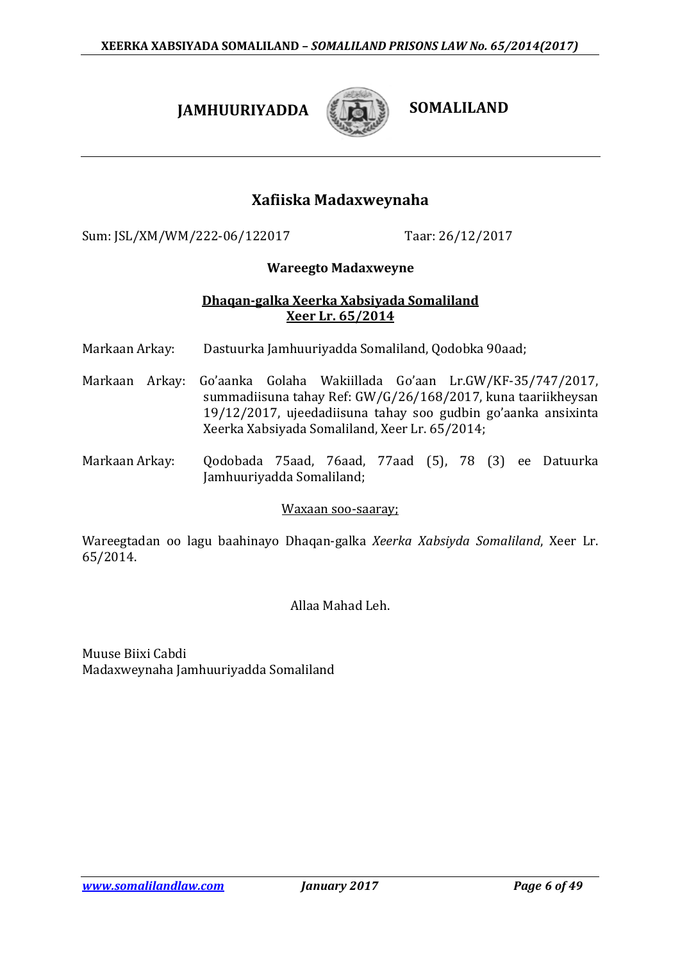# **JAMHUURIYADDA** *SOMALILAND*



# **Xafiiska Madaxweynaha**

Sum: JSL/XM/WM/222-06/122017 Taar: 26/12/2017

### **Wareegto Madaxweyne**

### **Dhaqan-galka Xeerka Xabsiyada Somaliland Xeer Lr. 65/2014**

- Markaan Arkay: Dastuurka Jamhuuriyadda Somaliland, Qodobka 90aad;
- Markaan Arkay: Go'aanka Golaha Wakiillada Go'aan Lr.GW/KF-35/747/2017, summadiisuna tahay Ref: GW/G/26/168/2017, kuna taariikheysan 19/12/2017, ujeedadiisuna tahay soo gudbin go'aanka ansixinta Xeerka Xabsiyada Somaliland, Xeer Lr. 65/2014;
- Markaan Arkay: Qodobada 75aad, 76aad, 77aad (5), 78 (3) ee Datuurka Jamhuuriyadda Somaliland;

### Waxaan soo-saaray;

Wareegtadan oo lagu baahinayo Dhaqan-galka *Xeerka Xabsiyda Somaliland*, Xeer Lr. 65/2014.

### Allaa Mahad Leh.

Muuse Biixi Cabdi Madaxweynaha Jamhuuriyadda Somaliland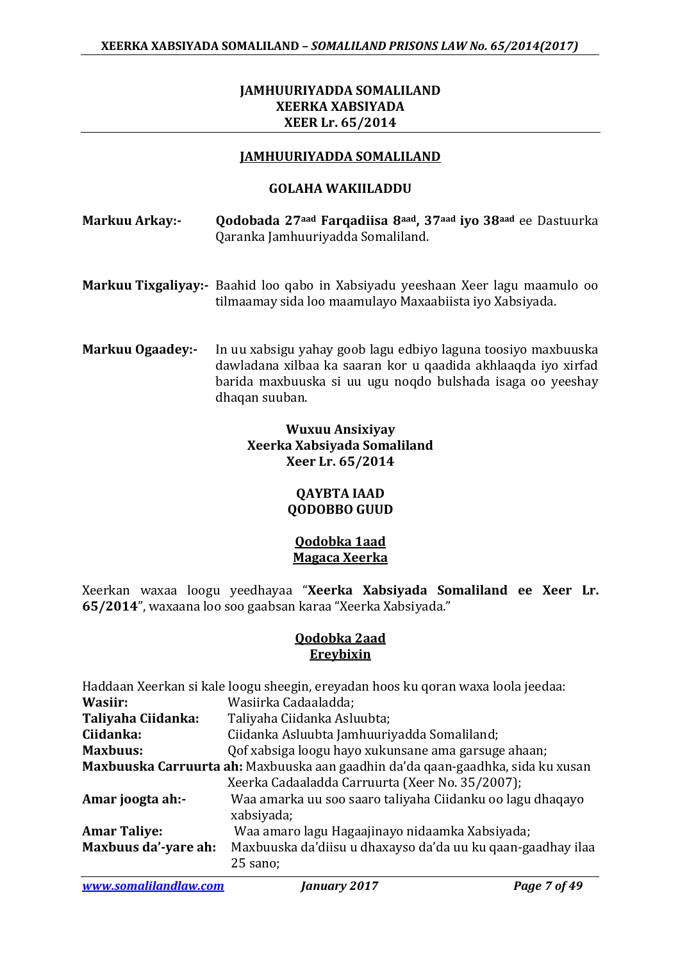### **JAMHUURIYADDA SOMALILAND XEERKA XABSIYADA XEER Lr. 65/2014**

#### **JAMHUURIYADDA SOMALILAND**

#### **GOLAHA WAKIILADDU**

- **Markuu Arkay:- Qodobada 27aad Farqadiisa 8aad, 37aad iyo 38aad** ee Dastuurka Qaranka Jamhuuriyadda Somaliland.
- **Markuu Tixgaliyay:-** Baahid loo qabo in Xabsiyadu yeeshaan Xeer lagu maamulo oo tilmaamay sida loo maamulayo Maxaabiista iyo Xabsiyada.
- **Markuu Ogaadey:-** In uu xabsigu yahay goob lagu edbiyo laguna toosiyo maxbuuska dawladana xilbaa ka saaran kor u qaadida akhlaaqda iyo xirfad barida maxbuuska si uu ugu noqdo bulshada isaga oo yeeshay dhaqan suuban.

### **Wuxuu Ansixiyay Xeerka Xabsiyada Somaliland Xeer Lr. 65/2014**

### **QAYBTA IAAD QODOBBO GUUD**

#### **Qodobka 1aad Magaca Xeerka**

Xeerkan waxaa loogu yeedhayaa "**Xeerka Xabsiyada Somaliland ee Xeer Lr. 65/2014**", waxaana loo soo gaabsan karaa "Xeerka Xabsiyada."

#### **Qodobka 2aad Ereybixin**

|                                                                                 | Haddaan Xeerkan si kale loogu sheegin, ereyadan hoos ku qoran waxa loola jeedaa: |
|---------------------------------------------------------------------------------|----------------------------------------------------------------------------------|
| Wasiir:                                                                         | Wasiirka Cadaaladda;                                                             |
| Taliyaha Ciidanka:                                                              | Taliyaha Ciidanka Asluubta;                                                      |
| Ciidanka:                                                                       | Ciidanka Asluubta Jamhuuriyadda Somaliland;                                      |
| <b>Maxbuus:</b>                                                                 | Qof xabsiga loogu hayo xukunsane ama garsuge ahaan;                              |
| Maxbuuska Carruurta ah: Maxbuuska aan gaadhin da'da qaan-gaadhka, sida ku xusan |                                                                                  |
|                                                                                 | Xeerka Cadaaladda Carruurta (Xeer No. 35/2007);                                  |
| Amar joogta ah:-                                                                | Waa amarka uu soo saaro taliyaha Ciidanku oo lagu dhaqayo<br>xabsiyada;          |
| <b>Amar Taliye:</b>                                                             | Waa amaro lagu Hagaajinayo nidaamka Xabsiyada;                                   |
| Maxbuus da'-yare ah:                                                            | Maxbuuska da'diisu u dhaxayso da'da uu ku qaan-gaadhay ilaa<br>25 sano;          |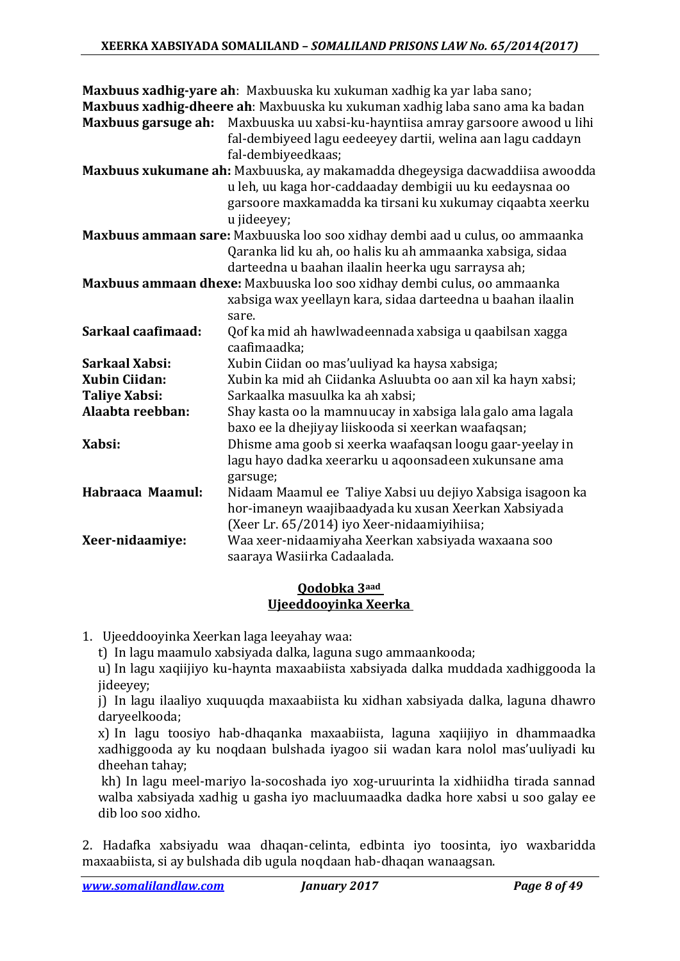| Maxbuus garsuge ah:   | Maxbuus xadhig-yare ah: Maxbuuska ku xukuman xadhig ka yar laba sano;<br>Maxbuus xadhig-dheere ah: Maxbuuska ku xukuman xadhig laba sano ama ka badan<br>Maxbuuska uu xabsi-ku-hayntiisa amray garsoore awood u lihi<br>fal-dembiyeed lagu eedeeyey dartii, welina aan lagu caddayn<br>fal-dembiyeedkaas; |
|-----------------------|-----------------------------------------------------------------------------------------------------------------------------------------------------------------------------------------------------------------------------------------------------------------------------------------------------------|
|                       | Maxbuus xukumane ah: Maxbuuska, ay makamadda dhegeysiga dacwaddiisa awoodda<br>u leh, uu kaga hor-caddaaday dembigii uu ku eedaysnaa oo<br>garsoore maxkamadda ka tirsani ku xukumay ciqaabta xeerku                                                                                                      |
|                       | u jideeyey;<br>Maxbuus ammaan sare: Maxbuuska loo soo xidhay dembi aad u culus, oo ammaanka<br>Qaranka lid ku ah, oo halis ku ah ammaanka xabsiga, sidaa                                                                                                                                                  |
|                       | darteedna u baahan ilaalin heerka ugu sarraysa ah;<br>Maxbuus ammaan dhexe: Maxbuuska loo soo xidhay dembi culus, oo ammaanka<br>xabsiga wax yeellayn kara, sidaa darteedna u baahan ilaalin                                                                                                              |
| Sarkaal caafimaad:    | sare.<br>Qof ka mid ah hawlwadeennada xabsiga u qaabilsan xagga<br>caafimaadka;                                                                                                                                                                                                                           |
| <b>Sarkaal Xabsi:</b> | Xubin Ciidan oo mas'uuliyad ka haysa xabsiga;                                                                                                                                                                                                                                                             |
| <b>Xubin Ciidan:</b>  | Xubin ka mid ah Ciidanka Asluubta oo aan xil ka hayn xabsi;                                                                                                                                                                                                                                               |
| <b>Taliye Xabsi:</b>  | Sarkaalka masuulka ka ah xabsi;                                                                                                                                                                                                                                                                           |
| Alaabta reebban:      | Shay kasta oo la mamnuucay in xabsiga lala galo ama lagala<br>baxo ee la dhejiyay liiskooda si xeerkan waafaqsan;                                                                                                                                                                                         |
| Xabsi:                | Dhisme ama goob si xeerka waafaqsan loogu gaar-yeelay in<br>lagu hayo dadka xeerarku u aqoonsadeen xukunsane ama<br>garsuge;                                                                                                                                                                              |
| Habraaca Maamul:      | Nidaam Maamul ee Taliye Xabsi uu dejiyo Xabsiga isagoon ka<br>hor-imaneyn waajibaadyada ku xusan Xeerkan Xabsiyada<br>(Xeer Lr. 65/2014) iyo Xeer-nidaamiyihiisa;                                                                                                                                         |
| Xeer-nidaamiye:       | Waa xeer-nidaamiyaha Xeerkan xabsiyada waxaana soo<br>saaraya Wasiirka Cadaalada.                                                                                                                                                                                                                         |

### **Qodobka 3aad Ujeeddooyinka Xeerka**

1. Ujeeddooyinka Xeerkan laga leeyahay waa:

t) In lagu maamulo xabsiyada dalka, laguna sugo ammaankooda;

u) In lagu xaqiijiyo ku-haynta maxaabiista xabsiyada dalka muddada xadhiggooda la jideeyey;

j) In lagu ilaaliyo xuquuqda maxaabiista ku xidhan xabsiyada dalka, laguna dhawro daryeelkooda;

x) In lagu toosiyo hab-dhaqanka maxaabiista, laguna xaqiijiyo in dhammaadka xadhiggooda ay ku noqdaan bulshada iyagoo sii wadan kara nolol mas'uuliyadi ku dheehan tahay;

kh) In lagu meel-mariyo la-socoshada iyo xog-uruurinta la xidhiidha tirada sannad walba xabsiyada xadhig u gasha iyo macluumaadka dadka hore xabsi u soo galay ee dib loo soo xidho.

2. Hadafka xabsiyadu waa dhaqan-celinta, edbinta iyo toosinta, iyo waxbaridda maxaabiista, si ay bulshada dib ugula noqdaan hab-dhaqan wanaagsan.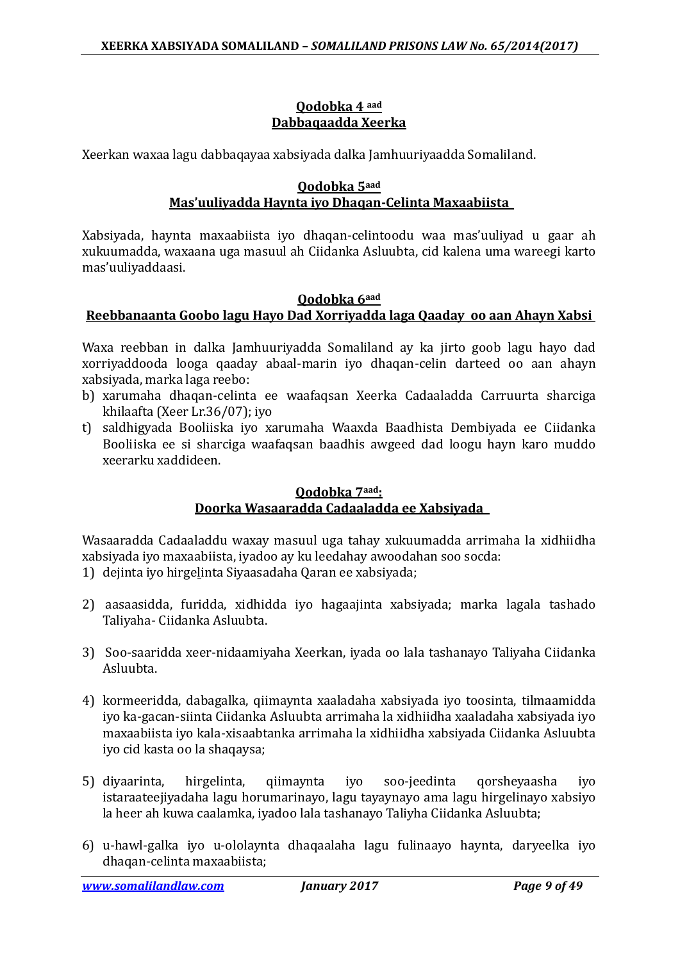### **Qodobka 4 aad Dabbaqaadda Xeerka**

Xeerkan waxaa lagu dabbaqayaa xabsiyada dalka Jamhuuriyaadda Somaliland.

### **Qodobka 5aad Mas'uuliyadda Haynta iyo Dhaqan-Celinta Maxaabiista**

Xabsiyada, haynta maxaabiista iyo dhaqan-celintoodu waa mas'uuliyad u gaar ah xukuumadda, waxaana uga masuul ah Ciidanka Asluubta, cid kalena uma wareegi karto mas'uuliyaddaasi.

### **Qodobka 6aad Reebbanaanta Goobo lagu Hayo Dad Xorriyadda laga Qaaday oo aan Ahayn Xabsi**

Waxa reebban in dalka Jamhuuriyadda Somaliland ay ka jirto goob lagu hayo dad xorriyaddooda looga qaaday abaal-marin iyo dhaqan-celin darteed oo aan ahayn xabsiyada, marka laga reebo:

- b) xarumaha dhaqan-celinta ee waafaqsan Xeerka Cadaaladda Carruurta sharciga khilaafta (Xeer Lr.36/07); iyo
- t) saldhigyada Booliiska iyo xarumaha Waaxda Baadhista Dembiyada ee Ciidanka Booliiska ee si sharciga waafaqsan baadhis awgeed dad loogu hayn karo muddo xeerarku xaddideen.

### **Qodobka 7aad: Doorka Wasaaradda Cadaaladda ee Xabsiyada**

Wasaaradda Cadaaladdu waxay masuul uga tahay xukuumadda arrimaha la xidhiidha xabsiyada iyo maxaabiista, iyadoo ay ku leedahay awoodahan soo socda:

- 1) dejinta iyo hirgelinta Siyaasadaha Qaran ee xabsiyada;
- 2) aasaasidda, furidda, xidhidda iyo hagaajinta xabsiyada; marka lagala tashado Taliyaha- Ciidanka Asluubta.
- 3) Soo-saaridda xeer-nidaamiyaha Xeerkan, iyada oo lala tashanayo Taliyaha Ciidanka Asluubta.
- 4) kormeeridda, dabagalka, qiimaynta xaaladaha xabsiyada iyo toosinta, tilmaamidda iyo ka-gacan-siinta Ciidanka Asluubta arrimaha la xidhiidha xaaladaha xabsiyada iyo maxaabiista iyo kala-xisaabtanka arrimaha la xidhiidha xabsiyada Ciidanka Asluubta iyo cid kasta oo la shaqaysa;
- 5) diyaarinta, hirgelinta, qiimaynta iyo soo-jeedinta qorsheyaasha iyo istaraateejiyadaha lagu horumarinayo, lagu tayaynayo ama lagu hirgelinayo xabsiyo la heer ah kuwa caalamka, iyadoo lala tashanayo Taliyha Ciidanka Asluubta;
- 6) u-hawl-galka iyo u-ololaynta dhaqaalaha lagu fulinaayo haynta, daryeelka iyo dhaqan-celinta maxaabiista;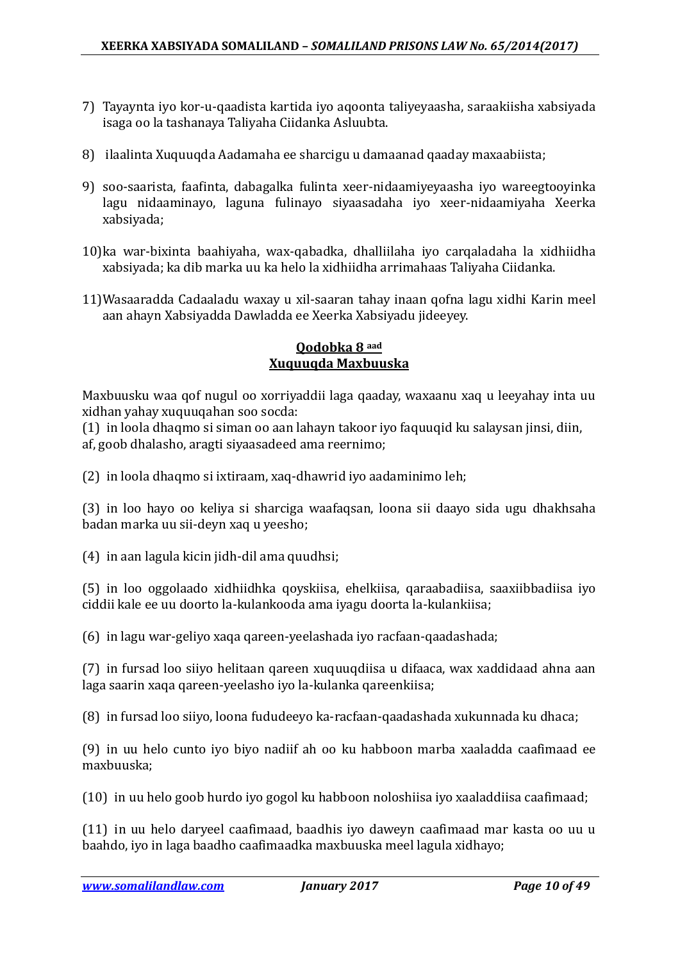- 7) Tayaynta iyo kor-u-qaadista kartida iyo aqoonta taliyeyaasha, saraakiisha xabsiyada isaga oo la tashanaya Taliyaha Ciidanka Asluubta.
- 8) ilaalinta Xuquuqda Aadamaha ee sharcigu u damaanad qaaday maxaabiista;
- 9) soo-saarista, faafinta, dabagalka fulinta xeer-nidaamiyeyaasha iyo wareegtooyinka lagu nidaaminayo, laguna fulinayo siyaasadaha iyo xeer-nidaamiyaha Xeerka xabsiyada;
- 10)ka war-bixinta baahiyaha, wax-qabadka, dhalliilaha iyo carqaladaha la xidhiidha xabsiyada; ka dib marka uu ka helo la xidhiidha arrimahaas Taliyaha Ciidanka.
- 11)Wasaaradda Cadaaladu waxay u xil-saaran tahay inaan qofna lagu xidhi Karin meel aan ahayn Xabsiyadda Dawladda ee Xeerka Xabsiyadu jideeyey.

### **Qodobka 8 aad Xuquuqda Maxbuuska**

Maxbuusku waa qof nugul oo xorriyaddii laga qaaday, waxaanu xaq u leeyahay inta uu xidhan yahay xuquuqahan soo socda:

(1) in loola dhaqmo si siman oo aan lahayn takoor iyo faquuqid ku salaysan jinsi, diin, af, goob dhalasho, aragti siyaasadeed ama reernimo;

(2) in loola dhaqmo si ixtiraam, xaq-dhawrid iyo aadaminimo leh;

(3) in loo hayo oo keliya si sharciga waafaqsan, loona sii daayo sida ugu dhakhsaha badan marka uu sii-deyn xaq u yeesho;

(4) in aan lagula kicin jidh-dil ama quudhsi;

(5) in loo oggolaado xidhiidhka qoyskiisa, ehelkiisa, qaraabadiisa, saaxiibbadiisa iyo ciddii kale ee uu doorto la-kulankooda ama iyagu doorta la-kulankiisa;

(6) in lagu war-geliyo xaqa qareen-yeelashada iyo racfaan-qaadashada;

(7) in fursad loo siiyo helitaan qareen xuquuqdiisa u difaaca, wax xaddidaad ahna aan laga saarin xaqa qareen-yeelasho iyo la-kulanka qareenkiisa;

(8) in fursad loo siiyo, loona fududeeyo ka-racfaan-qaadashada xukunnada ku dhaca;

(9) in uu helo cunto iyo biyo nadiif ah oo ku habboon marba xaaladda caafimaad ee maxbuuska;

(10) in uu helo goob hurdo iyo gogol ku habboon noloshiisa iyo xaaladdiisa caafimaad;

(11) in uu helo daryeel caafimaad, baadhis iyo daweyn caafimaad mar kasta oo uu u baahdo, iyo in laga baadho caafimaadka maxbuuska meel lagula xidhayo;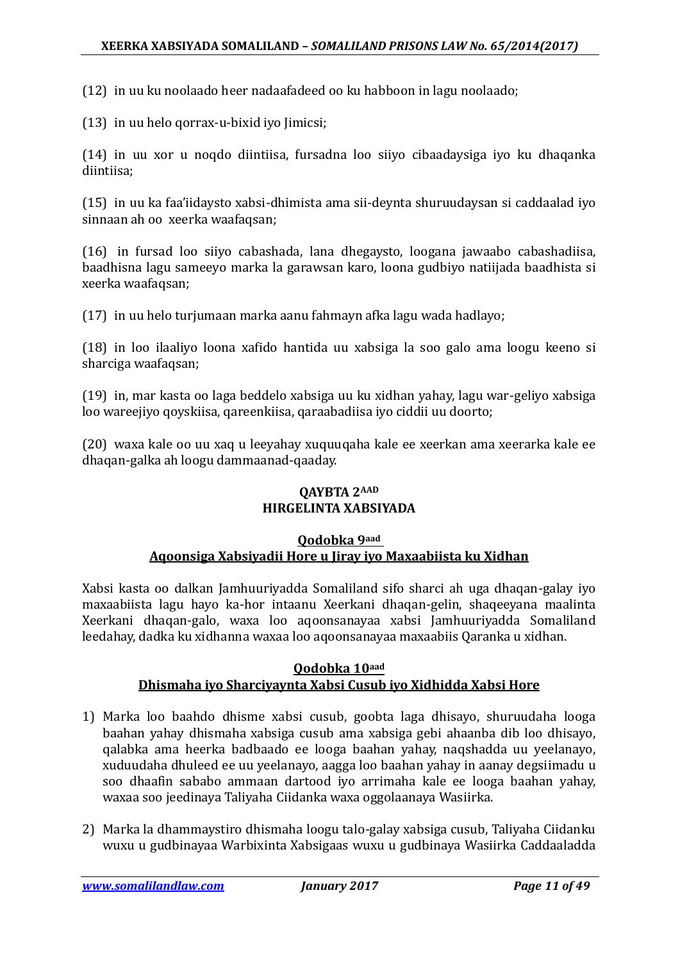(12) in uu ku noolaado heer nadaafadeed oo ku habboon in lagu noolaado;

(13) in uu helo qorrax-u-bixid iyo Jimicsi;

(14) in uu xor u noqdo diintiisa, fursadna loo siiyo cibaadaysiga iyo ku dhaqanka diintiisa;

(15) in uu ka faa'iidaysto xabsi-dhimista ama sii-deynta shuruudaysan si caddaalad iyo sinnaan ah oo xeerka waafaqsan;

(16) in fursad loo siiyo cabashada, lana dhegaysto, loogana jawaabo cabashadiisa, baadhisna lagu sameeyo marka la garawsan karo, loona gudbiyo natiijada baadhista si xeerka waafaqsan;

(17) in uu helo turjumaan marka aanu fahmayn afka lagu wada hadlayo;

(18) in loo ilaaliyo loona xafido hantida uu xabsiga la soo galo ama loogu keeno si sharciga waafaqsan;

(19) in, mar kasta oo laga beddelo xabsiga uu ku xidhan yahay, lagu war-geliyo xabsiga loo wareejiyo qoyskiisa, qareenkiisa, qaraabadiisa iyo ciddii uu doorto;

(20) waxa kale oo uu xaq u leeyahay xuquuqaha kale ee xeerkan ama xeerarka kale ee dhaqan-galka ah loogu dammaanad-qaaday.

### **QAYBTA 2AAD HIRGELINTA XABSIYADA**

#### **Qodobka 9aad Aqoonsiga Xabsiyadii Hore u Jiray iyo Maxaabiista ku Xidhan**

Xabsi kasta oo dalkan Jamhuuriyadda Somaliland sifo sharci ah uga dhaqan-galay iyo maxaabiista lagu hayo ka-hor intaanu Xeerkani dhaqan-gelin, shaqeeyana maalinta Xeerkani dhaqan-galo, waxa loo aqoonsanayaa xabsi Jamhuuriyadda Somaliland leedahay, dadka ku xidhanna waxaa loo aqoonsanayaa maxaabiis Qaranka u xidhan.

### **Qodobka 10aad Dhismaha iyo Sharciyaynta Xabsi Cusub iyo Xidhidda Xabsi Hore**

- 1) Marka loo baahdo dhisme xabsi cusub, goobta laga dhisayo, shuruudaha looga baahan yahay dhismaha xabsiga cusub ama xabsiga gebi ahaanba dib loo dhisayo, qalabka ama heerka badbaado ee looga baahan yahay, naqshadda uu yeelanayo, xuduudaha dhuleed ee uu yeelanayo, aagga loo baahan yahay in aanay degsiimadu u soo dhaafin sababo ammaan dartood iyo arrimaha kale ee looga baahan yahay, waxaa soo jeedinaya Taliyaha Ciidanka waxa oggolaanaya Wasiirka.
- 2) Marka la dhammaystiro dhismaha loogu talo-galay xabsiga cusub, Taliyaha Ciidanku wuxu u gudbinayaa Warbixinta Xabsigaas wuxu u gudbinaya Wasiirka Caddaaladda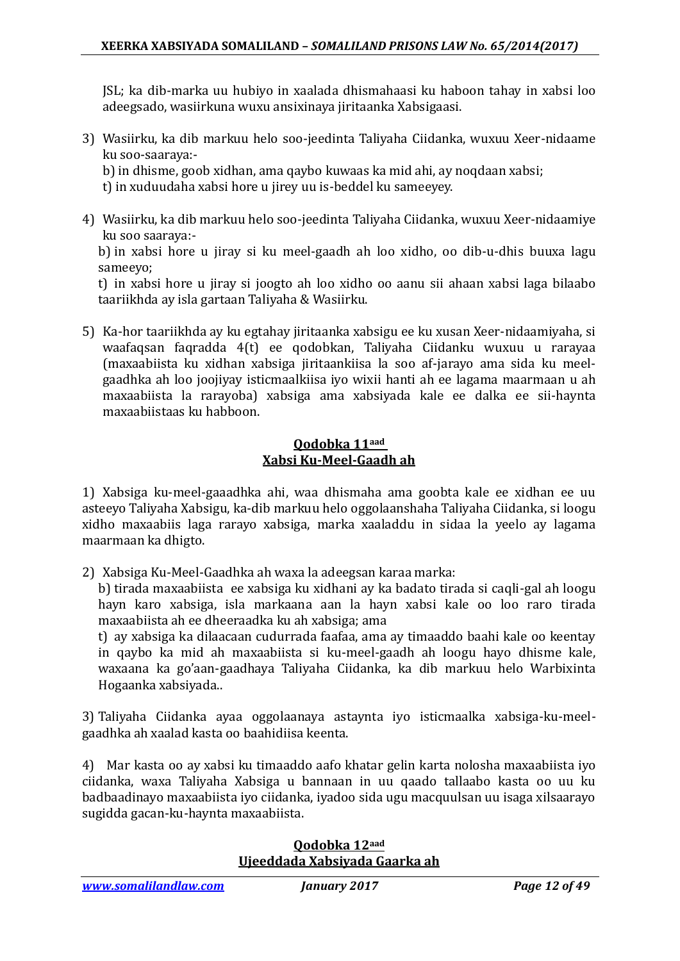JSL; ka dib-marka uu hubiyo in xaalada dhismahaasi ku haboon tahay in xabsi loo adeegsado, wasiirkuna wuxu ansixinaya jiritaanka Xabsigaasi.

3) Wasiirku, ka dib markuu helo soo-jeedinta Taliyaha Ciidanka, wuxuu Xeer-nidaame ku soo-saaraya:-

b) in dhisme, goob xidhan, ama qaybo kuwaas ka mid ahi, ay noqdaan xabsi;

t) in xuduudaha xabsi hore u jirey uu is-beddel ku sameeyey.

4) Wasiirku, ka dib markuu helo soo-jeedinta Taliyaha Ciidanka, wuxuu Xeer-nidaamiye ku soo saaraya:-

b) in xabsi hore u jiray si ku meel-gaadh ah loo xidho, oo dib-u-dhis buuxa lagu sameeyo;

t) in xabsi hore u jiray si joogto ah loo xidho oo aanu sii ahaan xabsi laga bilaabo taariikhda ay isla gartaan Taliyaha & Wasiirku.

5) Ka-hor taariikhda ay ku egtahay jiritaanka xabsigu ee ku xusan Xeer-nidaamiyaha, si waafaqsan faqradda 4(t) ee qodobkan, Taliyaha Ciidanku wuxuu u rarayaa (maxaabiista ku xidhan xabsiga jiritaankiisa la soo af-jarayo ama sida ku meelgaadhka ah loo joojiyay isticmaalkiisa iyo wixii hanti ah ee lagama maarmaan u ah maxaabiista la rarayoba) xabsiga ama xabsiyada kale ee dalka ee sii-haynta maxaabiistaas ku habboon.

### **Qodobka 11aad Xabsi Ku-Meel-Gaadh ah**

1) Xabsiga ku-meel-gaaadhka ahi, waa dhismaha ama goobta kale ee xidhan ee uu asteeyo Taliyaha Xabsigu, ka-dib markuu helo oggolaanshaha Taliyaha Ciidanka, si loogu xidho maxaabiis laga rarayo xabsiga, marka xaaladdu in sidaa la yeelo ay lagama maarmaan ka dhigto.

2) Xabsiga Ku-Meel-Gaadhka ah waxa la adeegsan karaa marka:

b) tirada maxaabiista ee xabsiga ku xidhani ay ka badato tirada si caqli-gal ah loogu hayn karo xabsiga, isla markaana aan la hayn xabsi kale oo loo raro tirada maxaabiista ah ee dheeraadka ku ah xabsiga; ama

t) ay xabsiga ka dilaacaan cudurrada faafaa, ama ay timaaddo baahi kale oo keentay in qaybo ka mid ah maxaabiista si ku-meel-gaadh ah loogu hayo dhisme kale, waxaana ka go'aan-gaadhaya Taliyaha Ciidanka, ka dib markuu helo Warbixinta Hogaanka xabsiyada..

3) Taliyaha Ciidanka ayaa oggolaanaya astaynta iyo isticmaalka xabsiga-ku-meelgaadhka ah xaalad kasta oo baahidiisa keenta.

4) Mar kasta oo ay xabsi ku timaaddo aafo khatar gelin karta nolosha maxaabiista iyo ciidanka, waxa Taliyaha Xabsiga u bannaan in uu qaado tallaabo kasta oo uu ku badbaadinayo maxaabiista iyo ciidanka, iyadoo sida ugu macquulsan uu isaga xilsaarayo sugidda gacan-ku-haynta maxaabiista.

### **Qodobka 12aad Ujeeddada Xabsiyada Gaarka ah**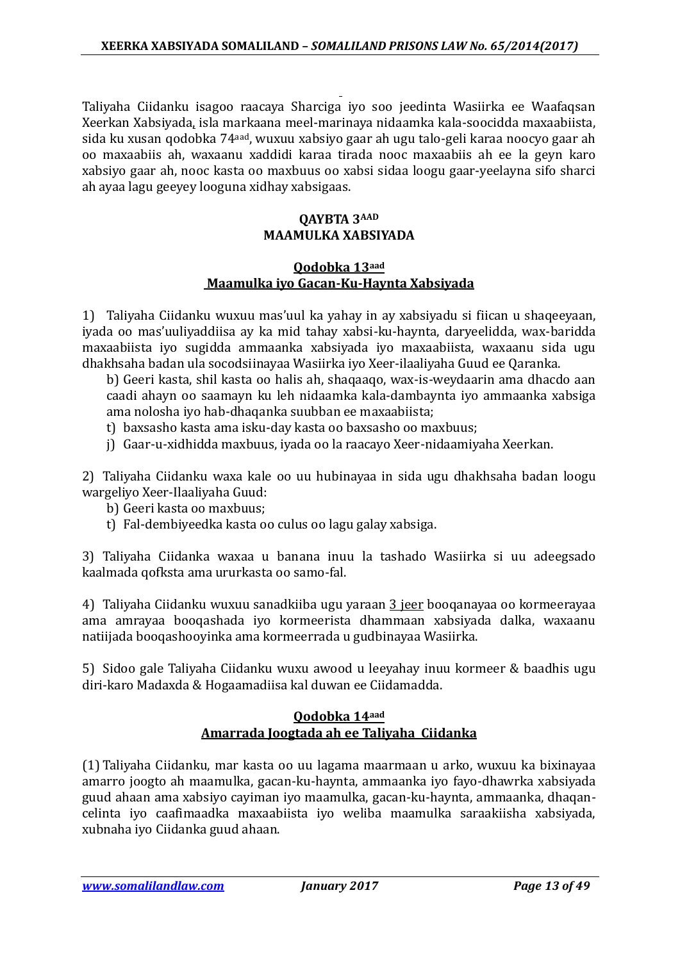Taliyaha Ciidanku isagoo raacaya Sharciga iyo soo jeedinta Wasiirka ee Waafaqsan Xeerkan Xabsiyada, isla markaana meel-marinaya nidaamka kala-soocidda maxaabiista, sida ku xusan qodobka 74aad, wuxuu xabsiyo gaar ah ugu talo-geli karaa noocyo gaar ah oo maxaabiis ah, waxaanu xaddidi karaa tirada nooc maxaabiis ah ee la geyn karo xabsiyo gaar ah, nooc kasta oo maxbuus oo xabsi sidaa loogu gaar-yeelayna sifo sharci ah ayaa lagu geeyey looguna xidhay xabsigaas.

### **QAYBTA 3AAD MAAMULKA XABSIYADA**

### **Qodobka 13aad Maamulka iyo Gacan-Ku-Haynta Xabsiyada**

1) Taliyaha Ciidanku wuxuu mas'uul ka yahay in ay xabsiyadu si fiican u shaqeeyaan, iyada oo mas'uuliyaddiisa ay ka mid tahay xabsi-ku-haynta, daryeelidda, wax-baridda maxaabiista iyo sugidda ammaanka xabsiyada iyo maxaabiista, waxaanu sida ugu dhakhsaha badan ula socodsiinayaa Wasiirka iyo Xeer-ilaaliyaha Guud ee Qaranka.

b) Geeri kasta, shil kasta oo halis ah, shaqaaqo, wax-is-weydaarin ama dhacdo aan caadi ahayn oo saamayn ku leh nidaamka kala-dambaynta iyo ammaanka xabsiga ama nolosha iyo hab-dhaqanka suubban ee maxaabiista;

- t) baxsasho kasta ama isku-day kasta oo baxsasho oo maxbuus;
- j) Gaar-u-xidhidda maxbuus, iyada oo la raacayo Xeer-nidaamiyaha Xeerkan.

2) Taliyaha Ciidanku waxa kale oo uu hubinayaa in sida ugu dhakhsaha badan loogu wargeliyo Xeer-Ilaaliyaha Guud:

- b) Geeri kasta oo maxbuus;
- t) Fal-dembiyeedka kasta oo culus oo lagu galay xabsiga.

3) Taliyaha Ciidanka waxaa u banana inuu la tashado Wasiirka si uu adeegsado kaalmada qofksta ama ururkasta oo samo-fal.

4) Taliyaha Ciidanku wuxuu sanadkiiba ugu yaraan 3 jeer booqanayaa oo kormeerayaa ama amrayaa booqashada iyo kormeerista dhammaan xabsiyada dalka, waxaanu natiijada booqashooyinka ama kormeerrada u gudbinayaa Wasiirka.

5) Sidoo gale Taliyaha Ciidanku wuxu awood u leeyahay inuu kormeer & baadhis ugu diri-karo Madaxda & Hogaamadiisa kal duwan ee Ciidamadda.

### **Qodobka 14aad Amarrada Joogtada ah ee Taliyaha Ciidanka**

(1) Taliyaha Ciidanku, mar kasta oo uu lagama maarmaan u arko, wuxuu ka bixinayaa amarro joogto ah maamulka, gacan-ku-haynta, ammaanka iyo fayo-dhawrka xabsiyada guud ahaan ama xabsiyo cayiman iyo maamulka, gacan-ku-haynta, ammaanka, dhaqancelinta iyo caafimaadka maxaabiista iyo weliba maamulka saraakiisha xabsiyada, xubnaha iyo Ciidanka guud ahaan.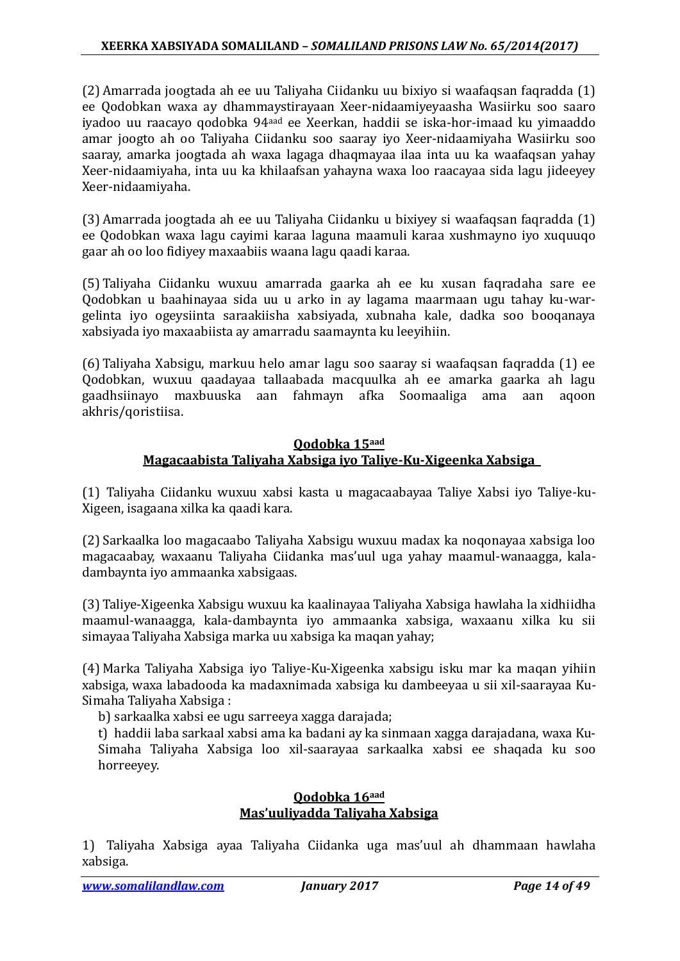(2) Amarrada joogtada ah ee uu Taliyaha Ciidanku uu bixiyo si waafaqsan faqradda (1) ee Qodobkan waxa ay dhammaystirayaan Xeer-nidaamiyeyaasha Wasiirku soo saaro iyadoo uu raacayo qodobka 94aad ee Xeerkan, haddii se iska-hor-imaad ku yimaaddo amar joogto ah oo Taliyaha Ciidanku soo saaray iyo Xeer-nidaamiyaha Wasiirku soo saaray, amarka joogtada ah waxa lagaga dhaqmayaa ilaa inta uu ka waafaqsan yahay Xeer-nidaamiyaha, inta uu ka khilaafsan yahayna waxa loo raacayaa sida lagu jideeyey Xeer-nidaamiyaha.

(3) Amarrada joogtada ah ee uu Taliyaha Ciidanku u bixiyey si waafaqsan faqradda (1) ee Qodobkan waxa lagu cayimi karaa laguna maamuli karaa xushmayno iyo xuquuqo gaar ah oo loo fidiyey maxaabiis waana lagu qaadi karaa.

(5) Taliyaha Ciidanku wuxuu amarrada gaarka ah ee ku xusan faqradaha sare ee Qodobkan u baahinayaa sida uu u arko in ay lagama maarmaan ugu tahay ku-wargelinta iyo ogeysiinta saraakiisha xabsiyada, xubnaha kale, dadka soo booqanaya xabsiyada iyo maxaabiista ay amarradu saamaynta ku leeyihiin.

(6) Taliyaha Xabsigu, markuu helo amar lagu soo saaray si waafaqsan faqradda (1) ee Qodobkan, wuxuu qaadayaa tallaabada macquulka ah ee amarka gaarka ah lagu gaadhsiinayo maxbuuska aan fahmayn afka Soomaaliga ama aan aqoon akhris/qoristiisa.

### **Qodobka 15aad Magacaabista Taliyaha Xabsiga iyo Taliye-Ku-Xigeenka Xabsiga**

(1) Taliyaha Ciidanku wuxuu xabsi kasta u magacaabayaa Taliye Xabsi iyo Taliye-ku-Xigeen, isagaana xilka ka qaadi kara.

(2) Sarkaalka loo magacaabo Taliyaha Xabsigu wuxuu madax ka noqonayaa xabsiga loo magacaabay, waxaanu Taliyaha Ciidanka mas'uul uga yahay maamul-wanaagga, kaladambaynta iyo ammaanka xabsigaas.

(3) Taliye-Xigeenka Xabsigu wuxuu ka kaalinayaa Taliyaha Xabsiga hawlaha la xidhiidha maamul-wanaagga, kala-dambaynta iyo ammaanka xabsiga, waxaanu xilka ku sii simayaa Taliyaha Xabsiga marka uu xabsiga ka maqan yahay;

(4) Marka Taliyaha Xabsiga iyo Taliye-Ku-Xigeenka xabsigu isku mar ka maqan yihiin xabsiga, waxa labadooda ka madaxnimada xabsiga ku dambeeyaa u sii xil-saarayaa Ku-Simaha Taliyaha Xabsiga :

b) sarkaalka xabsi ee ugu sarreeya xagga darajada;

t) haddii laba sarkaal xabsi ama ka badani ay ka sinmaan xagga darajadana, waxa Ku-Simaha Taliyaha Xabsiga loo xil-saarayaa sarkaalka xabsi ee shaqada ku soo horreeyey.

### **Qodobka 16aad Mas'uuliyadda Taliyaha Xabsiga**

1) Taliyaha Xabsiga ayaa Taliyaha Ciidanka uga mas'uul ah dhammaan hawlaha xabsiga.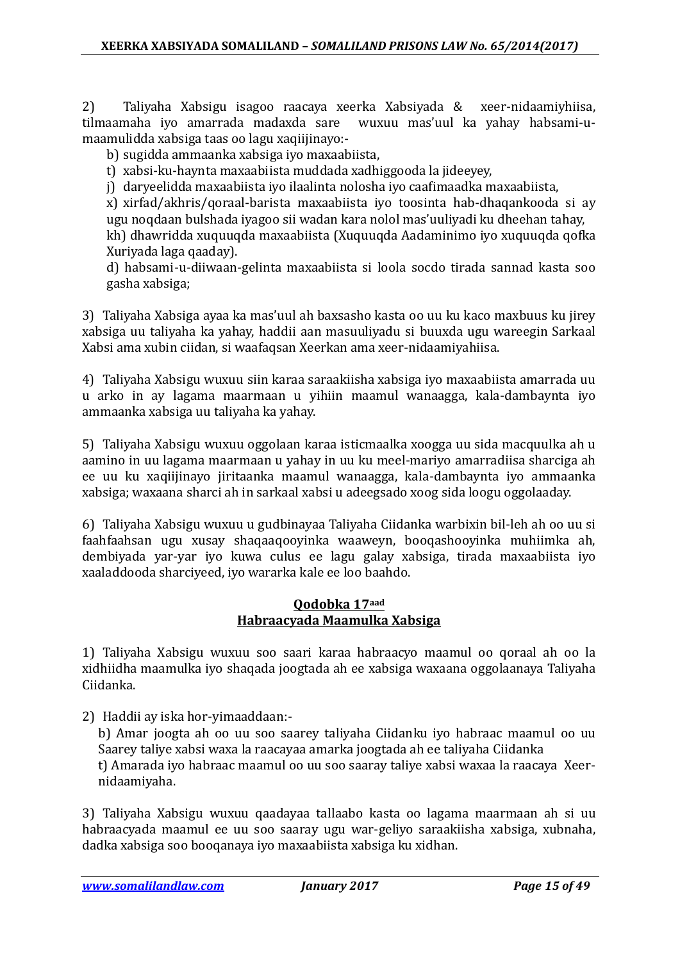2) Taliyaha Xabsigu isagoo raacaya xeerka Xabsiyada & xeer-nidaamiyhiisa, tilmaamaha iyo amarrada madaxda sare wuxuu mas'uul ka yahay habsami-umaamulidda xabsiga taas oo lagu xaqiijinayo:-

b) sugidda ammaanka xabsiga iyo maxaabiista,

t) xabsi-ku-haynta maxaabiista muddada xadhiggooda la jideeyey,

j) daryeelidda maxaabiista iyo ilaalinta nolosha iyo caafimaadka maxaabiista,

x) xirfad/akhris/qoraal-barista maxaabiista iyo toosinta hab-dhaqankooda si ay ugu noqdaan bulshada iyagoo sii wadan kara nolol mas'uuliyadi ku dheehan tahay, kh) dhawridda xuquuqda maxaabiista (Xuquuqda Aadaminimo iyo xuquuqda qofka Xuriyada laga qaaday).

d) habsami-u-diiwaan-gelinta maxaabiista si loola socdo tirada sannad kasta soo gasha xabsiga;

3) Taliyaha Xabsiga ayaa ka mas'uul ah baxsasho kasta oo uu ku kaco maxbuus ku jirey xabsiga uu taliyaha ka yahay, haddii aan masuuliyadu si buuxda ugu wareegin Sarkaal Xabsi ama xubin ciidan, si waafaqsan Xeerkan ama xeer-nidaamiyahiisa.

4) Taliyaha Xabsigu wuxuu siin karaa saraakiisha xabsiga iyo maxaabiista amarrada uu u arko in ay lagama maarmaan u yihiin maamul wanaagga, kala-dambaynta iyo ammaanka xabsiga uu taliyaha ka yahay.

5) Taliyaha Xabsigu wuxuu oggolaan karaa isticmaalka xoogga uu sida macquulka ah u aamino in uu lagama maarmaan u yahay in uu ku meel-mariyo amarradiisa sharciga ah ee uu ku xaqiijinayo jiritaanka maamul wanaagga, kala-dambaynta iyo ammaanka xabsiga; waxaana sharci ah in sarkaal xabsi u adeegsado xoog sida loogu oggolaaday.

6) Taliyaha Xabsigu wuxuu u gudbinayaa Taliyaha Ciidanka warbixin bil-leh ah oo uu si faahfaahsan ugu xusay shaqaaqooyinka waaweyn, booqashooyinka muhiimka ah, dembiyada yar-yar iyo kuwa culus ee lagu galay xabsiga, tirada maxaabiista iyo xaaladdooda sharciyeed, iyo wararka kale ee loo baahdo.

### **Qodobka 17aad Habraacyada Maamulka Xabsiga**

1) Taliyaha Xabsigu wuxuu soo saari karaa habraacyo maamul oo qoraal ah oo la xidhiidha maamulka iyo shaqada joogtada ah ee xabsiga waxaana oggolaanaya Taliyaha Ciidanka.

2) Haddii ay iska hor-yimaaddaan:-

b) Amar joogta ah oo uu soo saarey taliyaha Ciidanku iyo habraac maamul oo uu Saarey taliye xabsi waxa la raacayaa amarka joogtada ah ee taliyaha Ciidanka t) Amarada iyo habraac maamul oo uu soo saaray taliye xabsi waxaa la raacaya Xeernidaamiyaha.

3) Taliyaha Xabsigu wuxuu qaadayaa tallaabo kasta oo lagama maarmaan ah si uu habraacyada maamul ee uu soo saaray ugu war-geliyo saraakiisha xabsiga, xubnaha, dadka xabsiga soo booqanaya iyo maxaabiista xabsiga ku xidhan.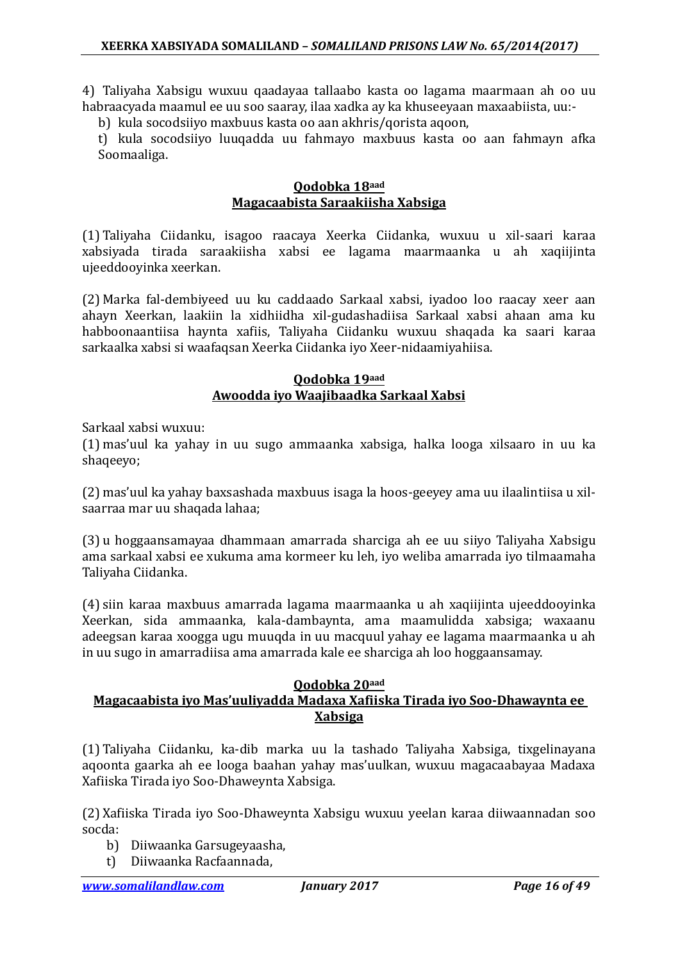4) Taliyaha Xabsigu wuxuu qaadayaa tallaabo kasta oo lagama maarmaan ah oo uu habraacyada maamul ee uu soo saaray, ilaa xadka ay ka khuseeyaan maxaabiista, uu:-

b) kula socodsiiyo maxbuus kasta oo aan akhris/qorista aqoon,

t) kula socodsiiyo luuqadda uu fahmayo maxbuus kasta oo aan fahmayn afka Soomaaliga.

#### **Qodobka 18aad Magacaabista Saraakiisha Xabsiga**

(1) Taliyaha Ciidanku, isagoo raacaya Xeerka Ciidanka, wuxuu u xil-saari karaa xabsiyada tirada saraakiisha xabsi ee lagama maarmaanka u ah xaqiijinta ujeeddooyinka xeerkan.

(2) Marka fal-dembiyeed uu ku caddaado Sarkaal xabsi, iyadoo loo raacay xeer aan ahayn Xeerkan, laakiin la xidhiidha xil-gudashadiisa Sarkaal xabsi ahaan ama ku habboonaantiisa haynta xafiis, Taliyaha Ciidanku wuxuu shaqada ka saari karaa sarkaalka xabsi si waafaqsan Xeerka Ciidanka iyo Xeer-nidaamiyahiisa.

#### **Qodobka 19aad Awoodda iyo Waajibaadka Sarkaal Xabsi**

Sarkaal xabsi wuxuu:

(1) mas'uul ka yahay in uu sugo ammaanka xabsiga, halka looga xilsaaro in uu ka shaqeeyo;

(2) mas'uul ka yahay baxsashada maxbuus isaga la hoos-geeyey ama uu ilaalintiisa u xilsaarraa mar uu shaqada lahaa;

(3) u hoggaansamayaa dhammaan amarrada sharciga ah ee uu siiyo Taliyaha Xabsigu ama sarkaal xabsi ee xukuma ama kormeer ku leh, iyo weliba amarrada iyo tilmaamaha Taliyaha Ciidanka.

(4) siin karaa maxbuus amarrada lagama maarmaanka u ah xaqiijinta ujeeddooyinka Xeerkan, sida ammaanka, kala-dambaynta, ama maamulidda xabsiga; waxaanu adeegsan karaa xoogga ugu muuqda in uu macquul yahay ee lagama maarmaanka u ah in uu sugo in amarradiisa ama amarrada kale ee sharciga ah loo hoggaansamay.

### **Qodobka 20aad**

### **Magacaabista iyo Mas'uuliyadda Madaxa Xafiiska Tirada iyo Soo-Dhawaynta ee Xabsiga**

(1) Taliyaha Ciidanku, ka-dib marka uu la tashado Taliyaha Xabsiga, tixgelinayana aqoonta gaarka ah ee looga baahan yahay mas'uulkan, wuxuu magacaabayaa Madaxa Xafiiska Tirada iyo Soo-Dhaweynta Xabsiga.

(2) Xafiiska Tirada iyo Soo-Dhaweynta Xabsigu wuxuu yeelan karaa diiwaannadan soo socda:

- b) Diiwaanka Garsugeyaasha,
- t) Diiwaanka Racfaannada,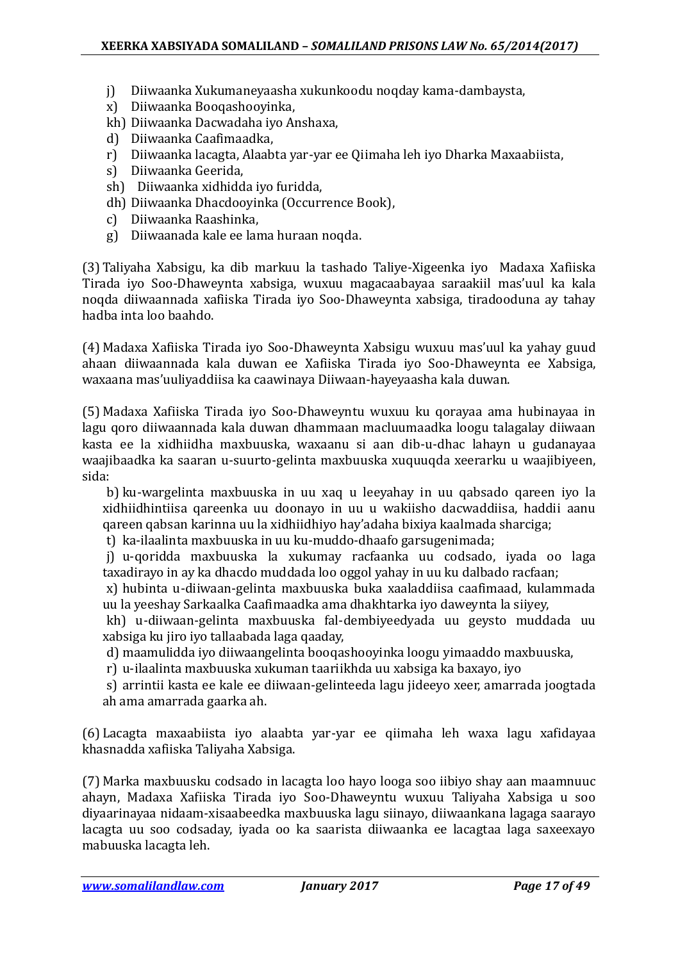- j) Diiwaanka Xukumaneyaasha xukunkoodu noqday kama-dambaysta,
- x) Diiwaanka Booqashooyinka,
- kh) Diiwaanka Dacwadaha iyo Anshaxa,
- d) Diiwaanka Caafimaadka,
- r) Diiwaanka lacagta, Alaabta yar-yar ee Qiimaha leh iyo Dharka Maxaabiista,
- s) Diiwaanka Geerida,
- sh) Diiwaanka xidhidda iyo furidda,
- dh) Diiwaanka Dhacdooyinka (Occurrence Book),
- c) Diiwaanka Raashinka,
- g) Diiwaanada kale ee lama huraan noqda.

(3) Taliyaha Xabsigu, ka dib markuu la tashado Taliye-Xigeenka iyo Madaxa Xafiiska Tirada iyo Soo-Dhaweynta xabsiga, wuxuu magacaabayaa saraakiil mas'uul ka kala noqda diiwaannada xafiiska Tirada iyo Soo-Dhaweynta xabsiga, tiradooduna ay tahay hadba inta loo baahdo.

(4) Madaxa Xafiiska Tirada iyo Soo-Dhaweynta Xabsigu wuxuu mas'uul ka yahay guud ahaan diiwaannada kala duwan ee Xafiiska Tirada iyo Soo-Dhaweynta ee Xabsiga, waxaana mas'uuliyaddiisa ka caawinaya Diiwaan-hayeyaasha kala duwan.

(5) Madaxa Xafiiska Tirada iyo Soo-Dhaweyntu wuxuu ku qorayaa ama hubinayaa in lagu qoro diiwaannada kala duwan dhammaan macluumaadka loogu talagalay diiwaan kasta ee la xidhiidha maxbuuska, waxaanu si aan dib-u-dhac lahayn u gudanayaa waajibaadka ka saaran u-suurto-gelinta maxbuuska xuquuqda xeerarku u waajibiyeen, sida:

b) ku-wargelinta maxbuuska in uu xaq u leeyahay in uu qabsado qareen iyo la xidhiidhintiisa qareenka uu doonayo in uu u wakiisho dacwaddiisa, haddii aanu qareen qabsan karinna uu la xidhiidhiyo hay'adaha bixiya kaalmada sharciga;

t) ka-ilaalinta maxbuuska in uu ku-muddo-dhaafo garsugenimada;

j) u-qoridda maxbuuska la xukumay racfaanka uu codsado, iyada oo laga taxadirayo in ay ka dhacdo muddada loo oggol yahay in uu ku dalbado racfaan;

x) hubinta u-diiwaan-gelinta maxbuuska buka xaaladdiisa caafimaad, kulammada uu la yeeshay Sarkaalka Caafimaadka ama dhakhtarka iyo daweynta la siiyey,

kh) u-diiwaan-gelinta maxbuuska fal-dembiyeedyada uu geysto muddada uu xabsiga ku jiro iyo tallaabada laga qaaday,

d) maamulidda iyo diiwaangelinta booqashooyinka loogu yimaaddo maxbuuska,

r) u-ilaalinta maxbuuska xukuman taariikhda uu xabsiga ka baxayo, iyo

s) arrintii kasta ee kale ee diiwaan-gelinteeda lagu jideeyo xeer, amarrada joogtada ah ama amarrada gaarka ah.

(6) Lacagta maxaabiista iyo alaabta yar-yar ee qiimaha leh waxa lagu xafidayaa khasnadda xafiiska Taliyaha Xabsiga.

(7) Marka maxbuusku codsado in lacagta loo hayo looga soo iibiyo shay aan maamnuuc ahayn, Madaxa Xafiiska Tirada iyo Soo-Dhaweyntu wuxuu Taliyaha Xabsiga u soo diyaarinayaa nidaam-xisaabeedka maxbuuska lagu siinayo, diiwaankana lagaga saarayo lacagta uu soo codsaday, iyada oo ka saarista diiwaanka ee lacagtaa laga saxeexayo mabuuska lacagta leh.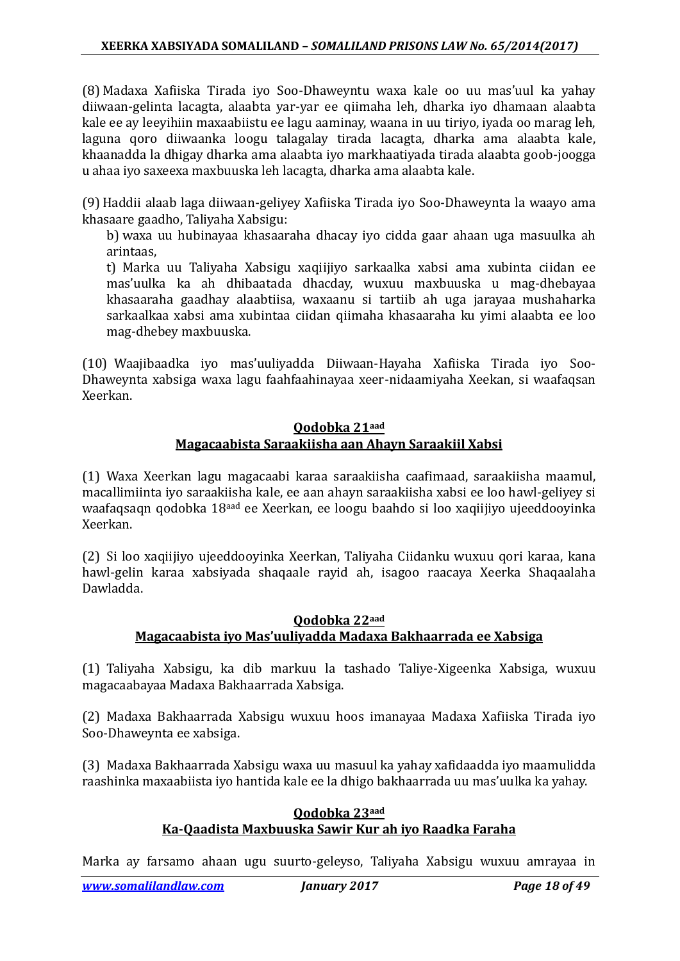(8) Madaxa Xafiiska Tirada iyo Soo-Dhaweyntu waxa kale oo uu mas'uul ka yahay diiwaan-gelinta lacagta, alaabta yar-yar ee qiimaha leh, dharka iyo dhamaan alaabta kale ee ay leeyihiin maxaabiistu ee lagu aaminay, waana in uu tiriyo, iyada oo marag leh, laguna qoro diiwaanka loogu talagalay tirada lacagta, dharka ama alaabta kale, khaanadda la dhigay dharka ama alaabta iyo markhaatiyada tirada alaabta goob-joogga u ahaa iyo saxeexa maxbuuska leh lacagta, dharka ama alaabta kale.

(9) Haddii alaab laga diiwaan-geliyey Xafiiska Tirada iyo Soo-Dhaweynta la waayo ama khasaare gaadho, Taliyaha Xabsigu:

b) waxa uu hubinayaa khasaaraha dhacay iyo cidda gaar ahaan uga masuulka ah arintaas,

t) Marka uu Taliyaha Xabsigu xaqiijiyo sarkaalka xabsi ama xubinta ciidan ee mas'uulka ka ah dhibaatada dhacday, wuxuu maxbuuska u mag-dhebayaa khasaaraha gaadhay alaabtiisa, waxaanu si tartiib ah uga jarayaa mushaharka sarkaalkaa xabsi ama xubintaa ciidan qiimaha khasaaraha ku yimi alaabta ee loo mag-dhebey maxbuuska.

(10) Waajibaadka iyo mas'uuliyadda Diiwaan-Hayaha Xafiiska Tirada iyo Soo-Dhaweynta xabsiga waxa lagu faahfaahinayaa xeer-nidaamiyaha Xeekan, si waafaqsan Xeerkan.

### **Qodobka 21aad Magacaabista Saraakiisha aan Ahayn Saraakiil Xabsi**

(1) Waxa Xeerkan lagu magacaabi karaa saraakiisha caafimaad, saraakiisha maamul, macallimiinta iyo saraakiisha kale, ee aan ahayn saraakiisha xabsi ee loo hawl-geliyey si waafaqsaqn qodobka 18aad ee Xeerkan, ee loogu baahdo si loo xaqiijiyo ujeeddooyinka Xeerkan.

(2) Si loo xaqiijiyo ujeeddooyinka Xeerkan, Taliyaha Ciidanku wuxuu qori karaa, kana hawl-gelin karaa xabsiyada shaqaale rayid ah, isagoo raacaya Xeerka Shaqaalaha Dawladda.

### **Qodobka 22aad Magacaabista iyo Mas'uuliyadda Madaxa Bakhaarrada ee Xabsiga**

(1) Taliyaha Xabsigu, ka dib markuu la tashado Taliye-Xigeenka Xabsiga, wuxuu magacaabayaa Madaxa Bakhaarrada Xabsiga.

(2) Madaxa Bakhaarrada Xabsigu wuxuu hoos imanayaa Madaxa Xafiiska Tirada iyo Soo-Dhaweynta ee xabsiga.

(3) Madaxa Bakhaarrada Xabsigu waxa uu masuul ka yahay xafidaadda iyo maamulidda raashinka maxaabiista iyo hantida kale ee la dhigo bakhaarrada uu mas'uulka ka yahay.

#### **Qodobka 23aad Ka-Qaadista Maxbuuska Sawir Kur ah iyo Raadka Faraha**

Marka ay farsamo ahaan ugu suurto-geleyso, Taliyaha Xabsigu wuxuu amrayaa in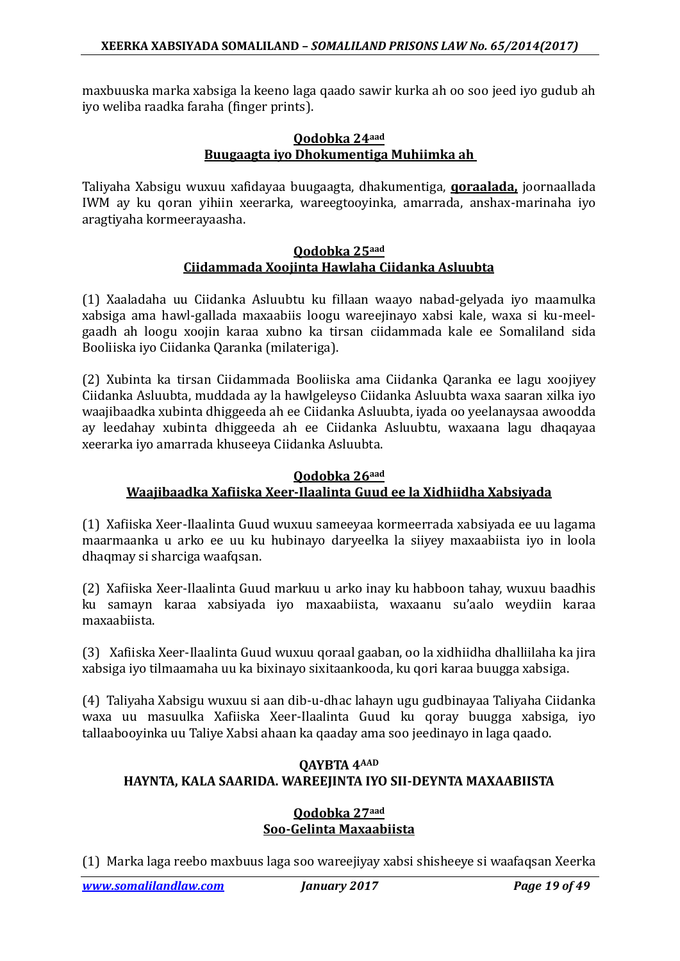maxbuuska marka xabsiga la keeno laga qaado sawir kurka ah oo soo jeed iyo gudub ah iyo weliba raadka faraha (finger prints).

#### **Qodobka 24aad Buugaagta iyo Dhokumentiga Muhiimka ah**

Taliyaha Xabsigu wuxuu xafidayaa buugaagta, dhakumentiga, **qoraalada,** joornaallada IWM ay ku qoran yihiin xeerarka, wareegtooyinka, amarrada, anshax-marinaha iyo aragtiyaha kormeerayaasha.

#### **Qodobka 25aad Ciidammada Xoojinta Hawlaha Ciidanka Asluubta**

(1) Xaaladaha uu Ciidanka Asluubtu ku fillaan waayo nabad-gelyada iyo maamulka xabsiga ama hawl-gallada maxaabiis loogu wareejinayo xabsi kale, waxa si ku-meelgaadh ah loogu xoojin karaa xubno ka tirsan ciidammada kale ee Somaliland sida Booliiska iyo Ciidanka Qaranka (milateriga).

(2) Xubinta ka tirsan Ciidammada Booliiska ama Ciidanka Qaranka ee lagu xoojiyey Ciidanka Asluubta, muddada ay la hawlgeleyso Ciidanka Asluubta waxa saaran xilka iyo waajibaadka xubinta dhiggeeda ah ee Ciidanka Asluubta, iyada oo yeelanaysaa awoodda ay leedahay xubinta dhiggeeda ah ee Ciidanka Asluubtu, waxaana lagu dhaqayaa xeerarka iyo amarrada khuseeya Ciidanka Asluubta.

### **Qodobka 26aad Waajibaadka Xafiiska Xeer-Ilaalinta Guud ee la Xidhiidha Xabsiyada**

(1) Xafiiska Xeer-Ilaalinta Guud wuxuu sameeyaa kormeerrada xabsiyada ee uu lagama maarmaanka u arko ee uu ku hubinayo daryeelka la siiyey maxaabiista iyo in loola dhaqmay si sharciga waafqsan.

(2) Xafiiska Xeer-Ilaalinta Guud markuu u arko inay ku habboon tahay, wuxuu baadhis ku samayn karaa xabsiyada iyo maxaabiista, waxaanu su'aalo weydiin karaa maxaabiista.

(3) Xafiiska Xeer-Ilaalinta Guud wuxuu qoraal gaaban, oo la xidhiidha dhalliilaha ka jira xabsiga iyo tilmaamaha uu ka bixinayo sixitaankooda, ku qori karaa buugga xabsiga.

(4) Taliyaha Xabsigu wuxuu si aan dib-u-dhac lahayn ugu gudbinayaa Taliyaha Ciidanka waxa uu masuulka Xafiiska Xeer-Ilaalinta Guud ku qoray buugga xabsiga, iyo tallaabooyinka uu Taliye Xabsi ahaan ka qaaday ama soo jeedinayo in laga qaado.

### **QAYBTA 4AAD HAYNTA, KALA SAARIDA. WAREEJINTA IYO SII-DEYNTA MAXAABIISTA**

### **Qodobka 27aad Soo-Gelinta Maxaabiista**

(1) Marka laga reebo maxbuus laga soo wareejiyay xabsi shisheeye si waafaqsan Xeerka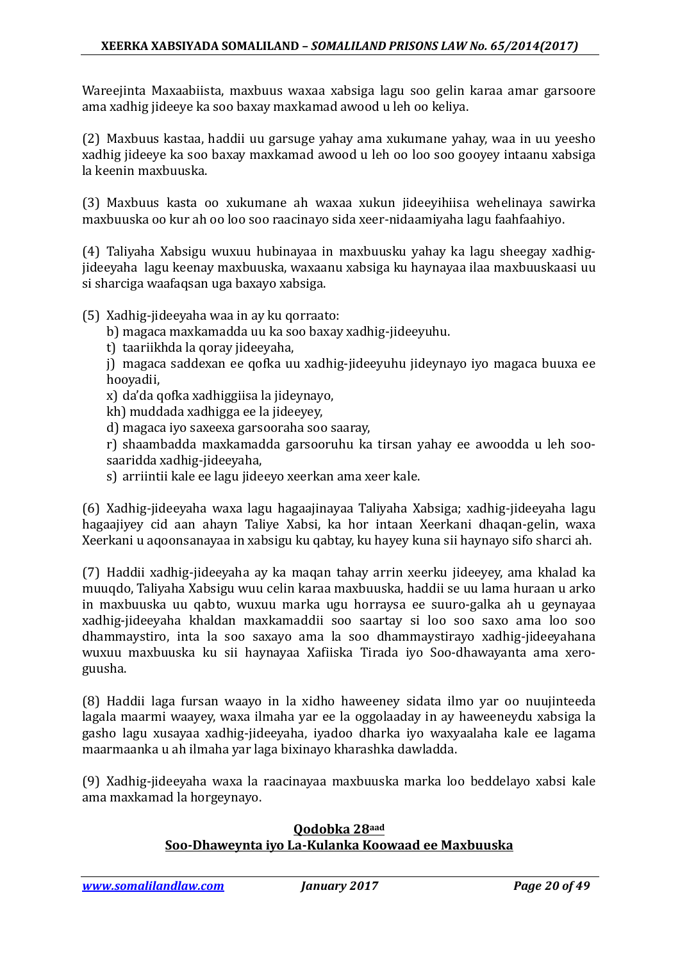Wareejinta Maxaabiista, maxbuus waxaa xabsiga lagu soo gelin karaa amar garsoore ama xadhig jideeye ka soo baxay maxkamad awood u leh oo keliya.

(2) Maxbuus kastaa, haddii uu garsuge yahay ama xukumane yahay, waa in uu yeesho xadhig jideeye ka soo baxay maxkamad awood u leh oo loo soo gooyey intaanu xabsiga la keenin maxbuuska.

(3) Maxbuus kasta oo xukumane ah waxaa xukun jideeyihiisa wehelinaya sawirka maxbuuska oo kur ah oo loo soo raacinayo sida xeer-nidaamiyaha lagu faahfaahiyo.

(4) Taliyaha Xabsigu wuxuu hubinayaa in maxbuusku yahay ka lagu sheegay xadhigjideeyaha lagu keenay maxbuuska, waxaanu xabsiga ku haynayaa ilaa maxbuuskaasi uu si sharciga waafaqsan uga baxayo xabsiga.

### (5) Xadhig-jideeyaha waa in ay ku qorraato:

- b) magaca maxkamadda uu ka soo baxay xadhig-jideeyuhu.
- t) taariikhda la qoray jideeyaha,
- j) magaca saddexan ee qofka uu xadhig-jideeyuhu jideynayo iyo magaca buuxa ee hooyadii,
- x) da'da qofka xadhiggiisa la jideynayo,
- kh) muddada xadhigga ee la jideeyey,
- d) magaca iyo saxeexa garsooraha soo saaray,
- r) shaambadda maxkamadda garsooruhu ka tirsan yahay ee awoodda u leh soosaaridda xadhig-jideeyaha,
- s) arriintii kale ee lagu jideeyo xeerkan ama xeer kale.

(6) Xadhig-jideeyaha waxa lagu hagaajinayaa Taliyaha Xabsiga; xadhig-jideeyaha lagu hagaajiyey cid aan ahayn Taliye Xabsi, ka hor intaan Xeerkani dhaqan-gelin, waxa Xeerkani u aqoonsanayaa in xabsigu ku qabtay, ku hayey kuna sii haynayo sifo sharci ah.

(7) Haddii xadhig-jideeyaha ay ka maqan tahay arrin xeerku jideeyey, ama khalad ka muuqdo, Taliyaha Xabsigu wuu celin karaa maxbuuska, haddii se uu lama huraan u arko in maxbuuska uu qabto, wuxuu marka ugu horraysa ee suuro-galka ah u geynayaa xadhig-jideeyaha khaldan maxkamaddii soo saartay si loo soo saxo ama loo soo dhammaystiro, inta la soo saxayo ama la soo dhammaystirayo xadhig-jideeyahana wuxuu maxbuuska ku sii haynayaa Xafiiska Tirada iyo Soo-dhawayanta ama xeroguusha.

(8) Haddii laga fursan waayo in la xidho haweeney sidata ilmo yar oo nuujinteeda lagala maarmi waayey, waxa ilmaha yar ee la oggolaaday in ay haweeneydu xabsiga la gasho lagu xusayaa xadhig-jideeyaha, iyadoo dharka iyo waxyaalaha kale ee lagama maarmaanka u ah ilmaha yar laga bixinayo kharashka dawladda.

(9) Xadhig-jideeyaha waxa la raacinayaa maxbuuska marka loo beddelayo xabsi kale ama maxkamad la horgeynayo.

#### **Qodobka 28aad Soo-Dhaweynta iyo La-Kulanka Koowaad ee Maxbuuska**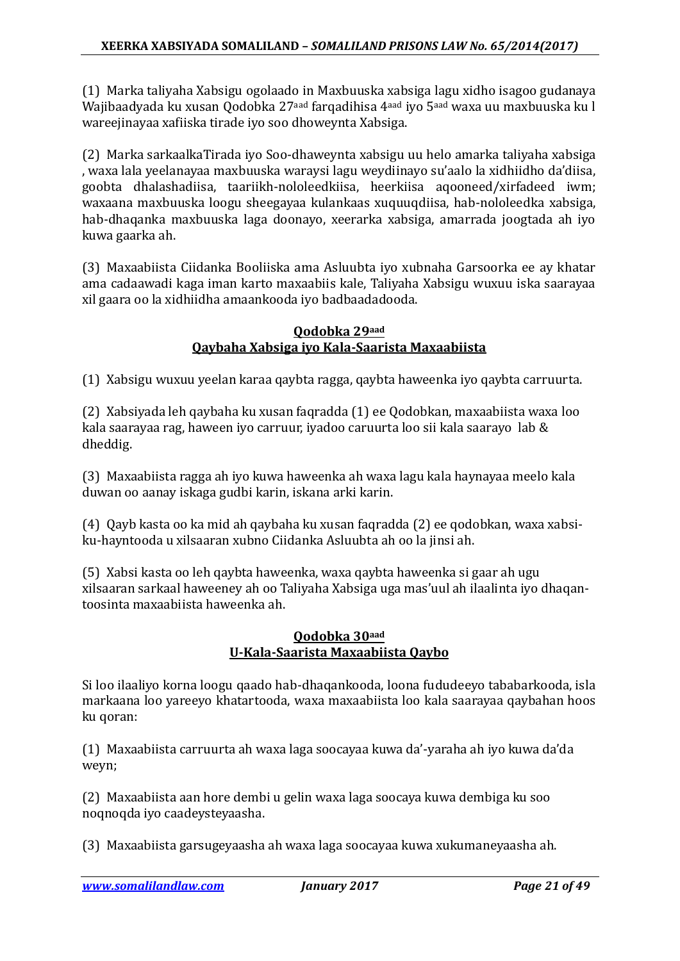(1) Marka taliyaha Xabsigu ogolaado in Maxbuuska xabsiga lagu xidho isagoo gudanaya Wajibaadyada ku xusan Qodobka 27aad farqadihisa 4aad iyo 5aad waxa uu maxbuuska ku l wareejinayaa xafiiska tirade iyo soo dhoweynta Xabsiga.

(2) Marka sarkaalkaTirada iyo Soo-dhaweynta xabsigu uu helo amarka taliyaha xabsiga , waxa lala yeelanayaa maxbuuska waraysi lagu weydiinayo su'aalo la xidhiidho da'diisa, goobta dhalashadiisa, taariikh-nololeedkiisa, heerkiisa aqooneed/xirfadeed iwm; waxaana maxbuuska loogu sheegayaa kulankaas xuquuqdiisa, hab-nololeedka xabsiga, hab-dhaqanka maxbuuska laga doonayo, xeerarka xabsiga, amarrada joogtada ah iyo kuwa gaarka ah.

(3) Maxaabiista Ciidanka Booliiska ama Asluubta iyo xubnaha Garsoorka ee ay khatar ama cadaawadi kaga iman karto maxaabiis kale, Taliyaha Xabsigu wuxuu iska saarayaa xil gaara oo la xidhiidha amaankooda iyo badbaadadooda.

### **Qodobka 29aad Qaybaha Xabsiga iyo Kala-Saarista Maxaabiista**

(1) Xabsigu wuxuu yeelan karaa qaybta ragga, qaybta haweenka iyo qaybta carruurta.

(2) Xabsiyada leh qaybaha ku xusan faqradda (1) ee Qodobkan, maxaabiista waxa loo kala saarayaa rag, haween iyo carruur, iyadoo caruurta loo sii kala saarayo lab & dheddig.

(3) Maxaabiista ragga ah iyo kuwa haweenka ah waxa lagu kala haynayaa meelo kala duwan oo aanay iskaga gudbi karin, iskana arki karin.

(4) Qayb kasta oo ka mid ah qaybaha ku xusan faqradda (2) ee qodobkan, waxa xabsiku-hayntooda u xilsaaran xubno Ciidanka Asluubta ah oo la jinsi ah.

(5) Xabsi kasta oo leh qaybta haweenka, waxa qaybta haweenka si gaar ah ugu xilsaaran sarkaal haweeney ah oo Taliyaha Xabsiga uga mas'uul ah ilaalinta iyo dhaqantoosinta maxaabiista haweenka ah.

### **Qodobka 30aad U-Kala-Saarista Maxaabiista Qaybo**

Si loo ilaaliyo korna loogu qaado hab-dhaqankooda, loona fududeeyo tababarkooda, isla markaana loo yareeyo khatartooda, waxa maxaabiista loo kala saarayaa qaybahan hoos ku qoran:

(1) Maxaabiista carruurta ah waxa laga soocayaa kuwa da'-yaraha ah iyo kuwa da'da weyn;

(2) Maxaabiista aan hore dembi u gelin waxa laga soocaya kuwa dembiga ku soo noqnoqda iyo caadeysteyaasha.

(3) Maxaabiista garsugeyaasha ah waxa laga soocayaa kuwa xukumaneyaasha ah.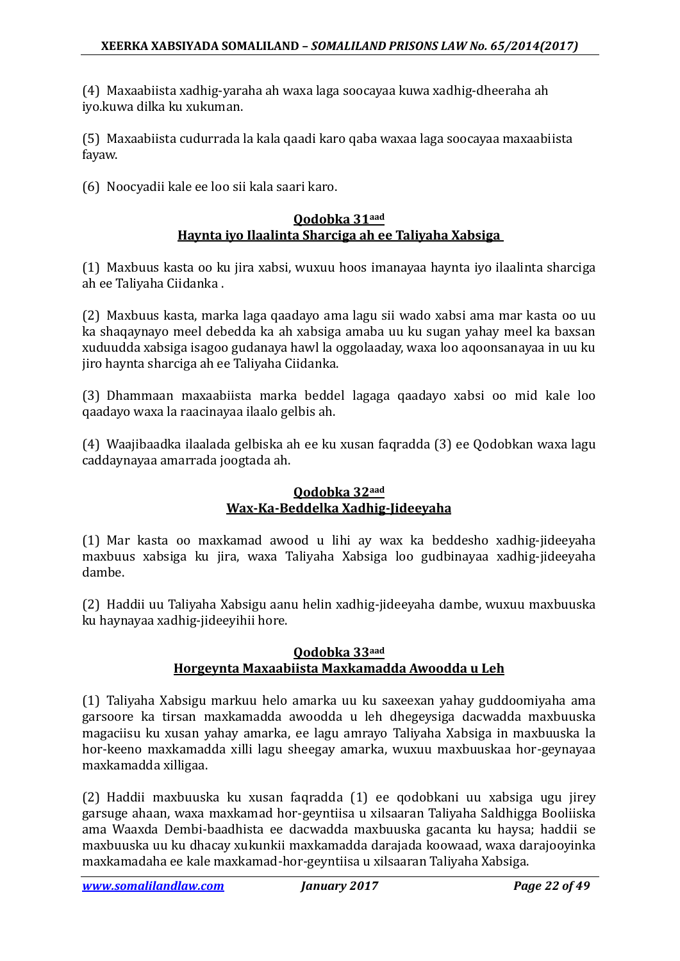(4) Maxaabiista xadhig-yaraha ah waxa laga soocayaa kuwa xadhig-dheeraha ah iyo.kuwa dilka ku xukuman.

(5) Maxaabiista cudurrada la kala qaadi karo qaba waxaa laga soocayaa maxaabiista fayaw.

(6) Noocyadii kale ee loo sii kala saari karo.

### **Qodobka 31aad Haynta iyo Ilaalinta Sharciga ah ee Taliyaha Xabsiga**

(1) Maxbuus kasta oo ku jira xabsi, wuxuu hoos imanayaa haynta iyo ilaalinta sharciga ah ee Taliyaha Ciidanka .

(2) Maxbuus kasta, marka laga qaadayo ama lagu sii wado xabsi ama mar kasta oo uu ka shaqaynayo meel debedda ka ah xabsiga amaba uu ku sugan yahay meel ka baxsan xuduudda xabsiga isagoo gudanaya hawl la oggolaaday, waxa loo aqoonsanayaa in uu ku jiro haynta sharciga ah ee Taliyaha Ciidanka.

(3) Dhammaan maxaabiista marka beddel lagaga qaadayo xabsi oo mid kale loo qaadayo waxa la raacinayaa ilaalo gelbis ah.

(4) Waajibaadka ilaalada gelbiska ah ee ku xusan faqradda (3) ee Qodobkan waxa lagu caddaynayaa amarrada joogtada ah.

### **Qodobka 32aad Wax-Ka-Beddelka Xadhig-Jideeyaha**

(1) Mar kasta oo maxkamad awood u lihi ay wax ka beddesho xadhig-jideeyaha maxbuus xabsiga ku jira, waxa Taliyaha Xabsiga loo gudbinayaa xadhig-jideeyaha dambe.

(2) Haddii uu Taliyaha Xabsigu aanu helin xadhig-jideeyaha dambe, wuxuu maxbuuska ku haynayaa xadhig-jideeyihii hore.

### **Qodobka 33aad Horgeynta Maxaabiista Maxkamadda Awoodda u Leh**

(1) Taliyaha Xabsigu markuu helo amarka uu ku saxeexan yahay guddoomiyaha ama garsoore ka tirsan maxkamadda awoodda u leh dhegeysiga dacwadda maxbuuska magaciisu ku xusan yahay amarka, ee lagu amrayo Taliyaha Xabsiga in maxbuuska la hor-keeno maxkamadda xilli lagu sheegay amarka, wuxuu maxbuuskaa hor-geynayaa maxkamadda xilligaa.

(2) Haddii maxbuuska ku xusan faqradda (1) ee qodobkani uu xabsiga ugu jirey garsuge ahaan, waxa maxkamad hor-geyntiisa u xilsaaran Taliyaha Saldhigga Booliiska ama Waaxda Dembi-baadhista ee dacwadda maxbuuska gacanta ku haysa; haddii se maxbuuska uu ku dhacay xukunkii maxkamadda darajada koowaad, waxa darajooyinka maxkamadaha ee kale maxkamad-hor-geyntiisa u xilsaaran Taliyaha Xabsiga.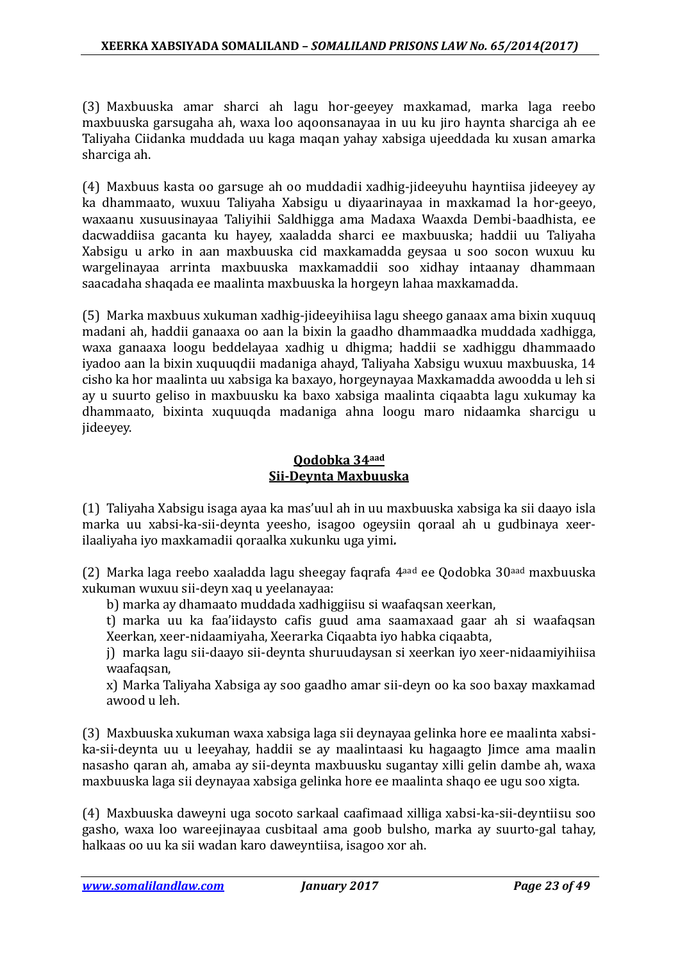(3) Maxbuuska amar sharci ah lagu hor-geeyey maxkamad, marka laga reebo maxbuuska garsugaha ah, waxa loo aqoonsanayaa in uu ku jiro haynta sharciga ah ee Taliyaha Ciidanka muddada uu kaga maqan yahay xabsiga ujeeddada ku xusan amarka sharciga ah.

(4) Maxbuus kasta oo garsuge ah oo muddadii xadhig-jideeyuhu hayntiisa jideeyey ay ka dhammaato, wuxuu Taliyaha Xabsigu u diyaarinayaa in maxkamad la hor-geeyo, waxaanu xusuusinayaa Taliyihii Saldhigga ama Madaxa Waaxda Dembi-baadhista, ee dacwaddiisa gacanta ku hayey, xaaladda sharci ee maxbuuska; haddii uu Taliyaha Xabsigu u arko in aan maxbuuska cid maxkamadda geysaa u soo socon wuxuu ku wargelinayaa arrinta maxbuuska maxkamaddii soo xidhay intaanay dhammaan saacadaha shaqada ee maalinta maxbuuska la horgeyn lahaa maxkamadda.

(5) Marka maxbuus xukuman xadhig-jideeyihiisa lagu sheego ganaax ama bixin xuquuq madani ah, haddii ganaaxa oo aan la bixin la gaadho dhammaadka muddada xadhigga, waxa ganaaxa loogu beddelayaa xadhig u dhigma; haddii se xadhiggu dhammaado iyadoo aan la bixin xuquuqdii madaniga ahayd, Taliyaha Xabsigu wuxuu maxbuuska, 14 cisho ka hor maalinta uu xabsiga ka baxayo, horgeynayaa Maxkamadda awoodda u leh si ay u suurto geliso in maxbuusku ka baxo xabsiga maalinta ciqaabta lagu xukumay ka dhammaato, bixinta xuquuqda madaniga ahna loogu maro nidaamka sharcigu u jideeyey.

### **Qodobka 34aad Sii-Deynta Maxbuuska**

(1) Taliyaha Xabsigu isaga ayaa ka mas'uul ah in uu maxbuuska xabsiga ka sii daayo isla marka uu xabsi-ka-sii-deynta yeesho, isagoo ogeysiin qoraal ah u gudbinaya xeerilaaliyaha iyo maxkamadii qoraalka xukunku uga yimi*.*

(2) Marka laga reebo xaaladda lagu sheegay faqrafa 4aad ee Qodobka 30aad maxbuuska xukuman wuxuu sii-deyn xaq u yeelanayaa:

b) marka ay dhamaato muddada xadhiggiisu si waafaqsan xeerkan,

t) marka uu ka faa'iidaysto cafis guud ama saamaxaad gaar ah si waafaqsan Xeerkan, xeer-nidaamiyaha, Xeerarka Ciqaabta iyo habka ciqaabta,

j) marka lagu sii-daayo sii-deynta shuruudaysan si xeerkan iyo xeer-nidaamiyihiisa waafaqsan,

x) Marka Taliyaha Xabsiga ay soo gaadho amar sii-deyn oo ka soo baxay maxkamad awood u leh.

(3) Maxbuuska xukuman waxa xabsiga laga sii deynayaa gelinka hore ee maalinta xabsika-sii-deynta uu u leeyahay, haddii se ay maalintaasi ku hagaagto Jimce ama maalin nasasho qaran ah, amaba ay sii-deynta maxbuusku sugantay xilli gelin dambe ah, waxa maxbuuska laga sii deynayaa xabsiga gelinka hore ee maalinta shaqo ee ugu soo xigta.

(4) Maxbuuska daweyni uga socoto sarkaal caafimaad xilliga xabsi-ka-sii-deyntiisu soo gasho, waxa loo wareejinayaa cusbitaal ama goob bulsho, marka ay suurto-gal tahay, halkaas oo uu ka sii wadan karo daweyntiisa, isagoo xor ah.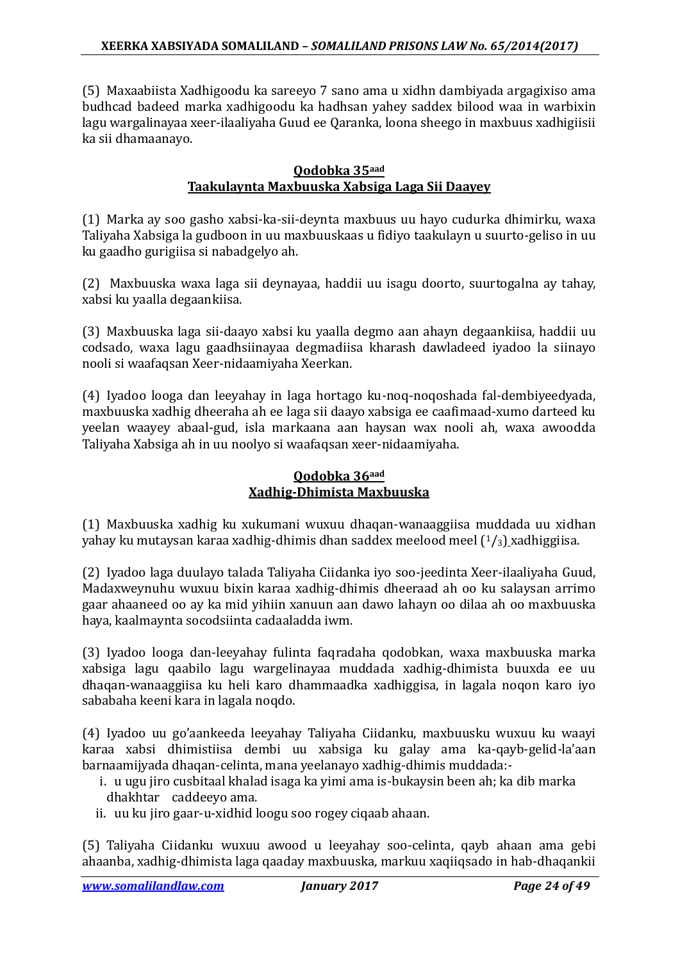(5) Maxaabiista Xadhigoodu ka sareeyo 7 sano ama u xidhn dambiyada argagixiso ama budhcad badeed marka xadhigoodu ka hadhsan yahey saddex bilood waa in warbixin lagu wargalinayaa xeer-ilaaliyaha Guud ee Qaranka, loona sheego in maxbuus xadhigiisii ka sii dhamaanayo.

### **Qodobka 35aad Taakulaynta Maxbuuska Xabsiga Laga Sii Daayey**

(1) Marka ay soo gasho xabsi-ka-sii-deynta maxbuus uu hayo cudurka dhimirku, waxa Taliyaha Xabsiga la gudboon in uu maxbuuskaas u fidiyo taakulayn u suurto-geliso in uu ku gaadho gurigiisa si nabadgelyo ah.

(2) Maxbuuska waxa laga sii deynayaa, haddii uu isagu doorto, suurtogalna ay tahay, xabsi ku yaalla degaankiisa.

(3) Maxbuuska laga sii-daayo xabsi ku yaalla degmo aan ahayn degaankiisa, haddii uu codsado, waxa lagu gaadhsiinayaa degmadiisa kharash dawladeed iyadoo la siinayo nooli si waafaqsan Xeer-nidaamiyaha Xeerkan.

(4) Iyadoo looga dan leeyahay in laga hortago ku-noq-noqoshada fal-dembiyeedyada, maxbuuska xadhig dheeraha ah ee laga sii daayo xabsiga ee caafimaad-xumo darteed ku yeelan waayey abaal-gud, isla markaana aan haysan wax nooli ah, waxa awoodda Taliyaha Xabsiga ah in uu noolyo si waafaqsan xeer-nidaamiyaha.

### **Qodobka 36aad Xadhig-Dhimista Maxbuuska**

(1) Maxbuuska xadhig ku xukumani wuxuu dhaqan-wanaaggiisa muddada uu xidhan yahay ku mutaysan karaa xadhig-dhimis dhan saddex meelood meel  $(1/3)$  xadhiggiisa.

(2) Iyadoo laga duulayo talada Taliyaha Ciidanka iyo soo-jeedinta Xeer-ilaaliyaha Guud, Madaxweynuhu wuxuu bixin karaa xadhig-dhimis dheeraad ah oo ku salaysan arrimo gaar ahaaneed oo ay ka mid yihiin xanuun aan dawo lahayn oo dilaa ah oo maxbuuska haya, kaalmaynta socodsiinta cadaaladda iwm.

(3) Iyadoo looga dan-leeyahay fulinta faqradaha qodobkan, waxa maxbuuska marka xabsiga lagu qaabilo lagu wargelinayaa muddada xadhig-dhimista buuxda ee uu dhaqan-wanaaggiisa ku heli karo dhammaadka xadhiggisa, in lagala noqon karo iyo sababaha keeni kara in lagala noqdo.

(4) Iyadoo uu go'aankeeda leeyahay Taliyaha Ciidanku, maxbuusku wuxuu ku waayi karaa xabsi dhimistiisa dembi uu xabsiga ku galay ama ka-qayb-gelid-la'aan barnaamijyada dhaqan-celinta, mana yeelanayo xadhig-dhimis muddada:-

- i. u ugu jiro cusbitaal khalad isaga ka yimi ama is-bukaysin been ah; ka dib marka dhakhtar caddeeyo ama.
- ii. uu ku jiro gaar-u-xidhid loogu soo rogey ciqaab ahaan.

(5) Taliyaha Ciidanku wuxuu awood u leeyahay soo-celinta, qayb ahaan ama gebi ahaanba, xadhig-dhimista laga qaaday maxbuuska, markuu xaqiiqsado in hab-dhaqankii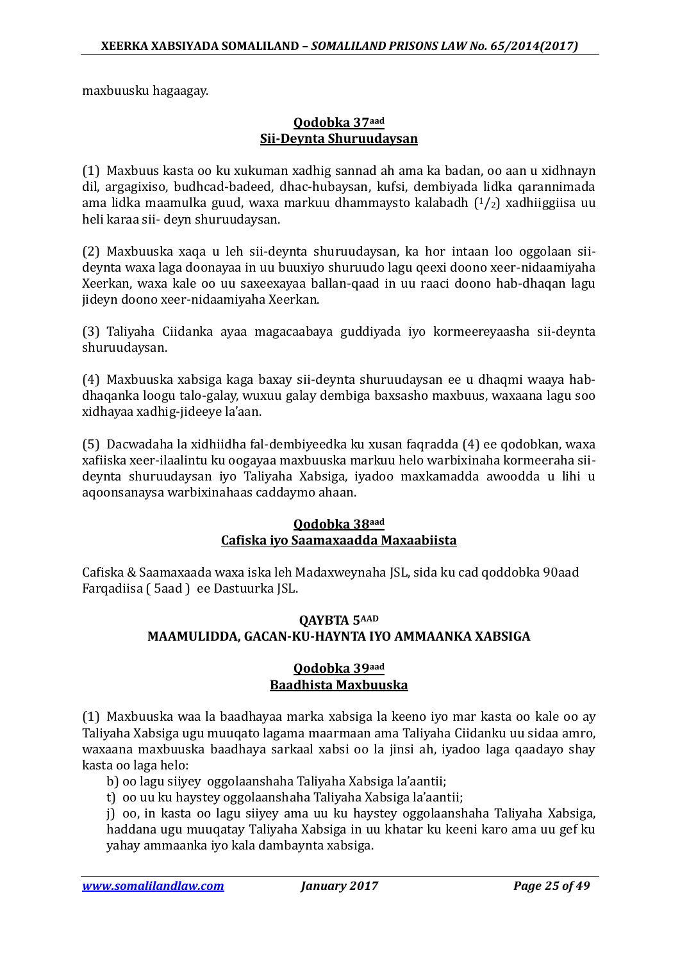maxbuusku hagaagay.

### **Qodobka 37aad Sii-Deynta Shuruudaysan**

(1) Maxbuus kasta oo ku xukuman xadhig sannad ah ama ka badan, oo aan u xidhnayn dil, argagixiso, budhcad-badeed, dhac-hubaysan, kufsi, dembiyada lidka qarannimada ama lidka maamulka guud, waxa markuu dhammaysto kalabadh  $(1/2)$  xadhiiggiisa uu heli karaa sii- deyn shuruudaysan.

(2) Maxbuuska xaqa u leh sii-deynta shuruudaysan, ka hor intaan loo oggolaan siideynta waxa laga doonayaa in uu buuxiyo shuruudo lagu qeexi doono xeer-nidaamiyaha Xeerkan, waxa kale oo uu saxeexayaa ballan-qaad in uu raaci doono hab-dhaqan lagu jideyn doono xeer-nidaamiyaha Xeerkan.

(3) Taliyaha Ciidanka ayaa magacaabaya guddiyada iyo kormeereyaasha sii-deynta shuruudaysan.

(4) Maxbuuska xabsiga kaga baxay sii-deynta shuruudaysan ee u dhaqmi waaya habdhaqanka loogu talo-galay, wuxuu galay dembiga baxsasho maxbuus, waxaana lagu soo xidhayaa xadhig-jideeye la'aan.

(5) Dacwadaha la xidhiidha fal-dembiyeedka ku xusan faqradda (4) ee qodobkan, waxa xafiiska xeer-ilaalintu ku oogayaa maxbuuska markuu helo warbixinaha kormeeraha siideynta shuruudaysan iyo Taliyaha Xabsiga, iyadoo maxkamadda awoodda u lihi u aqoonsanaysa warbixinahaas caddaymo ahaan.

### **Qodobka 38aad Cafiska iyo Saamaxaadda Maxaabiista**

Cafiska & Saamaxaada waxa iska leh Madaxweynaha JSL, sida ku cad qoddobka 90aad Farqadiisa ( 5aad ) ee Dastuurka JSL.

### **QAYBTA 5AAD MAAMULIDDA, GACAN-KU-HAYNTA IYO AMMAANKA XABSIGA**

### **Qodobka 39aad Baadhista Maxbuuska**

(1) Maxbuuska waa la baadhayaa marka xabsiga la keeno iyo mar kasta oo kale oo ay Taliyaha Xabsiga ugu muuqato lagama maarmaan ama Taliyaha Ciidanku uu sidaa amro, waxaana maxbuuska baadhaya sarkaal xabsi oo la jinsi ah, iyadoo laga qaadayo shay kasta oo laga helo:

b) oo lagu siiyey oggolaanshaha Taliyaha Xabsiga la'aantii;

t) oo uu ku haystey oggolaanshaha Taliyaha Xabsiga la'aantii;

j) oo, in kasta oo lagu siiyey ama uu ku haystey oggolaanshaha Taliyaha Xabsiga, haddana ugu muuqatay Taliyaha Xabsiga in uu khatar ku keeni karo ama uu gef ku yahay ammaanka iyo kala dambaynta xabsiga.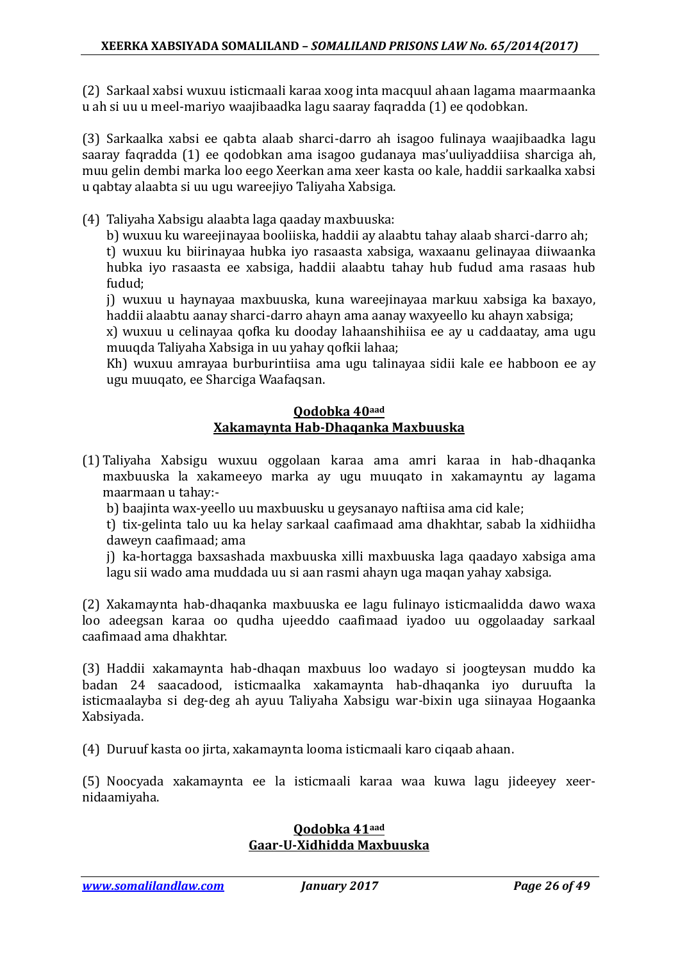(2) Sarkaal xabsi wuxuu isticmaali karaa xoog inta macquul ahaan lagama maarmaanka u ah si uu u meel-mariyo waajibaadka lagu saaray faqradda (1) ee qodobkan.

(3) Sarkaalka xabsi ee qabta alaab sharci-darro ah isagoo fulinaya waajibaadka lagu saaray faqradda (1) ee qodobkan ama isagoo gudanaya mas'uuliyaddiisa sharciga ah, muu gelin dembi marka loo eego Xeerkan ama xeer kasta oo kale, haddii sarkaalka xabsi u qabtay alaabta si uu ugu wareejiyo Taliyaha Xabsiga.

(4) Taliyaha Xabsigu alaabta laga qaaday maxbuuska:

b) wuxuu ku wareejinayaa booliiska, haddii ay alaabtu tahay alaab sharci-darro ah;

t) wuxuu ku biirinayaa hubka iyo rasaasta xabsiga, waxaanu gelinayaa diiwaanka hubka iyo rasaasta ee xabsiga, haddii alaabtu tahay hub fudud ama rasaas hub fudud;

j) wuxuu u haynayaa maxbuuska, kuna wareejinayaa markuu xabsiga ka baxayo, haddii alaabtu aanay sharci-darro ahayn ama aanay waxyeello ku ahayn xabsiga;

x) wuxuu u celinayaa qofka ku dooday lahaanshihiisa ee ay u caddaatay, ama ugu muuqda Taliyaha Xabsiga in uu yahay qofkii lahaa;

Kh) wuxuu amrayaa burburintiisa ama ugu talinayaa sidii kale ee habboon ee ay ugu muuqato, ee Sharciga Waafaqsan.

#### **Qodobka 40aad Xakamaynta Hab-Dhaqanka Maxbuuska**

(1) Taliyaha Xabsigu wuxuu oggolaan karaa ama amri karaa in hab-dhaqanka maxbuuska la xakameeyo marka ay ugu muuqato in xakamayntu ay lagama maarmaan u tahay:-

b) baajinta wax-yeello uu maxbuusku u geysanayo naftiisa ama cid kale;

t) tix-gelinta talo uu ka helay sarkaal caafimaad ama dhakhtar, sabab la xidhiidha daweyn caafimaad; ama

j) ka-hortagga baxsashada maxbuuska xilli maxbuuska laga qaadayo xabsiga ama lagu sii wado ama muddada uu si aan rasmi ahayn uga maqan yahay xabsiga.

(2) Xakamaynta hab-dhaqanka maxbuuska ee lagu fulinayo isticmaalidda dawo waxa loo adeegsan karaa oo qudha ujeeddo caafimaad iyadoo uu oggolaaday sarkaal caafimaad ama dhakhtar.

(3) Haddii xakamaynta hab-dhaqan maxbuus loo wadayo si joogteysan muddo ka badan 24 saacadood, isticmaalka xakamaynta hab-dhaqanka iyo duruufta la isticmaalayba si deg-deg ah ayuu Taliyaha Xabsigu war-bixin uga siinayaa Hogaanka Xabsiyada.

(4) Duruuf kasta oo jirta, xakamaynta looma isticmaali karo ciqaab ahaan.

(5) Noocyada xakamaynta ee la isticmaali karaa waa kuwa lagu jideeyey xeernidaamiyaha.

### **Qodobka 41aad Gaar-U-Xidhidda Maxbuuska**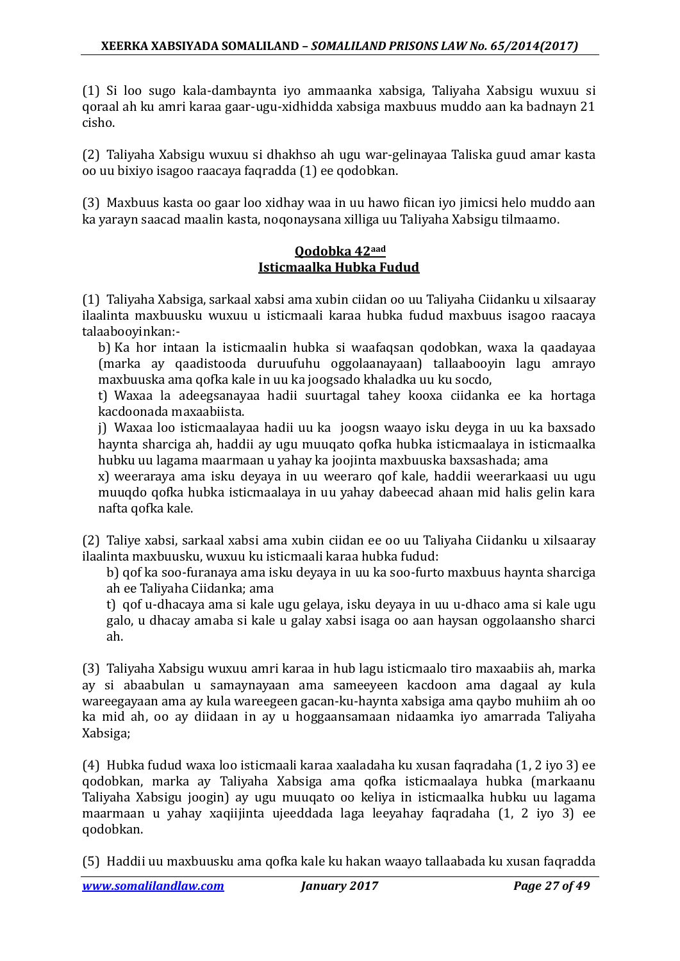(1) Si loo sugo kala-dambaynta iyo ammaanka xabsiga, Taliyaha Xabsigu wuxuu si qoraal ah ku amri karaa gaar-ugu-xidhidda xabsiga maxbuus muddo aan ka badnayn 21 cisho.

(2) Taliyaha Xabsigu wuxuu si dhakhso ah ugu war-gelinayaa Taliska guud amar kasta oo uu bixiyo isagoo raacaya faqradda (1) ee qodobkan.

(3) Maxbuus kasta oo gaar loo xidhay waa in uu hawo fiican iyo jimicsi helo muddo aan ka yarayn saacad maalin kasta, noqonaysana xilliga uu Taliyaha Xabsigu tilmaamo.

### **Qodobka 42aad Isticmaalka Hubka Fudud**

(1) Taliyaha Xabsiga, sarkaal xabsi ama xubin ciidan oo uu Taliyaha Ciidanku u xilsaaray ilaalinta maxbuusku wuxuu u isticmaali karaa hubka fudud maxbuus isagoo raacaya talaabooyinkan:-

b) Ka hor intaan la isticmaalin hubka si waafaqsan qodobkan, waxa la qaadayaa (marka ay qaadistooda duruufuhu oggolaanayaan) tallaabooyin lagu amrayo maxbuuska ama qofka kale in uu ka joogsado khaladka uu ku socdo,

t) Waxaa la adeegsanayaa hadii suurtagal tahey kooxa ciidanka ee ka hortaga kacdoonada maxaabiista.

j) Waxaa loo isticmaalayaa hadii uu ka joogsn waayo isku deyga in uu ka baxsado haynta sharciga ah, haddii ay ugu muuqato qofka hubka isticmaalaya in isticmaalka hubku uu lagama maarmaan u yahay ka joojinta maxbuuska baxsashada; ama

x) weeraraya ama isku deyaya in uu weeraro qof kale, haddii weerarkaasi uu ugu muuqdo qofka hubka isticmaalaya in uu yahay dabeecad ahaan mid halis gelin kara nafta qofka kale.

(2) Taliye xabsi, sarkaal xabsi ama xubin ciidan ee oo uu Taliyaha Ciidanku u xilsaaray ilaalinta maxbuusku, wuxuu ku isticmaali karaa hubka fudud:

b) qof ka soo-furanaya ama isku deyaya in uu ka soo-furto maxbuus haynta sharciga ah ee Taliyaha Ciidanka; ama

t) qof u-dhacaya ama si kale ugu gelaya, isku deyaya in uu u-dhaco ama si kale ugu galo, u dhacay amaba si kale u galay xabsi isaga oo aan haysan oggolaansho sharci ah.

(3) Taliyaha Xabsigu wuxuu amri karaa in hub lagu isticmaalo tiro maxaabiis ah, marka ay si abaabulan u samaynayaan ama sameeyeen kacdoon ama dagaal ay kula wareegayaan ama ay kula wareegeen gacan-ku-haynta xabsiga ama qaybo muhiim ah oo ka mid ah, oo ay diidaan in ay u hoggaansamaan nidaamka iyo amarrada Taliyaha Xabsiga;

(4) Hubka fudud waxa loo isticmaali karaa xaaladaha ku xusan faqradaha (1, 2 iyo 3) ee qodobkan, marka ay Taliyaha Xabsiga ama qofka isticmaalaya hubka (markaanu Taliyaha Xabsigu joogin) ay ugu muuqato oo keliya in isticmaalka hubku uu lagama maarmaan u yahay xaqiijinta ujeeddada laga leeyahay faqradaha (1, 2 iyo 3) ee qodobkan.

(5) Haddii uu maxbuusku ama qofka kale ku hakan waayo tallaabada ku xusan faqradda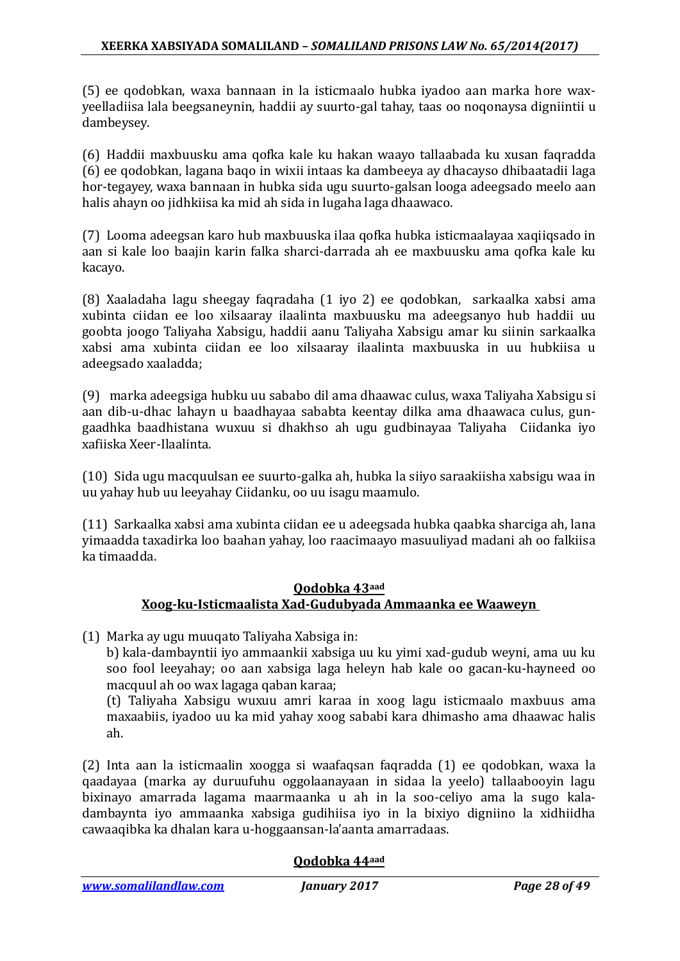(5) ee qodobkan, waxa bannaan in la isticmaalo hubka iyadoo aan marka hore waxyeelladiisa lala beegsaneynin, haddii ay suurto-gal tahay, taas oo noqonaysa digniintii u dambeysey.

(6) Haddii maxbuusku ama qofka kale ku hakan waayo tallaabada ku xusan faqradda (6) ee qodobkan, lagana baqo in wixii intaas ka dambeeya ay dhacayso dhibaatadii laga hor-tegayey, waxa bannaan in hubka sida ugu suurto-galsan looga adeegsado meelo aan halis ahayn oo jidhkiisa ka mid ah sida in lugaha laga dhaawaco.

(7) Looma adeegsan karo hub maxbuuska ilaa qofka hubka isticmaalayaa xaqiiqsado in aan si kale loo baajin karin falka sharci-darrada ah ee maxbuusku ama qofka kale ku kacayo.

(8) Xaaladaha lagu sheegay faqradaha (1 iyo 2) ee qodobkan, sarkaalka xabsi ama xubinta ciidan ee loo xilsaaray ilaalinta maxbuusku ma adeegsanyo hub haddii uu goobta joogo Taliyaha Xabsigu, haddii aanu Taliyaha Xabsigu amar ku siinin sarkaalka xabsi ama xubinta ciidan ee loo xilsaaray ilaalinta maxbuuska in uu hubkiisa u adeegsado xaaladda;

(9) marka adeegsiga hubku uu sababo dil ama dhaawac culus, waxa Taliyaha Xabsigu si aan dib-u-dhac lahayn u baadhayaa sababta keentay dilka ama dhaawaca culus, gungaadhka baadhistana wuxuu si dhakhso ah ugu gudbinayaa Taliyaha Ciidanka iyo xafiiska Xeer-Ilaalinta.

(10) Sida ugu macquulsan ee suurto-galka ah, hubka la siiyo saraakiisha xabsigu waa in uu yahay hub uu leeyahay Ciidanku, oo uu isagu maamulo.

(11) Sarkaalka xabsi ama xubinta ciidan ee u adeegsada hubka qaabka sharciga ah, lana yimaadda taxadirka loo baahan yahay, loo raacimaayo masuuliyad madani ah oo falkiisa ka timaadda.

### **Qodobka 43aad Xoog-ku-Isticmaalista Xad-Gudubyada Ammaanka ee Waaweyn**

(1) Marka ay ugu muuqato Taliyaha Xabsiga in:

b) kala-dambayntii iyo ammaankii xabsiga uu ku yimi xad-gudub weyni, ama uu ku soo fool leeyahay; oo aan xabsiga laga heleyn hab kale oo gacan-ku-hayneed oo macquul ah oo wax lagaga qaban karaa;

(t) Taliyaha Xabsigu wuxuu amri karaa in xoog lagu isticmaalo maxbuus ama maxaabiis, iyadoo uu ka mid yahay xoog sababi kara dhimasho ama dhaawac halis ah.

(2) Inta aan la isticmaalin xoogga si waafaqsan faqradda (1) ee qodobkan, waxa la qaadayaa (marka ay duruufuhu oggolaanayaan in sidaa la yeelo) tallaabooyin lagu bixinayo amarrada lagama maarmaanka u ah in la soo-celiyo ama la sugo kaladambaynta iyo ammaanka xabsiga gudihiisa iyo in la bixiyo digniino la xidhiidha cawaaqibka ka dhalan kara u-hoggaansan-la'aanta amarradaas.

### **Qodobka 44aad**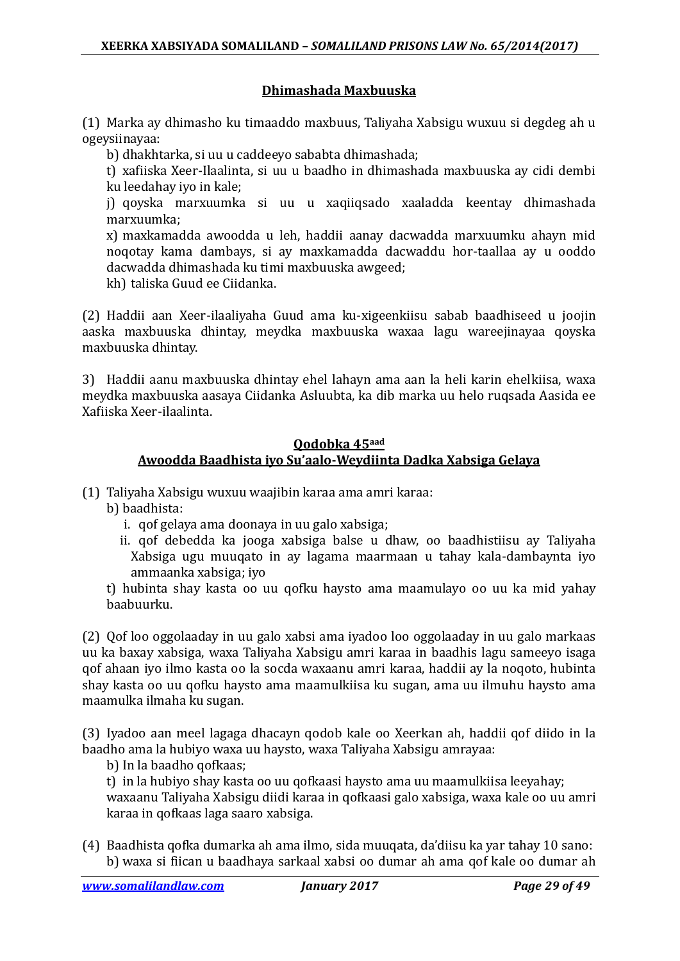### **Dhimashada Maxbuuska**

(1) Marka ay dhimasho ku timaaddo maxbuus, Taliyaha Xabsigu wuxuu si degdeg ah u ogeysiinayaa:

b) dhakhtarka, si uu u caddeeyo sababta dhimashada;

t) xafiiska Xeer-Ilaalinta, si uu u baadho in dhimashada maxbuuska ay cidi dembi ku leedahay iyo in kale;

j) qoyska marxuumka si uu u xaqiiqsado xaaladda keentay dhimashada marxuumka;

x) maxkamadda awoodda u leh, haddii aanay dacwadda marxuumku ahayn mid noqotay kama dambays, si ay maxkamadda dacwaddu hor-taallaa ay u ooddo dacwadda dhimashada ku timi maxbuuska awgeed;

kh) taliska Guud ee Ciidanka.

(2) Haddii aan Xeer-ilaaliyaha Guud ama ku-xigeenkiisu sabab baadhiseed u joojin aaska maxbuuska dhintay, meydka maxbuuska waxaa lagu wareejinayaa qoyska maxbuuska dhintay.

3) Haddii aanu maxbuuska dhintay ehel lahayn ama aan la heli karin ehelkiisa, waxa meydka maxbuuska aasaya Ciidanka Asluubta, ka dib marka uu helo ruqsada Aasida ee Xafiiska Xeer-ilaalinta.

### **Qodobka 45aad Awoodda Baadhista iyo Su'aalo-Weydiinta Dadka Xabsiga Gelaya**

(1) Taliyaha Xabsigu wuxuu waajibin karaa ama amri karaa:

b) baadhista:

- i. qof gelaya ama doonaya in uu galo xabsiga;
- ii. qof debedda ka jooga xabsiga balse u dhaw, oo baadhistiisu ay Taliyaha Xabsiga ugu muuqato in ay lagama maarmaan u tahay kala-dambaynta iyo ammaanka xabsiga; iyo

t) hubinta shay kasta oo uu qofku haysto ama maamulayo oo uu ka mid yahay baabuurku.

(2) Qof loo oggolaaday in uu galo xabsi ama iyadoo loo oggolaaday in uu galo markaas uu ka baxay xabsiga, waxa Taliyaha Xabsigu amri karaa in baadhis lagu sameeyo isaga qof ahaan iyo ilmo kasta oo la socda waxaanu amri karaa, haddii ay la noqoto, hubinta shay kasta oo uu qofku haysto ama maamulkiisa ku sugan, ama uu ilmuhu haysto ama maamulka ilmaha ku sugan.

(3) Iyadoo aan meel lagaga dhacayn qodob kale oo Xeerkan ah, haddii qof diido in la baadho ama la hubiyo waxa uu haysto, waxa Taliyaha Xabsigu amrayaa:

b) In la baadho qofkaas;

t) in la hubiyo shay kasta oo uu qofkaasi haysto ama uu maamulkiisa leeyahay; waxaanu Taliyaha Xabsigu diidi karaa in qofkaasi galo xabsiga, waxa kale oo uu amri karaa in qofkaas laga saaro xabsiga.

(4) Baadhista qofka dumarka ah ama ilmo, sida muuqata, da'diisu ka yar tahay 10 sano: b) waxa si fiican u baadhaya sarkaal xabsi oo dumar ah ama qof kale oo dumar ah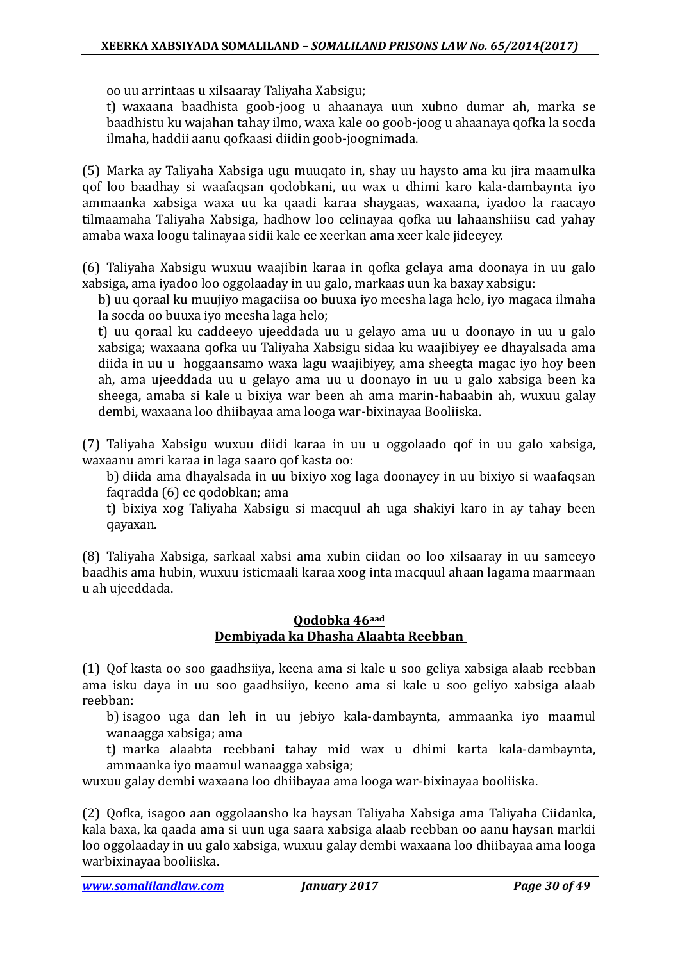oo uu arrintaas u xilsaaray Taliyaha Xabsigu;

t) waxaana baadhista goob-joog u ahaanaya uun xubno dumar ah, marka se baadhistu ku wajahan tahay ilmo, waxa kale oo goob-joog u ahaanaya qofka la socda ilmaha, haddii aanu qofkaasi diidin goob-joognimada.

(5) Marka ay Taliyaha Xabsiga ugu muuqato in, shay uu haysto ama ku jira maamulka qof loo baadhay si waafaqsan qodobkani, uu wax u dhimi karo kala-dambaynta iyo ammaanka xabsiga waxa uu ka qaadi karaa shaygaas, waxaana, iyadoo la raacayo tilmaamaha Taliyaha Xabsiga, hadhow loo celinayaa qofka uu lahaanshiisu cad yahay amaba waxa loogu talinayaa sidii kale ee xeerkan ama xeer kale jideeyey.

(6) Taliyaha Xabsigu wuxuu waajibin karaa in qofka gelaya ama doonaya in uu galo xabsiga, ama iyadoo loo oggolaaday in uu galo, markaas uun ka baxay xabsigu:

b) uu qoraal ku muujiyo magaciisa oo buuxa iyo meesha laga helo, iyo magaca ilmaha la socda oo buuxa iyo meesha laga helo;

t) uu qoraal ku caddeeyo ujeeddada uu u gelayo ama uu u doonayo in uu u galo xabsiga; waxaana qofka uu Taliyaha Xabsigu sidaa ku waajibiyey ee dhayalsada ama diida in uu u hoggaansamo waxa lagu waajibiyey, ama sheegta magac iyo hoy been ah, ama ujeeddada uu u gelayo ama uu u doonayo in uu u galo xabsiga been ka sheega, amaba si kale u bixiya war been ah ama marin-habaabin ah, wuxuu galay dembi, waxaana loo dhiibayaa ama looga war-bixinayaa Booliiska.

(7) Taliyaha Xabsigu wuxuu diidi karaa in uu u oggolaado qof in uu galo xabsiga, waxaanu amri karaa in laga saaro qof kasta oo:

b) diida ama dhayalsada in uu bixiyo xog laga doonayey in uu bixiyo si waafaqsan faqradda (6) ee qodobkan; ama

t) bixiya xog Taliyaha Xabsigu si macquul ah uga shakiyi karo in ay tahay been qayaxan.

(8) Taliyaha Xabsiga, sarkaal xabsi ama xubin ciidan oo loo xilsaaray in uu sameeyo baadhis ama hubin, wuxuu isticmaali karaa xoog inta macquul ahaan lagama maarmaan u ah ujeeddada.

### **Qodobka 46aad Dembiyada ka Dhasha Alaabta Reebban**

(1) Qof kasta oo soo gaadhsiiya, keena ama si kale u soo geliya xabsiga alaab reebban ama isku daya in uu soo gaadhsiiyo, keeno ama si kale u soo geliyo xabsiga alaab reebban:

b) isagoo uga dan leh in uu jebiyo kala-dambaynta, ammaanka iyo maamul wanaagga xabsiga; ama

t) marka alaabta reebbani tahay mid wax u dhimi karta kala-dambaynta, ammaanka iyo maamul wanaagga xabsiga;

wuxuu galay dembi waxaana loo dhiibayaa ama looga war-bixinayaa booliiska.

(2) Qofka, isagoo aan oggolaansho ka haysan Taliyaha Xabsiga ama Taliyaha Ciidanka, kala baxa, ka qaada ama si uun uga saara xabsiga alaab reebban oo aanu haysan markii loo oggolaaday in uu galo xabsiga, wuxuu galay dembi waxaana loo dhiibayaa ama looga warbixinayaa booliiska.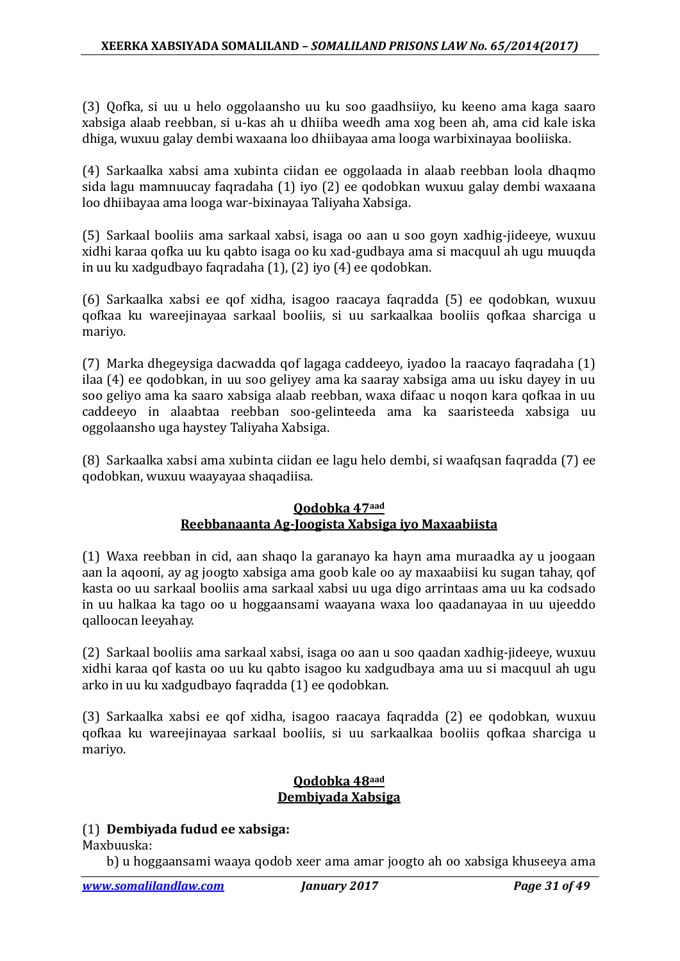(3) Qofka, si uu u helo oggolaansho uu ku soo gaadhsiiyo, ku keeno ama kaga saaro xabsiga alaab reebban, si u-kas ah u dhiiba weedh ama xog been ah, ama cid kale iska dhiga, wuxuu galay dembi waxaana loo dhiibayaa ama looga warbixinayaa booliiska.

(4) Sarkaalka xabsi ama xubinta ciidan ee oggolaada in alaab reebban loola dhaqmo sida lagu mamnuucay faqradaha (1) iyo (2) ee qodobkan wuxuu galay dembi waxaana loo dhiibayaa ama looga war-bixinayaa Taliyaha Xabsiga.

(5) Sarkaal booliis ama sarkaal xabsi, isaga oo aan u soo goyn xadhig-jideeye, wuxuu xidhi karaa qofka uu ku qabto isaga oo ku xad-gudbaya ama si macquul ah ugu muuqda in uu ku xadgudbayo faqradaha (1), (2) iyo (4) ee qodobkan.

(6) Sarkaalka xabsi ee qof xidha, isagoo raacaya faqradda (5) ee qodobkan, wuxuu qofkaa ku wareejinayaa sarkaal booliis, si uu sarkaalkaa booliis qofkaa sharciga u mariyo.

(7) Marka dhegeysiga dacwadda qof lagaga caddeeyo, iyadoo la raacayo faqradaha (1) ilaa (4) ee qodobkan, in uu soo geliyey ama ka saaray xabsiga ama uu isku dayey in uu soo geliyo ama ka saaro xabsiga alaab reebban, waxa difaac u noqon kara qofkaa in uu caddeeyo in alaabtaa reebban soo-gelinteeda ama ka saaristeeda xabsiga uu oggolaansho uga haystey Taliyaha Xabsiga.

(8) Sarkaalka xabsi ama xubinta ciidan ee lagu helo dembi, si waafqsan faqradda (7) ee qodobkan, wuxuu waayayaa shaqadiisa.

### **Qodobka 47aad Reebbanaanta Ag-Joogista Xabsiga iyo Maxaabiista**

(1) Waxa reebban in cid, aan shaqo la garanayo ka hayn ama muraadka ay u joogaan aan la aqooni, ay ag joogto xabsiga ama goob kale oo ay maxaabiisi ku sugan tahay, qof kasta oo uu sarkaal booliis ama sarkaal xabsi uu uga digo arrintaas ama uu ka codsado in uu halkaa ka tago oo u hoggaansami waayana waxa loo qaadanayaa in uu ujeeddo qalloocan leeyahay.

(2) Sarkaal booliis ama sarkaal xabsi, isaga oo aan u soo qaadan xadhig-jideeye, wuxuu xidhi karaa qof kasta oo uu ku qabto isagoo ku xadgudbaya ama uu si macquul ah ugu arko in uu ku xadgudbayo faqradda (1) ee qodobkan.

(3) Sarkaalka xabsi ee qof xidha, isagoo raacaya faqradda (2) ee qodobkan, wuxuu qofkaa ku wareejinayaa sarkaal booliis, si uu sarkaalkaa booliis qofkaa sharciga u mariyo.

### **Qodobka 48aad Dembiyada Xabsiga**

### (1) **Dembiyada fudud ee xabsiga:**

Maxbuuska:

b) u hoggaansami waaya qodob xeer ama amar joogto ah oo xabsiga khuseeya ama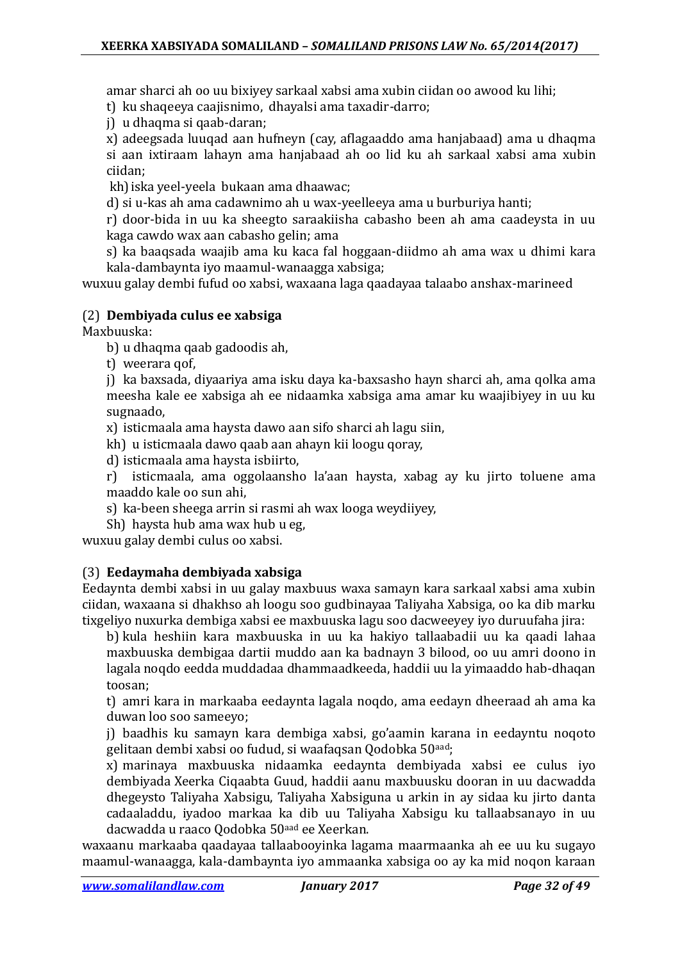amar sharci ah oo uu bixiyey sarkaal xabsi ama xubin ciidan oo awood ku lihi;

t) ku shaqeeya caajisnimo, dhayalsi ama taxadir-darro;

j) u dhaqma si qaab-daran;

x) adeegsada luuqad aan hufneyn (cay, aflagaaddo ama hanjabaad) ama u dhaqma si aan ixtiraam lahayn ama hanjabaad ah oo lid ku ah sarkaal xabsi ama xubin

ciidan;

kh)iska yeel-yeela bukaan ama dhaawac;

d) si u-kas ah ama cadawnimo ah u wax-yeelleeya ama u burburiya hanti;

r) door-bida in uu ka sheegto saraakiisha cabasho been ah ama caadeysta in uu kaga cawdo wax aan cabasho gelin; ama

s) ka baaqsada waajib ama ku kaca fal hoggaan-diidmo ah ama wax u dhimi kara kala-dambaynta iyo maamul-wanaagga xabsiga;

wuxuu galay dembi fufud oo xabsi, waxaana laga qaadayaa talaabo anshax-marineed

### (2) **Dembiyada culus ee xabsiga**

Maxbuuska:

- b) u dhaqma qaab gadoodis ah,
- t) weerara qof,

j) ka baxsada, diyaariya ama isku daya ka-baxsasho hayn sharci ah, ama qolka ama meesha kale ee xabsiga ah ee nidaamka xabsiga ama amar ku waajibiyey in uu ku sugnaado,

x) isticmaala ama haysta dawo aan sifo sharci ah lagu siin,

kh) u isticmaala dawo qaab aan ahayn kii loogu qoray,

d) isticmaala ama haysta isbiirto,

r) isticmaala, ama oggolaansho la'aan haysta, xabag ay ku jirto toluene ama maaddo kale oo sun ahi,

- s) ka-been sheega arrin si rasmi ah wax looga weydiiyey,
- Sh) haysta hub ama wax hub u eg,

wuxuu galay dembi culus oo xabsi.

### (3) **Eedaymaha dembiyada xabsiga**

Eedaynta dembi xabsi in uu galay maxbuus waxa samayn kara sarkaal xabsi ama xubin ciidan, waxaana si dhakhso ah loogu soo gudbinayaa Taliyaha Xabsiga, oo ka dib marku tixgeliyo nuxurka dembiga xabsi ee maxbuuska lagu soo dacweeyey iyo duruufaha jira:

b) kula heshiin kara maxbuuska in uu ka hakiyo tallaabadii uu ka qaadi lahaa maxbuuska dembigaa dartii muddo aan ka badnayn 3 bilood, oo uu amri doono in lagala noqdo eedda muddadaa dhammaadkeeda, haddii uu la yimaaddo hab-dhaqan toosan;

t) amri kara in markaaba eedaynta lagala noqdo, ama eedayn dheeraad ah ama ka duwan loo soo sameeyo;

j) baadhis ku samayn kara dembiga xabsi, go'aamin karana in eedayntu noqoto gelitaan dembi xabsi oo fudud, si waafaqsan Qodobka 50aad;

x) marinaya maxbuuska nidaamka eedaynta dembiyada xabsi ee culus iyo dembiyada Xeerka Ciqaabta Guud, haddii aanu maxbuusku dooran in uu dacwadda dhegeysto Taliyaha Xabsigu, Taliyaha Xabsiguna u arkin in ay sidaa ku jirto danta cadaaladdu, iyadoo markaa ka dib uu Taliyaha Xabsigu ku tallaabsanayo in uu dacwadda u raaco Qodobka 50aad ee Xeerkan.

waxaanu markaaba qaadayaa tallaabooyinka lagama maarmaanka ah ee uu ku sugayo maamul-wanaagga, kala-dambaynta iyo ammaanka xabsiga oo ay ka mid noqon karaan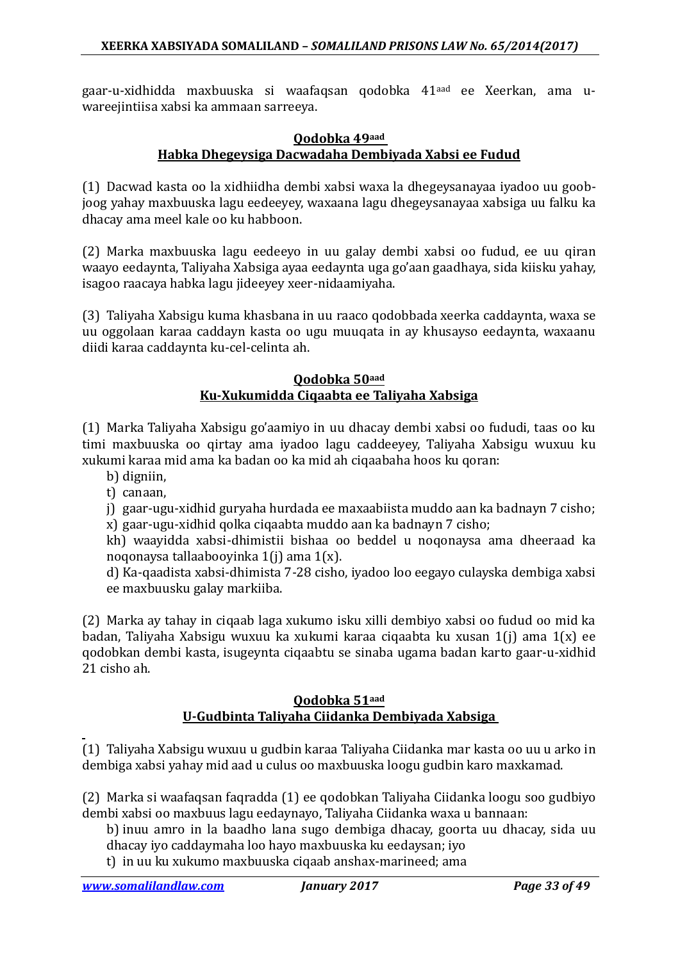gaar-u-xidhidda maxbuuska si waafaqsan qodobka 41aad ee Xeerkan, ama uwareejintiisa xabsi ka ammaan sarreeya.

#### **Qodobka 49aad Habka Dhegeysiga Dacwadaha Dembiyada Xabsi ee Fudud**

(1) Dacwad kasta oo la xidhiidha dembi xabsi waxa la dhegeysanayaa iyadoo uu goobjoog yahay maxbuuska lagu eedeeyey, waxaana lagu dhegeysanayaa xabsiga uu falku ka dhacay ama meel kale oo ku habboon.

(2) Marka maxbuuska lagu eedeeyo in uu galay dembi xabsi oo fudud, ee uu qiran waayo eedaynta, Taliyaha Xabsiga ayaa eedaynta uga go'aan gaadhaya, sida kiisku yahay, isagoo raacaya habka lagu jideeyey xeer-nidaamiyaha.

(3) Taliyaha Xabsigu kuma khasbana in uu raaco qodobbada xeerka caddaynta, waxa se uu oggolaan karaa caddayn kasta oo ugu muuqata in ay khusayso eedaynta, waxaanu diidi karaa caddaynta ku-cel-celinta ah.

#### **Qodobka 50aad Ku-Xukumidda Ciqaabta ee Taliyaha Xabsiga**

(1) Marka Taliyaha Xabsigu go'aamiyo in uu dhacay dembi xabsi oo fududi, taas oo ku timi maxbuuska oo qirtay ama iyadoo lagu caddeeyey, Taliyaha Xabsigu wuxuu ku xukumi karaa mid ama ka badan oo ka mid ah ciqaabaha hoos ku qoran:

- b) digniin,
- t) canaan,

j) gaar-ugu-xidhid guryaha hurdada ee maxaabiista muddo aan ka badnayn 7 cisho; x) gaar-ugu-xidhid qolka ciqaabta muddo aan ka badnayn 7 cisho;

kh) waayidda xabsi-dhimistii bishaa oo beddel u noqonaysa ama dheeraad ka noqonaysa tallaabooyinka 1(j) ama 1(x).

d) Ka-qaadista xabsi-dhimista 7-28 cisho, iyadoo loo eegayo culayska dembiga xabsi ee maxbuusku galay markiiba.

(2) Marka ay tahay in ciqaab laga xukumo isku xilli dembiyo xabsi oo fudud oo mid ka badan, Taliyaha Xabsigu wuxuu ka xukumi karaa ciqaabta ku xusan 1(j) ama 1(x) ee qodobkan dembi kasta, isugeynta ciqaabtu se sinaba ugama badan karto gaar-u-xidhid 21 cisho ah.

### **Qodobka 51aad U-Gudbinta Taliyaha Ciidanka Dembiyada Xabsiga**

(1) Taliyaha Xabsigu wuxuu u gudbin karaa Taliyaha Ciidanka mar kasta oo uu u arko in dembiga xabsi yahay mid aad u culus oo maxbuuska loogu gudbin karo maxkamad.

(2) Marka si waafaqsan faqradda (1) ee qodobkan Taliyaha Ciidanka loogu soo gudbiyo dembi xabsi oo maxbuus lagu eedaynayo, Taliyaha Ciidanka waxa u bannaan:

b) inuu amro in la baadho lana sugo dembiga dhacay, goorta uu dhacay, sida uu dhacay iyo caddaymaha loo hayo maxbuuska ku eedaysan; iyo

t) in uu ku xukumo maxbuuska ciqaab anshax-marineed; ama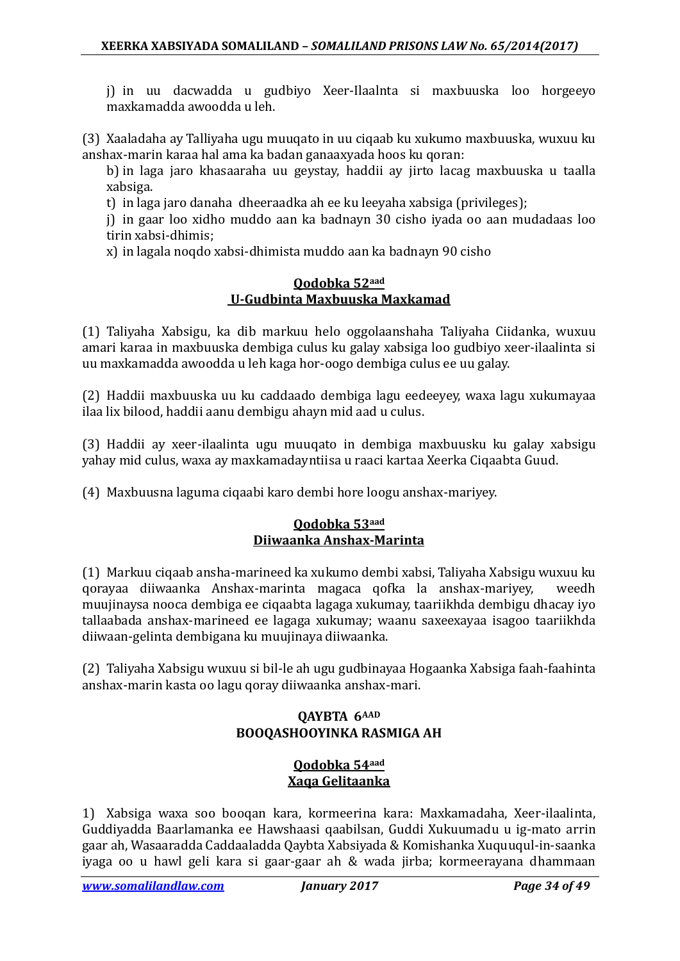j) in uu dacwadda u gudbiyo Xeer-Ilaalnta si maxbuuska loo horgeeyo maxkamadda awoodda u leh.

(3) Xaaladaha ay Talliyaha ugu muuqato in uu ciqaab ku xukumo maxbuuska, wuxuu ku anshax-marin karaa hal ama ka badan ganaaxyada hoos ku qoran:

b) in laga jaro khasaaraha uu geystay, haddii ay jirto lacag maxbuuska u taalla xabsiga.

t) in laga jaro danaha dheeraadka ah ee ku leeyaha xabsiga (privileges);

j) in gaar loo xidho muddo aan ka badnayn 30 cisho iyada oo aan mudadaas loo tirin xabsi-dhimis;

x) in lagala noqdo xabsi-dhimista muddo aan ka badnayn 90 cisho

### **Qodobka 52aad U-Gudbinta Maxbuuska Maxkamad**

(1) Taliyaha Xabsigu, ka dib markuu helo oggolaanshaha Taliyaha Ciidanka, wuxuu amari karaa in maxbuuska dembiga culus ku galay xabsiga loo gudbiyo xeer-ilaalinta si uu maxkamadda awoodda u leh kaga hor-oogo dembiga culus ee uu galay.

(2) Haddii maxbuuska uu ku caddaado dembiga lagu eedeeyey, waxa lagu xukumayaa ilaa lix bilood, haddii aanu dembigu ahayn mid aad u culus.

(3) Haddii ay xeer-ilaalinta ugu muuqato in dembiga maxbuusku ku galay xabsigu yahay mid culus, waxa ay maxkamadayntiisa u raaci kartaa Xeerka Ciqaabta Guud.

(4) Maxbuusna laguma ciqaabi karo dembi hore loogu anshax-mariyey.

### **Qodobka 53aad Diiwaanka Anshax-Marinta**

(1) Markuu ciqaab ansha-marineed ka xukumo dembi xabsi, Taliyaha Xabsigu wuxuu ku qorayaa diiwaanka Anshax-marinta magaca qofka la anshax-mariyey, muujinaysa nooca dembiga ee ciqaabta lagaga xukumay, taariikhda dembigu dhacay iyo tallaabada anshax-marineed ee lagaga xukumay; waanu saxeexayaa isagoo taariikhda diiwaan-gelinta dembigana ku muujinaya diiwaanka.

(2) Taliyaha Xabsigu wuxuu si bil-le ah ugu gudbinayaa Hogaanka Xabsiga faah-faahinta anshax-marin kasta oo lagu qoray diiwaanka anshax-mari.

### **QAYBTA 6AAD BOOQASHOOYINKA RASMIGA AH**

### **Qodobka 54aad Xaqa Gelitaanka**

1) Xabsiga waxa soo booqan kara, kormeerina kara: Maxkamadaha, Xeer-ilaalinta, Guddiyadda Baarlamanka ee Hawshaasi qaabilsan, Guddi Xukuumadu u ig-mato arrin gaar ah, Wasaaradda Caddaaladda Qaybta Xabsiyada & Komishanka Xuquuqul-in-saanka iyaga oo u hawl geli kara si gaar-gaar ah & wada jirba; kormeerayana dhammaan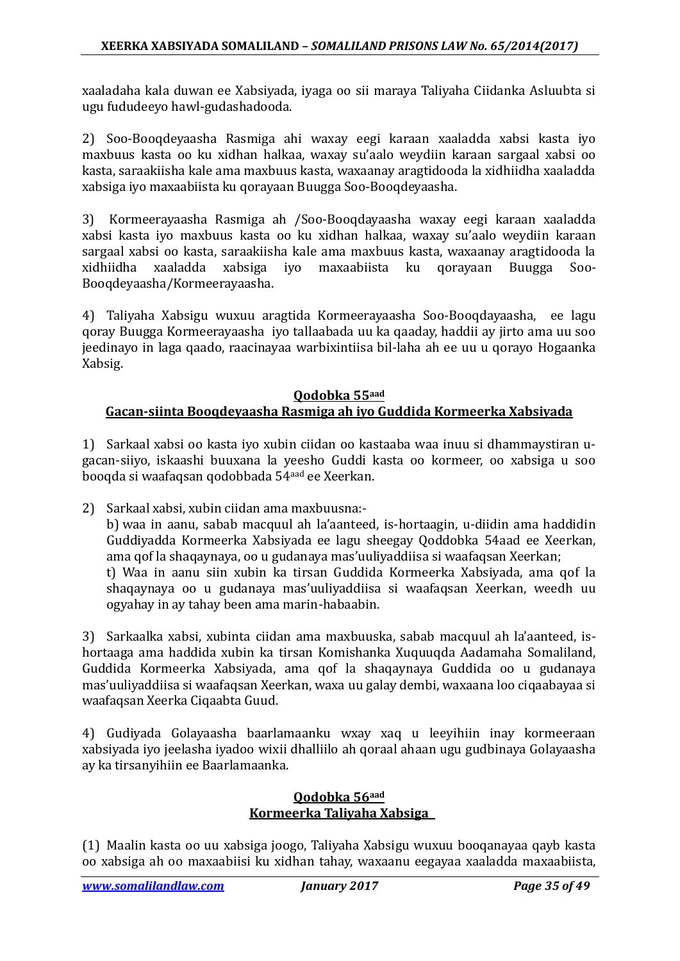xaaladaha kala duwan ee Xabsiyada, iyaga oo sii maraya Taliyaha Ciidanka Asluubta si ugu fududeeyo hawl-gudashadooda.

2) Soo-Booqdeyaasha Rasmiga ahi waxay eegi karaan xaaladda xabsi kasta iyo maxbuus kasta oo ku xidhan halkaa, waxay su'aalo weydiin karaan sargaal xabsi oo kasta, saraakiisha kale ama maxbuus kasta, waxaanay aragtidooda la xidhiidha xaaladda xabsiga iyo maxaabiista ku qorayaan Buugga Soo-Booqdeyaasha.

3) Kormeerayaasha Rasmiga ah /Soo-Booqdayaasha waxay eegi karaan xaaladda xabsi kasta iyo maxbuus kasta oo ku xidhan halkaa, waxay su'aalo weydiin karaan sargaal xabsi oo kasta, saraakiisha kale ama maxbuus kasta, waxaanay aragtidooda la xaaladda xabsiga iyo maxaabiista Booqdeyaasha/Kormeerayaasha.

4) Taliyaha Xabsigu wuxuu aragtida Kormeerayaasha Soo-Booqdayaasha, ee lagu qoray Buugga Kormeerayaasha iyo tallaabada uu ka qaaday, haddii ay jirto ama uu soo jeedinayo in laga qaado, raacinayaa warbixintiisa bil-laha ah ee uu u qorayo Hogaanka Xabsig.

### **Qodobka 55aad Gacan-siinta Booqdeyaasha Rasmiga ah iyo Guddida Kormeerka Xabsiyada**

1) Sarkaal xabsi oo kasta iyo xubin ciidan oo kastaaba waa inuu si dhammaystiran ugacan-siiyo, iskaashi buuxana la yeesho Guddi kasta oo kormeer, oo xabsiga u soo booqda si waafaqsan qodobbada 54aad ee Xeerkan.

2) Sarkaal xabsi, xubin ciidan ama maxbuusna: b) waa in aanu, sabab macquul ah la'aanteed, is-hortaagin, u-diidin ama haddidin Guddiyadda Kormeerka Xabsiyada ee lagu sheegay Qoddobka 54aad ee Xeerkan, ama qof la shaqaynaya, oo u gudanaya mas'uuliyaddiisa si waafaqsan Xeerkan; t) Waa in aanu siin xubin ka tirsan Guddida Kormeerka Xabsiyada, ama qof la shaqaynaya oo u gudanaya mas'uuliyaddiisa si waafaqsan Xeerkan, weedh uu ogyahay in ay tahay been ama marin-habaabin.

3) Sarkaalka xabsi, xubinta ciidan ama maxbuuska, sabab macquul ah la'aanteed, ishortaaga ama haddida xubin ka tirsan Komishanka Xuquuqda Aadamaha Somaliland, Guddida Kormeerka Xabsiyada, ama qof la shaqaynaya Guddida oo u gudanaya mas'uuliyaddiisa si waafaqsan Xeerkan, waxa uu galay dembi, waxaana loo ciqaabayaa si waafaqsan Xeerka Ciqaabta Guud.

4) Gudiyada Golayaasha baarlamaanku wxay xaq u leeyihiin inay kormeeraan xabsiyada iyo jeelasha iyadoo wixii dhalliilo ah qoraal ahaan ugu gudbinaya Golayaasha ay ka tirsanyihiin ee Baarlamaanka.

### **Qodobka 56aad Kormeerka Taliyaha Xabsiga**

(1) Maalin kasta oo uu xabsiga joogo, Taliyaha Xabsigu wuxuu booqanayaa qayb kasta oo xabsiga ah oo maxaabiisi ku xidhan tahay, waxaanu eegayaa xaaladda maxaabiista,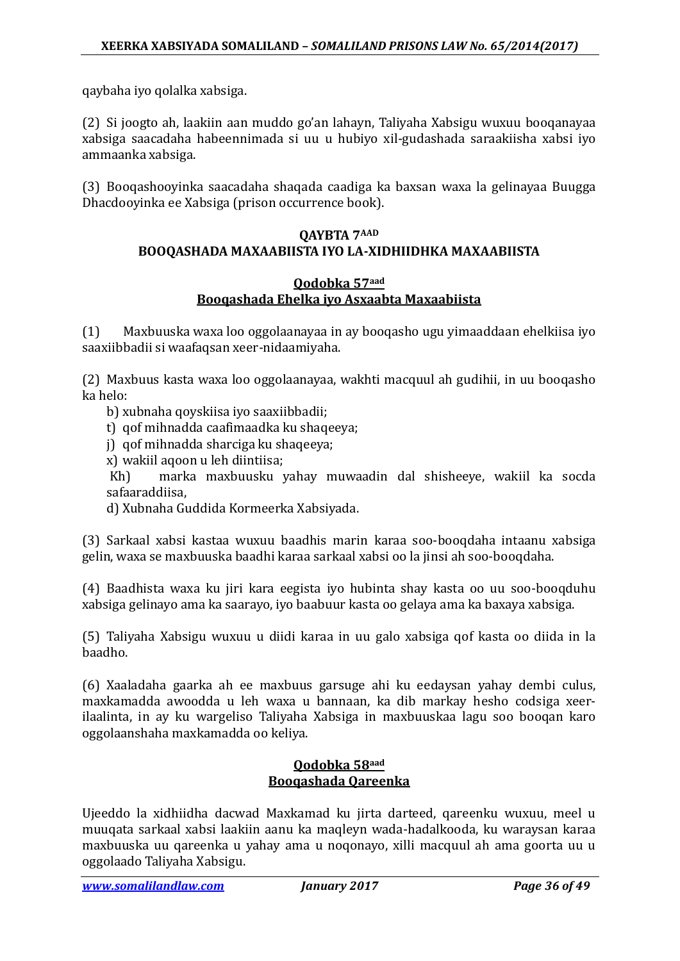qaybaha iyo qolalka xabsiga.

(2) Si joogto ah, laakiin aan muddo go'an lahayn, Taliyaha Xabsigu wuxuu booqanayaa xabsiga saacadaha habeennimada si uu u hubiyo xil-gudashada saraakiisha xabsi iyo ammaanka xabsiga.

(3) Booqashooyinka saacadaha shaqada caadiga ka baxsan waxa la gelinayaa Buugga Dhacdooyinka ee Xabsiga (prison occurrence book).

### **QAYBTA 7AAD BOOQASHADA MAXAABIISTA IYO LA-XIDHIIDHKA MAXAABIISTA**

### **Qodobka 57aad Booqashada Ehelka iyo Asxaabta Maxaabiista**

(1) Maxbuuska waxa loo oggolaanayaa in ay booqasho ugu yimaaddaan ehelkiisa iyo saaxiibbadii si waafaqsan xeer-nidaamiyaha.

(2) Maxbuus kasta waxa loo oggolaanayaa, wakhti macquul ah gudihii, in uu booqasho ka helo:

- b) xubnaha qoyskiisa iyo saaxiibbadii;
- t) qof mihnadda caafimaadka ku shaqeeya;
- j) qof mihnadda sharciga ku shaqeeya;
- x) wakiil aqoon u leh diintiisa;

marka maxbuusku yahay muwaadin dal shisheeye, wakiil ka socda safaaraddiisa,

d) Xubnaha Guddida Kormeerka Xabsiyada.

(3) Sarkaal xabsi kastaa wuxuu baadhis marin karaa soo-booqdaha intaanu xabsiga gelin, waxa se maxbuuska baadhi karaa sarkaal xabsi oo la jinsi ah soo-booqdaha.

(4) Baadhista waxa ku jiri kara eegista iyo hubinta shay kasta oo uu soo-booqduhu xabsiga gelinayo ama ka saarayo, iyo baabuur kasta oo gelaya ama ka baxaya xabsiga.

(5) Taliyaha Xabsigu wuxuu u diidi karaa in uu galo xabsiga qof kasta oo diida in la baadho.

(6) Xaaladaha gaarka ah ee maxbuus garsuge ahi ku eedaysan yahay dembi culus, maxkamadda awoodda u leh waxa u bannaan, ka dib markay hesho codsiga xeerilaalinta, in ay ku wargeliso Taliyaha Xabsiga in maxbuuskaa lagu soo booqan karo oggolaanshaha maxkamadda oo keliya.

### **Qodobka 58aad Booqashada Qareenka**

Ujeeddo la xidhiidha dacwad Maxkamad ku jirta darteed, qareenku wuxuu, meel u muuqata sarkaal xabsi laakiin aanu ka maqleyn wada-hadalkooda, ku waraysan karaa maxbuuska uu qareenka u yahay ama u noqonayo, xilli macquul ah ama goorta uu u oggolaado Taliyaha Xabsigu.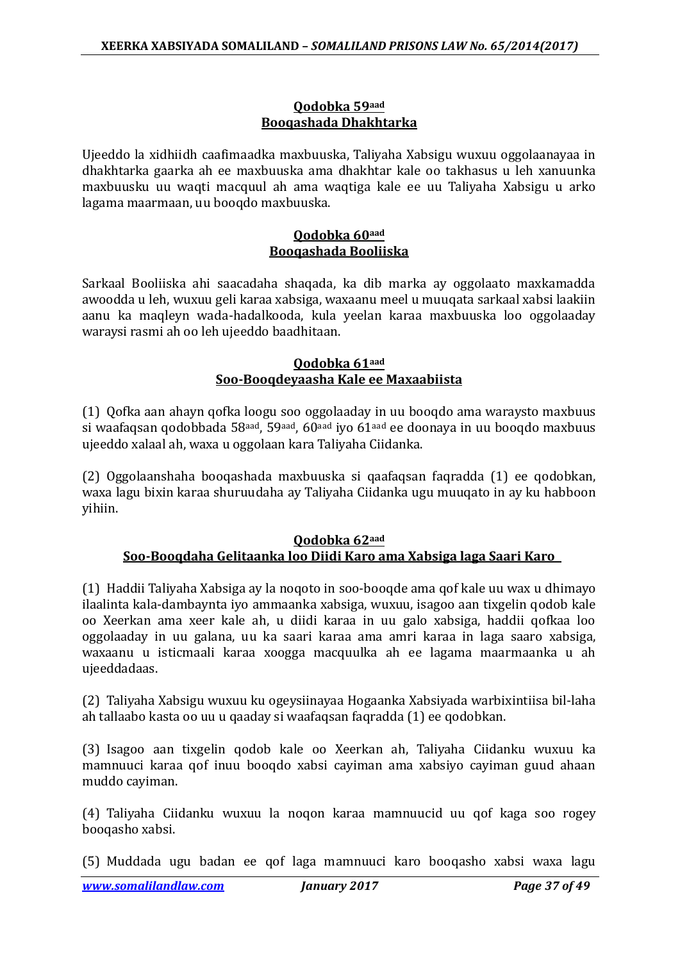### **Qodobka 59aad Booqashada Dhakhtarka**

Ujeeddo la xidhiidh caafimaadka maxbuuska, Taliyaha Xabsigu wuxuu oggolaanayaa in dhakhtarka gaarka ah ee maxbuuska ama dhakhtar kale oo takhasus u leh xanuunka maxbuusku uu waqti macquul ah ama waqtiga kale ee uu Taliyaha Xabsigu u arko lagama maarmaan, uu booqdo maxbuuska.

### **Qodobka 60aad Booqashada Booliiska**

Sarkaal Booliiska ahi saacadaha shaqada, ka dib marka ay oggolaato maxkamadda awoodda u leh, wuxuu geli karaa xabsiga, waxaanu meel u muuqata sarkaal xabsi laakiin aanu ka maqleyn wada-hadalkooda, kula yeelan karaa maxbuuska loo oggolaaday waraysi rasmi ah oo leh ujeeddo baadhitaan.

### **Qodobka 61aad Soo-Booqdeyaasha Kale ee Maxaabiista**

(1) Qofka aan ahayn qofka loogu soo oggolaaday in uu booqdo ama waraysto maxbuus si waafaqsan qodobbada 58<sup>aad</sup>, 59<sup>aad</sup>, 60<sup>aad</sup> iyo 61<sup>aad</sup> ee doonaya in uu booqdo maxbuus ujeeddo xalaal ah, waxa u oggolaan kara Taliyaha Ciidanka.

(2) Oggolaanshaha booqashada maxbuuska si qaafaqsan faqradda (1) ee qodobkan, waxa lagu bixin karaa shuruudaha ay Taliyaha Ciidanka ugu muuqato in ay ku habboon yihiin.

#### **Qodobka 62aad Soo-Booqdaha Gelitaanka loo Diidi Karo ama Xabsiga laga Saari Karo**

(1) Haddii Taliyaha Xabsiga ay la noqoto in soo-booqde ama qof kale uu wax u dhimayo ilaalinta kala-dambaynta iyo ammaanka xabsiga, wuxuu, isagoo aan tixgelin qodob kale oo Xeerkan ama xeer kale ah, u diidi karaa in uu galo xabsiga, haddii qofkaa loo oggolaaday in uu galana, uu ka saari karaa ama amri karaa in laga saaro xabsiga, waxaanu u isticmaali karaa xoogga macquulka ah ee lagama maarmaanka u ah ujeeddadaas.

(2) Taliyaha Xabsigu wuxuu ku ogeysiinayaa Hogaanka Xabsiyada warbixintiisa bil-laha ah tallaabo kasta oo uu u qaaday si waafaqsan faqradda (1) ee qodobkan.

(3) Isagoo aan tixgelin qodob kale oo Xeerkan ah, Taliyaha Ciidanku wuxuu ka mamnuuci karaa qof inuu booqdo xabsi cayiman ama xabsiyo cayiman guud ahaan muddo cayiman.

(4) Taliyaha Ciidanku wuxuu la noqon karaa mamnuucid uu qof kaga soo rogey booqasho xabsi.

(5) Muddada ugu badan ee qof laga mamnuuci karo booqasho xabsi waxa lagu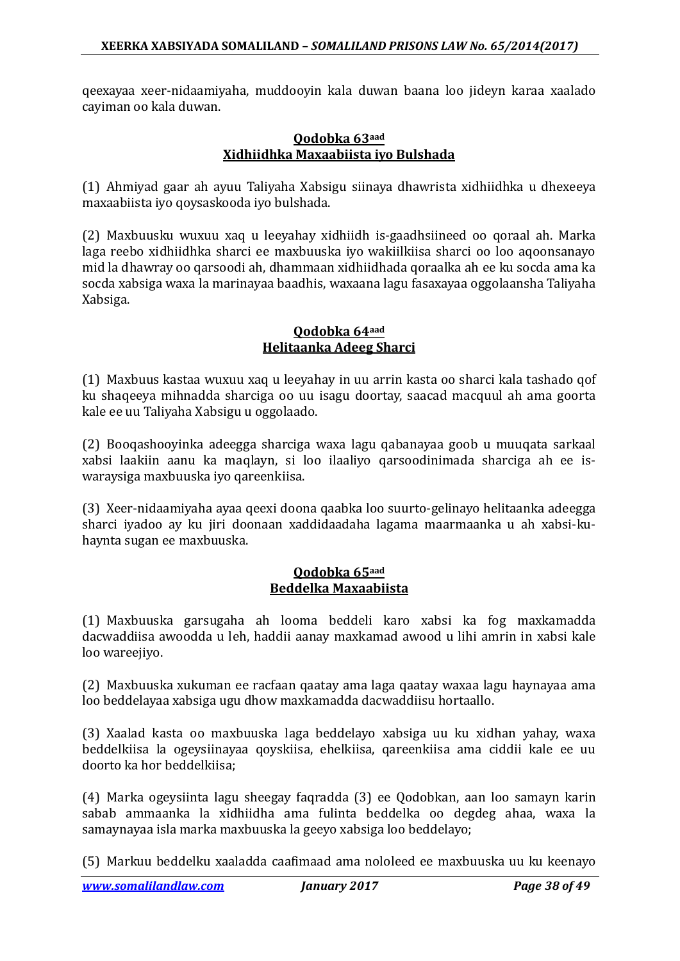qeexayaa xeer-nidaamiyaha, muddooyin kala duwan baana loo jideyn karaa xaalado cayiman oo kala duwan.

#### **Qodobka 63aad Xidhiidhka Maxaabiista iyo Bulshada**

(1) Ahmiyad gaar ah ayuu Taliyaha Xabsigu siinaya dhawrista xidhiidhka u dhexeeya maxaabiista iyo qoysaskooda iyo bulshada.

(2) Maxbuusku wuxuu xaq u leeyahay xidhiidh is-gaadhsiineed oo qoraal ah. Marka laga reebo xidhiidhka sharci ee maxbuuska iyo wakiilkiisa sharci oo loo aqoonsanayo mid la dhawray oo qarsoodi ah, dhammaan xidhiidhada qoraalka ah ee ku socda ama ka socda xabsiga waxa la marinayaa baadhis, waxaana lagu fasaxayaa oggolaansha Taliyaha Xabsiga.

#### **Qodobka 64aad Helitaanka Adeeg Sharci**

(1) Maxbuus kastaa wuxuu xaq u leeyahay in uu arrin kasta oo sharci kala tashado qof ku shaqeeya mihnadda sharciga oo uu isagu doortay, saacad macquul ah ama goorta kale ee uu Taliyaha Xabsigu u oggolaado.

(2) Booqashooyinka adeegga sharciga waxa lagu qabanayaa goob u muuqata sarkaal xabsi laakiin aanu ka maqlayn, si loo ilaaliyo qarsoodinimada sharciga ah ee iswaraysiga maxbuuska iyo qareenkiisa.

(3) Xeer-nidaamiyaha ayaa qeexi doona qaabka loo suurto-gelinayo helitaanka adeegga sharci iyadoo ay ku jiri doonaan xaddidaadaha lagama maarmaanka u ah xabsi-kuhaynta sugan ee maxbuuska.

### **Qodobka 65aad Beddelka Maxaabiista**

(1) Maxbuuska garsugaha ah looma beddeli karo xabsi ka fog maxkamadda dacwaddiisa awoodda u leh, haddii aanay maxkamad awood u lihi amrin in xabsi kale loo wareejiyo.

(2) Maxbuuska xukuman ee racfaan qaatay ama laga qaatay waxaa lagu haynayaa ama loo beddelayaa xabsiga ugu dhow maxkamadda dacwaddiisu hortaallo.

(3) Xaalad kasta oo maxbuuska laga beddelayo xabsiga uu ku xidhan yahay, waxa beddelkiisa la ogeysiinayaa qoyskiisa, ehelkiisa, qareenkiisa ama ciddii kale ee uu doorto ka hor beddelkiisa;

(4) Marka ogeysiinta lagu sheegay faqradda (3) ee Qodobkan, aan loo samayn karin sabab ammaanka la xidhiidha ama fulinta beddelka oo degdeg ahaa, waxa la samaynayaa isla marka maxbuuska la geeyo xabsiga loo beddelayo;

(5) Markuu beddelku xaaladda caafimaad ama nololeed ee maxbuuska uu ku keenayo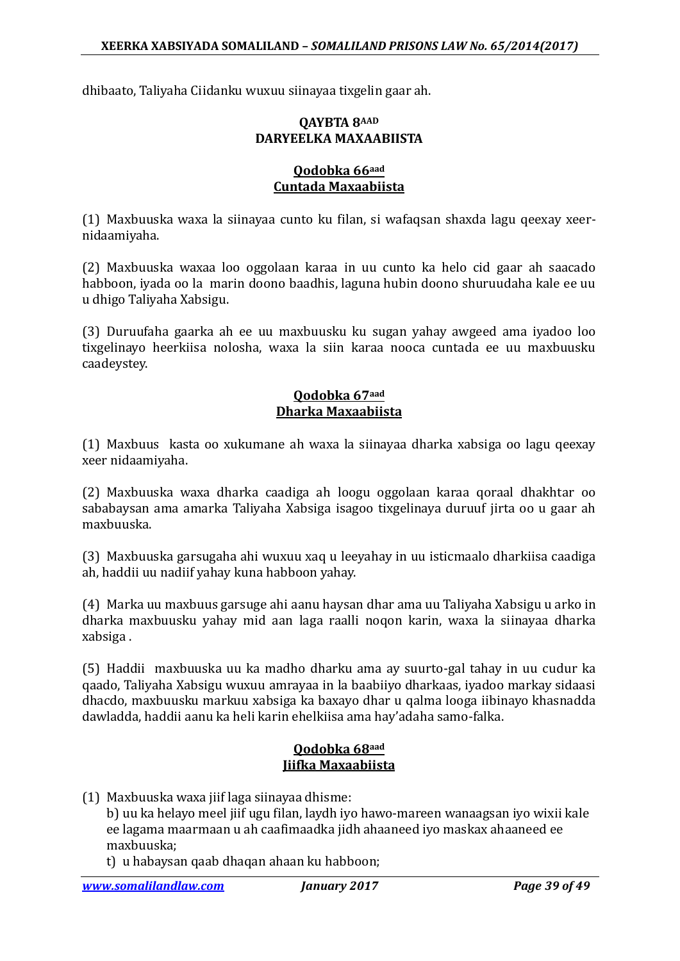dhibaato, Taliyaha Ciidanku wuxuu siinayaa tixgelin gaar ah.

### **QAYBTA 8AAD DARYEELKA MAXAABIISTA**

### **Qodobka 66aad Cuntada Maxaabiista**

(1) Maxbuuska waxa la siinayaa cunto ku filan, si wafaqsan shaxda lagu qeexay xeernidaamiyaha.

(2) Maxbuuska waxaa loo oggolaan karaa in uu cunto ka helo cid gaar ah saacado habboon, iyada oo la marin doono baadhis, laguna hubin doono shuruudaha kale ee uu u dhigo Taliyaha Xabsigu.

(3) Duruufaha gaarka ah ee uu maxbuusku ku sugan yahay awgeed ama iyadoo loo tixgelinayo heerkiisa nolosha, waxa la siin karaa nooca cuntada ee uu maxbuusku caadeystey.

#### **Qodobka 67aad Dharka Maxaabiista**

(1) Maxbuus kasta oo xukumane ah waxa la siinayaa dharka xabsiga oo lagu qeexay xeer nidaamiyaha.

(2) Maxbuuska waxa dharka caadiga ah loogu oggolaan karaa qoraal dhakhtar oo sababaysan ama amarka Taliyaha Xabsiga isagoo tixgelinaya duruuf jirta oo u gaar ah maxbuuska.

(3) Maxbuuska garsugaha ahi wuxuu xaq u leeyahay in uu isticmaalo dharkiisa caadiga ah, haddii uu nadiif yahay kuna habboon yahay.

(4) Marka uu maxbuus garsuge ahi aanu haysan dhar ama uu Taliyaha Xabsigu u arko in dharka maxbuusku yahay mid aan laga raalli noqon karin, waxa la siinayaa dharka xabsiga .

(5) Haddii maxbuuska uu ka madho dharku ama ay suurto-gal tahay in uu cudur ka qaado, Taliyaha Xabsigu wuxuu amrayaa in la baabiiyo dharkaas, iyadoo markay sidaasi dhacdo, maxbuusku markuu xabsiga ka baxayo dhar u qalma looga iibinayo khasnadda dawladda, haddii aanu ka heli karin ehelkiisa ama hay'adaha samo-falka.

### **Qodobka 68aad Jiifka Maxaabiista**

(1) Maxbuuska waxa jiif laga siinayaa dhisme:

b) uu ka helayo meel jiif ugu filan, laydh iyo hawo-mareen wanaagsan iyo wixii kale ee lagama maarmaan u ah caafimaadka jidh ahaaneed iyo maskax ahaaneed ee maxbuuska;

t) u habaysan qaab dhaqan ahaan ku habboon;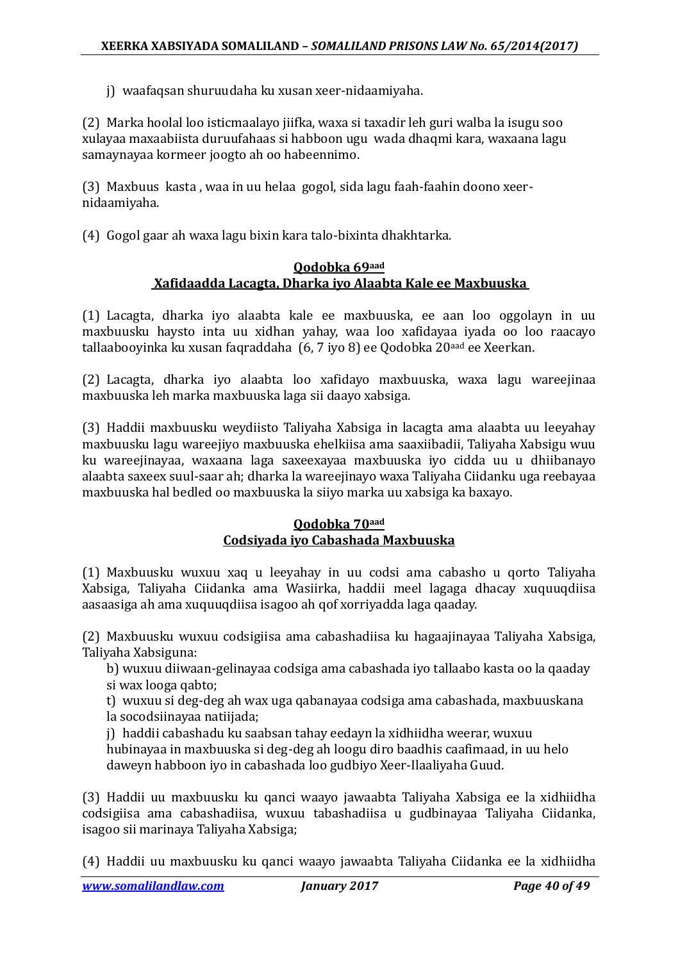j) waafaqsan shuruudaha ku xusan xeer-nidaamiyaha.

(2) Marka hoolal loo isticmaalayo jiifka, waxa si taxadir leh guri walba la isugu soo xulayaa maxaabiista duruufahaas si habboon ugu wada dhaqmi kara, waxaana lagu samaynayaa kormeer joogto ah oo habeennimo.

(3) Maxbuus kasta , waa in uu helaa gogol, sida lagu faah-faahin doono xeernidaamiyaha.

(4) Gogol gaar ah waxa lagu bixin kara talo-bixinta dhakhtarka.

### **Qodobka 69aad Xafidaadda Lacagta, Dharka iyo Alaabta Kale ee Maxbuuska**

(1) Lacagta, dharka iyo alaabta kale ee maxbuuska, ee aan loo oggolayn in uu maxbuusku haysto inta uu xidhan yahay, waa loo xafidayaa iyada oo loo raacayo tallaabooyinka ku xusan faqraddaha (6, 7 iyo 8) ee Qodobka 20<sup>aad</sup> ee Xeerkan.

(2) Lacagta, dharka iyo alaabta loo xafidayo maxbuuska, waxa lagu wareejinaa maxbuuska leh marka maxbuuska laga sii daayo xabsiga.

(3) Haddii maxbuusku weydiisto Taliyaha Xabsiga in lacagta ama alaabta uu leeyahay maxbuusku lagu wareejiyo maxbuuska ehelkiisa ama saaxiibadii, Taliyaha Xabsigu wuu ku wareejinayaa, waxaana laga saxeexayaa maxbuuska iyo cidda uu u dhiibanayo alaabta saxeex suul-saar ah; dharka la wareejinayo waxa Taliyaha Ciidanku uga reebayaa maxbuuska hal bedled oo maxbuuska la siiyo marka uu xabsiga ka baxayo.

### **Qodobka 70aad Codsiyada iyo Cabashada Maxbuuska**

(1) Maxbuusku wuxuu xaq u leeyahay in uu codsi ama cabasho u qorto Taliyaha Xabsiga, Taliyaha Ciidanka ama Wasiirka, haddii meel lagaga dhacay xuquuqdiisa aasaasiga ah ama xuquuqdiisa isagoo ah qof xorriyadda laga qaaday.

(2) Maxbuusku wuxuu codsigiisa ama cabashadiisa ku hagaajinayaa Taliyaha Xabsiga, Taliyaha Xabsiguna:

b) wuxuu diiwaan-gelinayaa codsiga ama cabashada iyo tallaabo kasta oo la qaaday si wax looga qabto;

t) wuxuu si deg-deg ah wax uga qabanayaa codsiga ama cabashada, maxbuuskana la socodsiinayaa natiijada;

j) haddii cabashadu ku saabsan tahay eedayn la xidhiidha weerar, wuxuu hubinayaa in maxbuuska si deg-deg ah loogu diro baadhis caafimaad, in uu helo daweyn habboon iyo in cabashada loo gudbiyo Xeer-Ilaaliyaha Guud.

(3) Haddii uu maxbuusku ku qanci waayo jawaabta Taliyaha Xabsiga ee la xidhiidha codsigiisa ama cabashadiisa, wuxuu tabashadiisa u gudbinayaa Taliyaha Ciidanka, isagoo sii marinaya Taliyaha Xabsiga;

(4) Haddii uu maxbuusku ku qanci waayo jawaabta Taliyaha Ciidanka ee la xidhiidha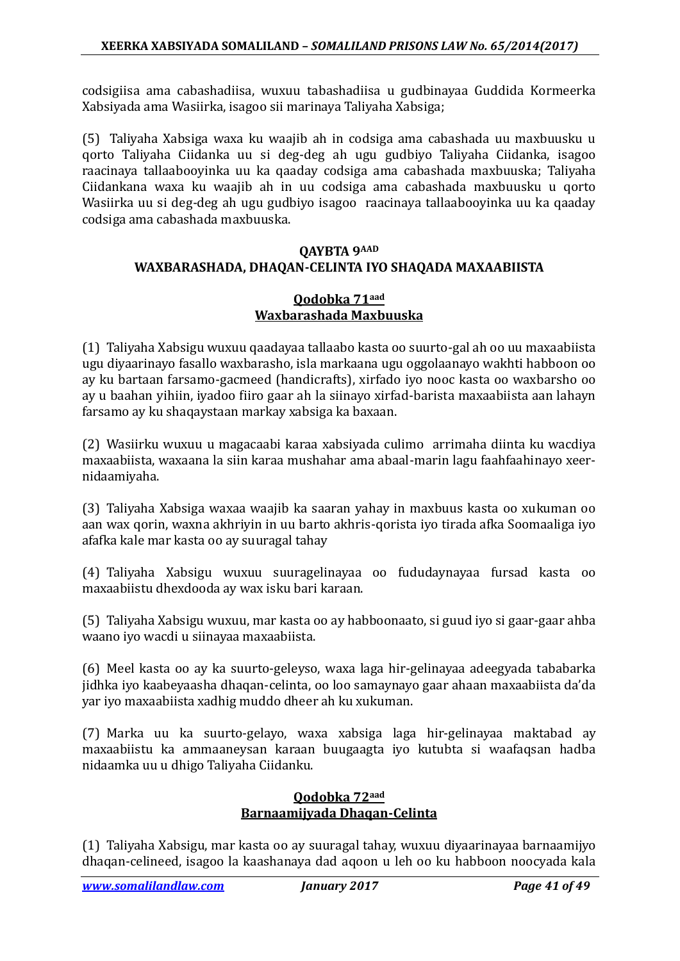codsigiisa ama cabashadiisa, wuxuu tabashadiisa u gudbinayaa Guddida Kormeerka Xabsiyada ama Wasiirka, isagoo sii marinaya Taliyaha Xabsiga;

(5) Taliyaha Xabsiga waxa ku waajib ah in codsiga ama cabashada uu maxbuusku u qorto Taliyaha Ciidanka uu si deg-deg ah ugu gudbiyo Taliyaha Ciidanka, isagoo raacinaya tallaabooyinka uu ka qaaday codsiga ama cabashada maxbuuska; Taliyaha Ciidankana waxa ku waajib ah in uu codsiga ama cabashada maxbuusku u qorto Wasiirka uu si deg-deg ah ugu gudbiyo isagoo raacinaya tallaabooyinka uu ka qaaday codsiga ama cabashada maxbuuska.

### **QAYBTA 9AAD WAXBARASHADA, DHAQAN-CELINTA IYO SHAQADA MAXAABIISTA**

#### **Qodobka 71aad Waxbarashada Maxbuuska**

(1) Taliyaha Xabsigu wuxuu qaadayaa tallaabo kasta oo suurto-gal ah oo uu maxaabiista ugu diyaarinayo fasallo waxbarasho, isla markaana ugu oggolaanayo wakhti habboon oo ay ku bartaan farsamo-gacmeed (handicrafts), xirfado iyo nooc kasta oo waxbarsho oo ay u baahan yihiin, iyadoo fiiro gaar ah la siinayo xirfad-barista maxaabiista aan lahayn farsamo ay ku shaqaystaan markay xabsiga ka baxaan.

(2) Wasiirku wuxuu u magacaabi karaa xabsiyada culimo arrimaha diinta ku wacdiya maxaabiista, waxaana la siin karaa mushahar ama abaal-marin lagu faahfaahinayo xeernidaamiyaha.

(3) Taliyaha Xabsiga waxaa waajib ka saaran yahay in maxbuus kasta oo xukuman oo aan wax qorin, waxna akhriyin in uu barto akhris-qorista iyo tirada afka Soomaaliga iyo afafka kale mar kasta oo ay suuragal tahay

(4) Taliyaha Xabsigu wuxuu suuragelinayaa oo fududaynayaa fursad kasta oo maxaabiistu dhexdooda ay wax isku bari karaan.

(5) Taliyaha Xabsigu wuxuu, mar kasta oo ay habboonaato, si guud iyo si gaar-gaar ahba waano iyo wacdi u siinayaa maxaabiista.

(6) Meel kasta oo ay ka suurto-geleyso, waxa laga hir-gelinayaa adeegyada tababarka jidhka iyo kaabeyaasha dhaqan-celinta, oo loo samaynayo gaar ahaan maxaabiista da'da yar iyo maxaabiista xadhig muddo dheer ah ku xukuman.

(7) Marka uu ka suurto-gelayo, waxa xabsiga laga hir-gelinayaa maktabad ay maxaabiistu ka ammaaneysan karaan buugaagta iyo kutubta si waafaqsan hadba nidaamka uu u dhigo Taliyaha Ciidanku.

### **Qodobka 72aad Barnaamijyada Dhaqan-Celinta**

(1) Taliyaha Xabsigu, mar kasta oo ay suuragal tahay, wuxuu diyaarinayaa barnaamijyo dhaqan-celineed, isagoo la kaashanaya dad aqoon u leh oo ku habboon noocyada kala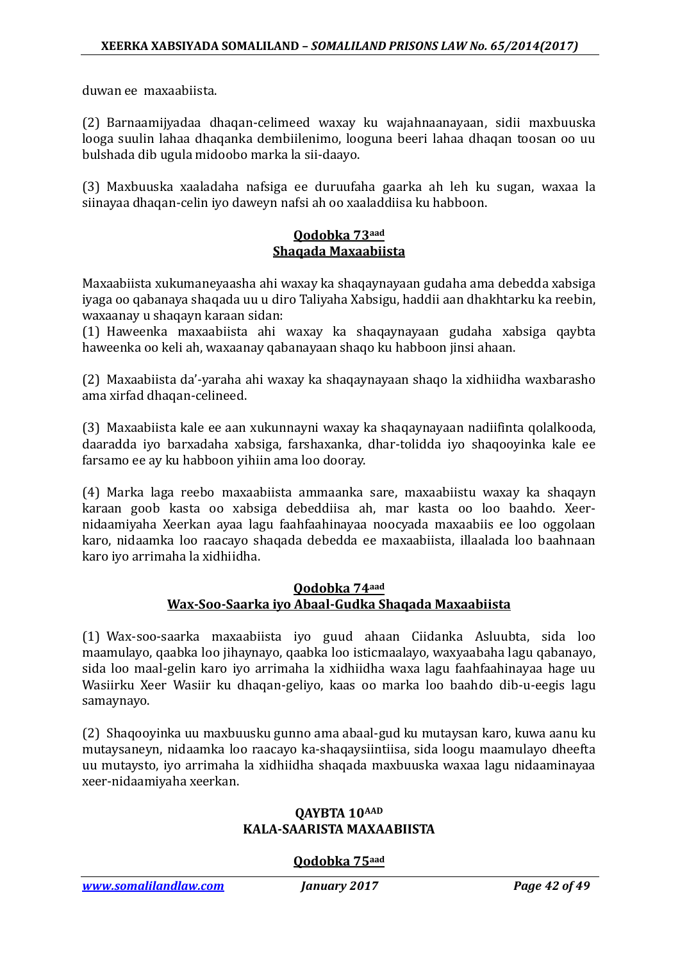duwan ee maxaabiista.

(2) Barnaamijyadaa dhaqan-celimeed waxay ku wajahnaanayaan, sidii maxbuuska looga suulin lahaa dhaqanka dembiilenimo, looguna beeri lahaa dhaqan toosan oo uu bulshada dib ugula midoobo marka la sii-daayo.

(3) Maxbuuska xaaladaha nafsiga ee duruufaha gaarka ah leh ku sugan, waxaa la siinayaa dhaqan-celin iyo daweyn nafsi ah oo xaaladdiisa ku habboon.

#### **Qodobka 73aad Shaqada Maxaabiista**

Maxaabiista xukumaneyaasha ahi waxay ka shaqaynayaan gudaha ama debedda xabsiga iyaga oo qabanaya shaqada uu u diro Taliyaha Xabsigu, haddii aan dhakhtarku ka reebin, waxaanay u shaqayn karaan sidan:

(1) Haweenka maxaabiista ahi waxay ka shaqaynayaan gudaha xabsiga qaybta haweenka oo keli ah, waxaanay qabanayaan shaqo ku habboon jinsi ahaan.

(2) Maxaabiista da'-yaraha ahi waxay ka shaqaynayaan shaqo la xidhiidha waxbarasho ama xirfad dhaqan-celineed.

(3) Maxaabiista kale ee aan xukunnayni waxay ka shaqaynayaan nadiifinta qolalkooda, daaradda iyo barxadaha xabsiga, farshaxanka, dhar-tolidda iyo shaqooyinka kale ee farsamo ee ay ku habboon yihiin ama loo dooray.

(4) Marka laga reebo maxaabiista ammaanka sare, maxaabiistu waxay ka shaqayn karaan goob kasta oo xabsiga debeddiisa ah, mar kasta oo loo baahdo. Xeernidaamiyaha Xeerkan ayaa lagu faahfaahinayaa noocyada maxaabiis ee loo oggolaan karo, nidaamka loo raacayo shaqada debedda ee maxaabiista, illaalada loo baahnaan karo iyo arrimaha la xidhiidha.

### **Qodobka 74aad Wax-Soo-Saarka iyo Abaal-Gudka Shaqada Maxaabiista**

(1) Wax-soo-saarka maxaabiista iyo guud ahaan Ciidanka Asluubta, sida loo maamulayo, qaabka loo jihaynayo, qaabka loo isticmaalayo, waxyaabaha lagu qabanayo, sida loo maal-gelin karo iyo arrimaha la xidhiidha waxa lagu faahfaahinayaa hage uu Wasiirku Xeer Wasiir ku dhaqan-geliyo, kaas oo marka loo baahdo dib-u-eegis lagu samaynayo.

(2) Shaqooyinka uu maxbuusku gunno ama abaal-gud ku mutaysan karo, kuwa aanu ku mutaysaneyn, nidaamka loo raacayo ka-shaqaysiintiisa, sida loogu maamulayo dheefta uu mutaysto, iyo arrimaha la xidhiidha shaqada maxbuuska waxaa lagu nidaaminayaa xeer-nidaamiyaha xeerkan.

#### **QAYBTA 10AAD KALA-SAARISTA MAXAABIISTA**

### **Qodobka 75aad**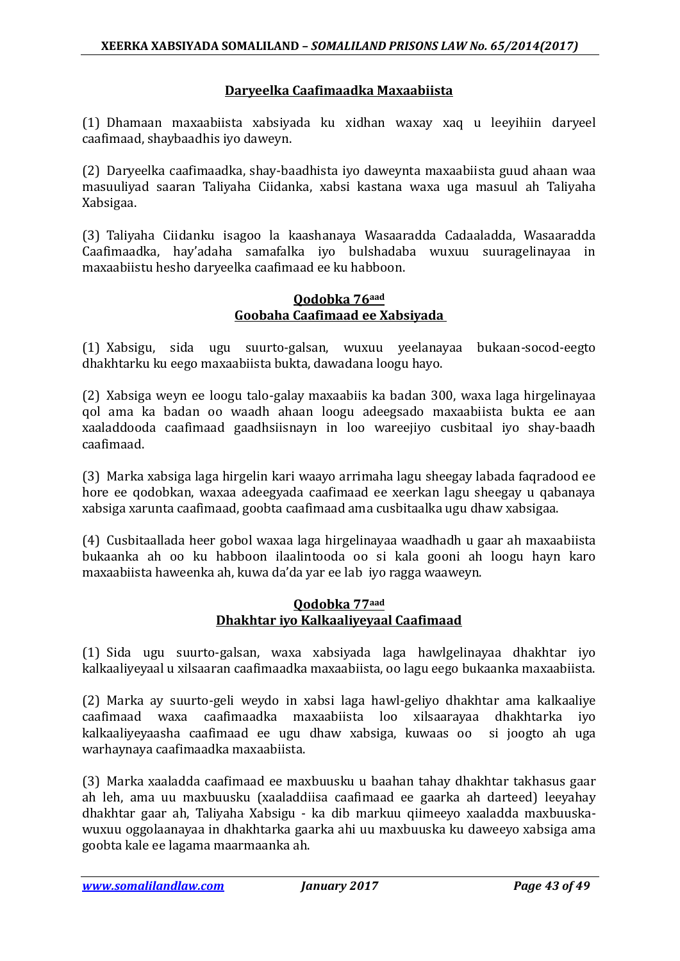### **Daryeelka Caafimaadka Maxaabiista**

(1) Dhamaan maxaabiista xabsiyada ku xidhan waxay xaq u leeyihiin daryeel caafimaad, shaybaadhis iyo daweyn.

(2) Daryeelka caafimaadka, shay-baadhista iyo daweynta maxaabiista guud ahaan waa masuuliyad saaran Taliyaha Ciidanka, xabsi kastana waxa uga masuul ah Taliyaha Xabsigaa.

(3) Taliyaha Ciidanku isagoo la kaashanaya Wasaaradda Cadaaladda, Wasaaradda Caafimaadka, hay'adaha samafalka iyo bulshadaba wuxuu suuragelinayaa in maxaabiistu hesho daryeelka caafimaad ee ku habboon.

#### **Qodobka 76aad Goobaha Caafimaad ee Xabsiyada**

(1) Xabsigu, sida ugu suurto-galsan, wuxuu yeelanayaa bukaan-socod-eegto dhakhtarku ku eego maxaabiista bukta, dawadana loogu hayo.

(2) Xabsiga weyn ee loogu talo-galay maxaabiis ka badan 300, waxa laga hirgelinayaa qol ama ka badan oo waadh ahaan loogu adeegsado maxaabiista bukta ee aan xaaladdooda caafimaad gaadhsiisnayn in loo wareejiyo cusbitaal iyo shay-baadh caafimaad.

(3) Marka xabsiga laga hirgelin kari waayo arrimaha lagu sheegay labada faqradood ee hore ee qodobkan, waxaa adeegyada caafimaad ee xeerkan lagu sheegay u qabanaya xabsiga xarunta caafimaad, goobta caafimaad ama cusbitaalka ugu dhaw xabsigaa.

(4) Cusbitaallada heer gobol waxaa laga hirgelinayaa waadhadh u gaar ah maxaabiista bukaanka ah oo ku habboon ilaalintooda oo si kala gooni ah loogu hayn karo maxaabiista haweenka ah, kuwa da'da yar ee lab iyo ragga waaweyn.

### **Qodobka 77aad Dhakhtar iyo Kalkaaliyeyaal Caafimaad**

(1) Sida ugu suurto-galsan, waxa xabsiyada laga hawlgelinayaa dhakhtar iyo kalkaaliyeyaal u xilsaaran caafimaadka maxaabiista, oo lagu eego bukaanka maxaabiista.

(2) Marka ay suurto-geli weydo in xabsi laga hawl-geliyo dhakhtar ama kalkaaliye caafimaad waxa caafimaadka maxaabiista loo xilsaarayaa dhakhtarka iyo kalkaaliyeyaasha caafimaad ee ugu dhaw xabsiga, kuwaas oo si joogto ah uga warhaynaya caafimaadka maxaabiista.

(3) Marka xaaladda caafimaad ee maxbuusku u baahan tahay dhakhtar takhasus gaar ah leh, ama uu maxbuusku (xaaladdiisa caafimaad ee gaarka ah darteed) leeyahay dhakhtar gaar ah, Taliyaha Xabsigu - ka dib markuu qiimeeyo xaaladda maxbuuskawuxuu oggolaanayaa in dhakhtarka gaarka ahi uu maxbuuska ku daweeyo xabsiga ama goobta kale ee lagama maarmaanka ah.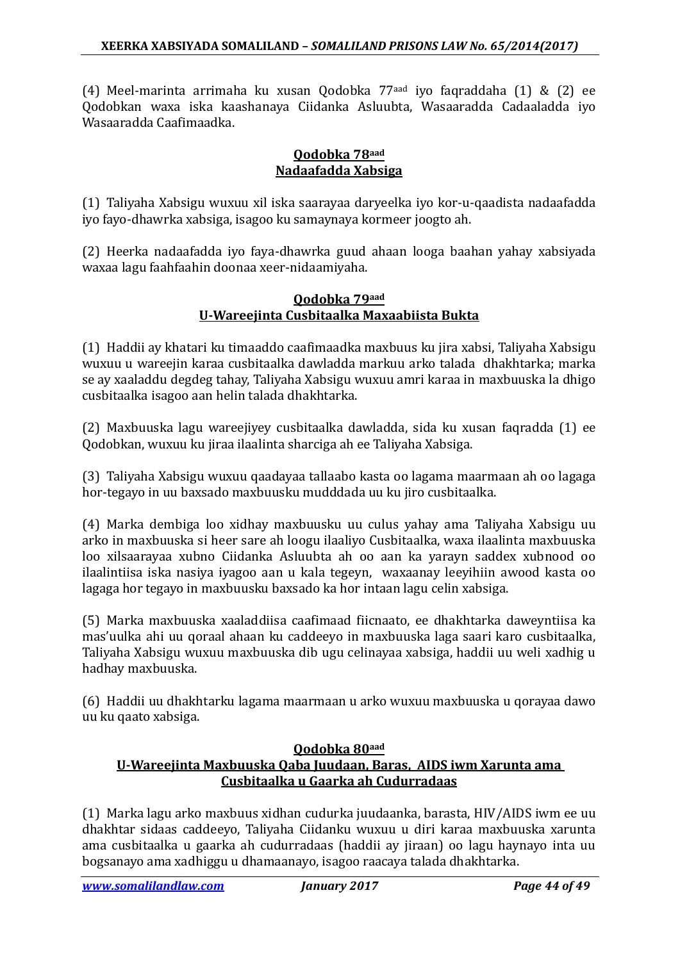(4) Meel-marinta arrimaha ku xusan Qodobka 77aad iyo faqraddaha (1) & (2) ee Qodobkan waxa iska kaashanaya Ciidanka Asluubta, Wasaaradda Cadaaladda iyo Wasaaradda Caafimaadka.

### **Qodobka 78aad Nadaafadda Xabsiga**

(1) Taliyaha Xabsigu wuxuu xil iska saarayaa daryeelka iyo kor-u-qaadista nadaafadda iyo fayo-dhawrka xabsiga, isagoo ku samaynaya kormeer joogto ah.

(2) Heerka nadaafadda iyo faya-dhawrka guud ahaan looga baahan yahay xabsiyada waxaa lagu faahfaahin doonaa xeer-nidaamiyaha.

### **Qodobka 79aad U-Wareejinta Cusbitaalka Maxaabiista Bukta**

(1) Haddii ay khatari ku timaaddo caafimaadka maxbuus ku jira xabsi, Taliyaha Xabsigu wuxuu u wareejin karaa cusbitaalka dawladda markuu arko talada dhakhtarka; marka se ay xaaladdu degdeg tahay, Taliyaha Xabsigu wuxuu amri karaa in maxbuuska la dhigo cusbitaalka isagoo aan helin talada dhakhtarka.

(2) Maxbuuska lagu wareejiyey cusbitaalka dawladda, sida ku xusan faqradda (1) ee Qodobkan, wuxuu ku jiraa ilaalinta sharciga ah ee Taliyaha Xabsiga.

(3) Taliyaha Xabsigu wuxuu qaadayaa tallaabo kasta oo lagama maarmaan ah oo lagaga hor-tegayo in uu baxsado maxbuusku mudddada uu ku jiro cusbitaalka.

(4) Marka dembiga loo xidhay maxbuusku uu culus yahay ama Taliyaha Xabsigu uu arko in maxbuuska si heer sare ah loogu ilaaliyo Cusbitaalka, waxa ilaalinta maxbuuska loo xilsaarayaa xubno Ciidanka Asluubta ah oo aan ka yarayn saddex xubnood oo ilaalintiisa iska nasiya iyagoo aan u kala tegeyn, waxaanay leeyihiin awood kasta oo lagaga hor tegayo in maxbuusku baxsado ka hor intaan lagu celin xabsiga.

(5) Marka maxbuuska xaaladdiisa caafimaad fiicnaato, ee dhakhtarka daweyntiisa ka mas'uulka ahi uu qoraal ahaan ku caddeeyo in maxbuuska laga saari karo cusbitaalka, Taliyaha Xabsigu wuxuu maxbuuska dib ugu celinayaa xabsiga, haddii uu weli xadhig u hadhay maxbuuska.

(6) Haddii uu dhakhtarku lagama maarmaan u arko wuxuu maxbuuska u qorayaa dawo uu ku qaato xabsiga.

### **Qodobka 80aad U-Wareejinta Maxbuuska Qaba Juudaan, Baras, AIDS iwm Xarunta ama Cusbitaalka u Gaarka ah Cudurradaas**

(1) Marka lagu arko maxbuus xidhan cudurka juudaanka, barasta, HIV/AIDS iwm ee uu dhakhtar sidaas caddeeyo, Taliyaha Ciidanku wuxuu u diri karaa maxbuuska xarunta ama cusbitaalka u gaarka ah cudurradaas (haddii ay jiraan) oo lagu haynayo inta uu bogsanayo ama xadhiggu u dhamaanayo, isagoo raacaya talada dhakhtarka.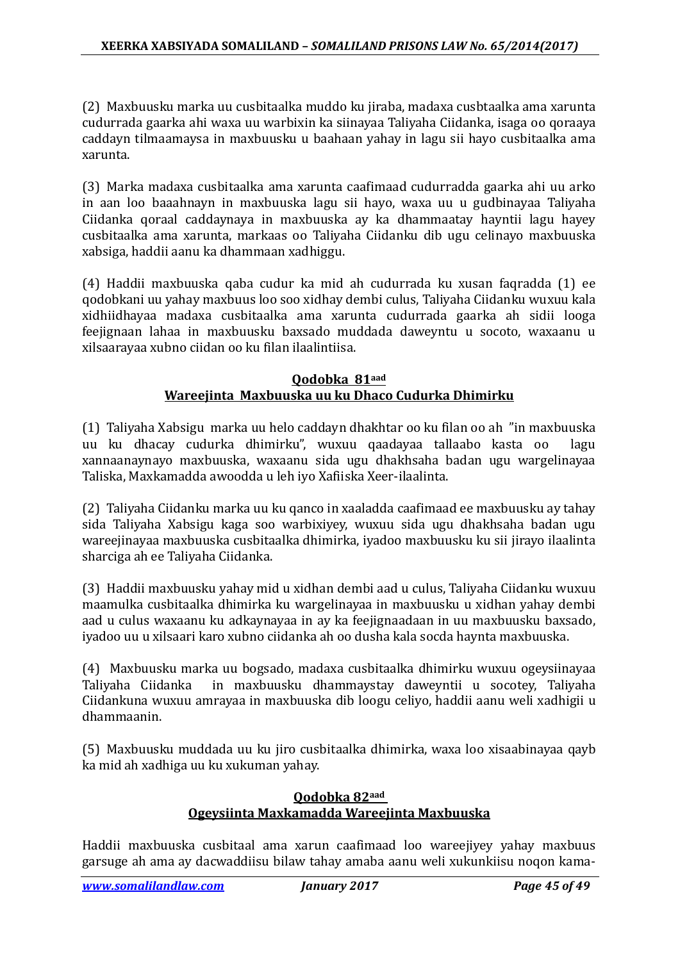(2) Maxbuusku marka uu cusbitaalka muddo ku jiraba, madaxa cusbtaalka ama xarunta cudurrada gaarka ahi waxa uu warbixin ka siinayaa Taliyaha Ciidanka, isaga oo qoraaya caddayn tilmaamaysa in maxbuusku u baahaan yahay in lagu sii hayo cusbitaalka ama xarunta.

(3) Marka madaxa cusbitaalka ama xarunta caafimaad cudurradda gaarka ahi uu arko in aan loo baaahnayn in maxbuuska lagu sii hayo, waxa uu u gudbinayaa Taliyaha Ciidanka qoraal caddaynaya in maxbuuska ay ka dhammaatay hayntii lagu hayey cusbitaalka ama xarunta, markaas oo Taliyaha Ciidanku dib ugu celinayo maxbuuska xabsiga, haddii aanu ka dhammaan xadhiggu.

(4) Haddii maxbuuska qaba cudur ka mid ah cudurrada ku xusan faqradda (1) ee qodobkani uu yahay maxbuus loo soo xidhay dembi culus, Taliyaha Ciidanku wuxuu kala xidhiidhayaa madaxa cusbitaalka ama xarunta cudurrada gaarka ah sidii looga feejignaan lahaa in maxbuusku baxsado muddada daweyntu u socoto, waxaanu u xilsaarayaa xubno ciidan oo ku filan ilaalintiisa.

#### **Qodobka 81aad Wareejinta Maxbuuska uu ku Dhaco Cudurka Dhimirku**

(1) Taliyaha Xabsigu marka uu helo caddayn dhakhtar oo ku filan oo ah "in maxbuuska uu ku dhacay cudurka dhimirku", wuxuu qaadayaa tallaabo kasta oo xannaanaynayo maxbuuska, waxaanu sida ugu dhakhsaha badan ugu wargelinayaa Taliska, Maxkamadda awoodda u leh iyo Xafiiska Xeer-ilaalinta.

(2) Taliyaha Ciidanku marka uu ku qanco in xaaladda caafimaad ee maxbuusku ay tahay sida Taliyaha Xabsigu kaga soo warbixiyey, wuxuu sida ugu dhakhsaha badan ugu wareejinayaa maxbuuska cusbitaalka dhimirka, iyadoo maxbuusku ku sii jirayo ilaalinta sharciga ah ee Taliyaha Ciidanka.

(3) Haddii maxbuusku yahay mid u xidhan dembi aad u culus, Taliyaha Ciidanku wuxuu maamulka cusbitaalka dhimirka ku wargelinayaa in maxbuusku u xidhan yahay dembi aad u culus waxaanu ku adkaynayaa in ay ka feejignaadaan in uu maxbuusku baxsado, iyadoo uu u xilsaari karo xubno ciidanka ah oo dusha kala socda haynta maxbuuska.

(4) Maxbuusku marka uu bogsado, madaxa cusbitaalka dhimirku wuxuu ogeysiinayaa in maxbuusku dhammaystay daweyntii u socotey, Taliyaha Ciidankuna wuxuu amrayaa in maxbuuska dib loogu celiyo, haddii aanu weli xadhigii u dhammaanin.

(5) Maxbuusku muddada uu ku jiro cusbitaalka dhimirka, waxa loo xisaabinayaa qayb ka mid ah xadhiga uu ku xukuman yahay.

### **Qodobka 82aad Ogeysiinta Maxkamadda Wareejinta Maxbuuska**

Haddii maxbuuska cusbitaal ama xarun caafimaad loo wareejiyey yahay maxbuus garsuge ah ama ay dacwaddiisu bilaw tahay amaba aanu weli xukunkiisu noqon kama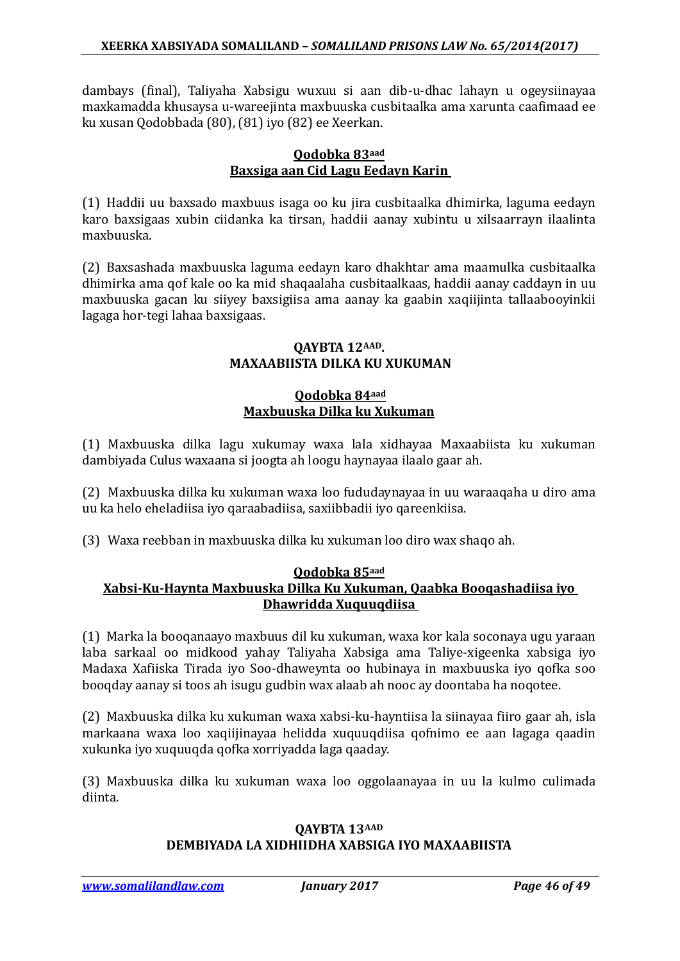dambays (final), Taliyaha Xabsigu wuxuu si aan dib-u-dhac lahayn u ogeysiinayaa maxkamadda khusaysa u-wareejinta maxbuuska cusbitaalka ama xarunta caafimaad ee ku xusan Qodobbada (80), (81) iyo (82) ee Xeerkan.

### **Qodobka 83aad Baxsiga aan Cid Lagu Eedayn Karin**

(1) Haddii uu baxsado maxbuus isaga oo ku jira cusbitaalka dhimirka, laguma eedayn karo baxsigaas xubin ciidanka ka tirsan, haddii aanay xubintu u xilsaarrayn ilaalinta maxbuuska.

(2) Baxsashada maxbuuska laguma eedayn karo dhakhtar ama maamulka cusbitaalka dhimirka ama qof kale oo ka mid shaqaalaha cusbitaalkaas, haddii aanay caddayn in uu maxbuuska gacan ku siiyey baxsigiisa ama aanay ka gaabin xaqiijinta tallaabooyinkii lagaga hor-tegi lahaa baxsigaas.

### **QAYBTA 12AAD. MAXAABIISTA DILKA KU XUKUMAN**

### **Qodobka 84aad Maxbuuska Dilka ku Xukuman**

(1) Maxbuuska dilka lagu xukumay waxa lala xidhayaa Maxaabiista ku xukuman dambiyada Culus waxaana si joogta ah loogu haynayaa ilaalo gaar ah.

(2) Maxbuuska dilka ku xukuman waxa loo fududaynayaa in uu waraaqaha u diro ama uu ka helo eheladiisa iyo qaraabadiisa, saxiibbadii iyo qareenkiisa.

(3) Waxa reebban in maxbuuska dilka ku xukuman loo diro wax shaqo ah.

### **Qodobka 85aad**

### **Xabsi-Ku-Haynta Maxbuuska Dilka Ku Xukuman, Qaabka Booqashadiisa iyo Dhawridda Xuquuqdiisa**

(1) Marka la booqanaayo maxbuus dil ku xukuman, waxa kor kala soconaya ugu yaraan laba sarkaal oo midkood yahay Taliyaha Xabsiga ama Taliye-xigeenka xabsiga iyo Madaxa Xafiiska Tirada iyo Soo-dhaweynta oo hubinaya in maxbuuska iyo qofka soo booqday aanay si toos ah isugu gudbin wax alaab ah nooc ay doontaba ha noqotee.

(2) Maxbuuska dilka ku xukuman waxa xabsi-ku-hayntiisa la siinayaa fiiro gaar ah, isla markaana waxa loo xaqiijinayaa helidda xuquuqdiisa qofnimo ee aan lagaga qaadin xukunka iyo xuquuqda qofka xorriyadda laga qaaday.

(3) Maxbuuska dilka ku xukuman waxa loo oggolaanayaa in uu la kulmo culimada diinta.

### **QAYBTA 13AAD DEMBIYADA LA XIDHIIDHA XABSIGA IYO MAXAABIISTA**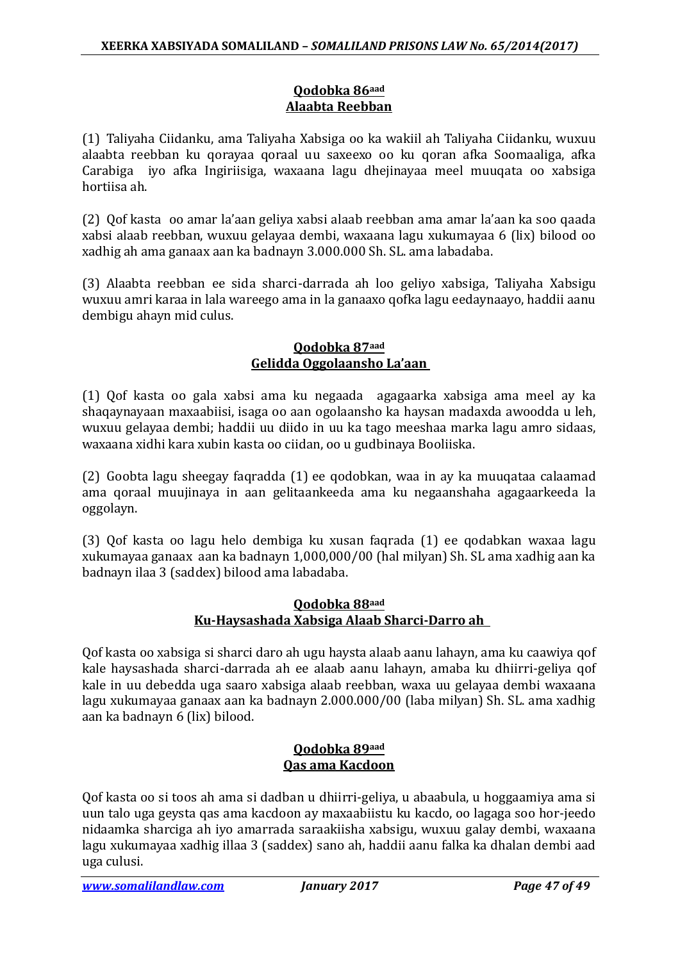### **Qodobka 86aad Alaabta Reebban**

(1) Taliyaha Ciidanku, ama Taliyaha Xabsiga oo ka wakiil ah Taliyaha Ciidanku, wuxuu alaabta reebban ku qorayaa qoraal uu saxeexo oo ku qoran afka Soomaaliga, afka Carabiga iyo afka Ingiriisiga, waxaana lagu dhejinayaa meel muuqata oo xabsiga hortiisa ah.

(2) Qof kasta oo amar la'aan geliya xabsi alaab reebban ama amar la'aan ka soo qaada xabsi alaab reebban, wuxuu gelayaa dembi, waxaana lagu xukumayaa 6 (lix) bilood oo xadhig ah ama ganaax aan ka badnayn 3.000.000 Sh. SL. ama labadaba.

(3) Alaabta reebban ee sida sharci-darrada ah loo geliyo xabsiga, Taliyaha Xabsigu wuxuu amri karaa in lala wareego ama in la ganaaxo qofka lagu eedaynaayo, haddii aanu dembigu ahayn mid culus.

### **Qodobka 87aad Gelidda Oggolaansho La'aan**

(1) Qof kasta oo gala xabsi ama ku negaada agagaarka xabsiga ama meel ay ka shaqaynayaan maxaabiisi, isaga oo aan ogolaansho ka haysan madaxda awoodda u leh, wuxuu gelayaa dembi; haddii uu diido in uu ka tago meeshaa marka lagu amro sidaas, waxaana xidhi kara xubin kasta oo ciidan, oo u gudbinaya Booliiska.

(2) Goobta lagu sheegay faqradda (1) ee qodobkan, waa in ay ka muuqataa calaamad ama qoraal muujinaya in aan gelitaankeeda ama ku negaanshaha agagaarkeeda la oggolayn.

(3) Qof kasta oo lagu helo dembiga ku xusan faqrada (1) ee qodabkan waxaa lagu xukumayaa ganaax aan ka badnayn 1,000,000/00 (hal milyan) Sh. SL ama xadhig aan ka badnayn ilaa 3 (saddex) bilood ama labadaba.

### **Qodobka 88aad Ku-Haysashada Xabsiga Alaab Sharci-Darro ah**

Qof kasta oo xabsiga si sharci daro ah ugu haysta alaab aanu lahayn, ama ku caawiya qof kale haysashada sharci-darrada ah ee alaab aanu lahayn, amaba ku dhiirri-geliya qof kale in uu debedda uga saaro xabsiga alaab reebban, waxa uu gelayaa dembi waxaana lagu xukumayaa ganaax aan ka badnayn 2.000.000/00 (laba milyan) Sh. SL. ama xadhig aan ka badnayn 6 (lix) bilood.

### **Qodobka 89aad Qas ama Kacdoon**

Qof kasta oo si toos ah ama si dadban u dhiirri-geliya, u abaabula, u hoggaamiya ama si uun talo uga geysta qas ama kacdoon ay maxaabiistu ku kacdo, oo lagaga soo hor-jeedo nidaamka sharciga ah iyo amarrada saraakiisha xabsigu, wuxuu galay dembi, waxaana lagu xukumayaa xadhig illaa 3 (saddex) sano ah, haddii aanu falka ka dhalan dembi aad uga culusi.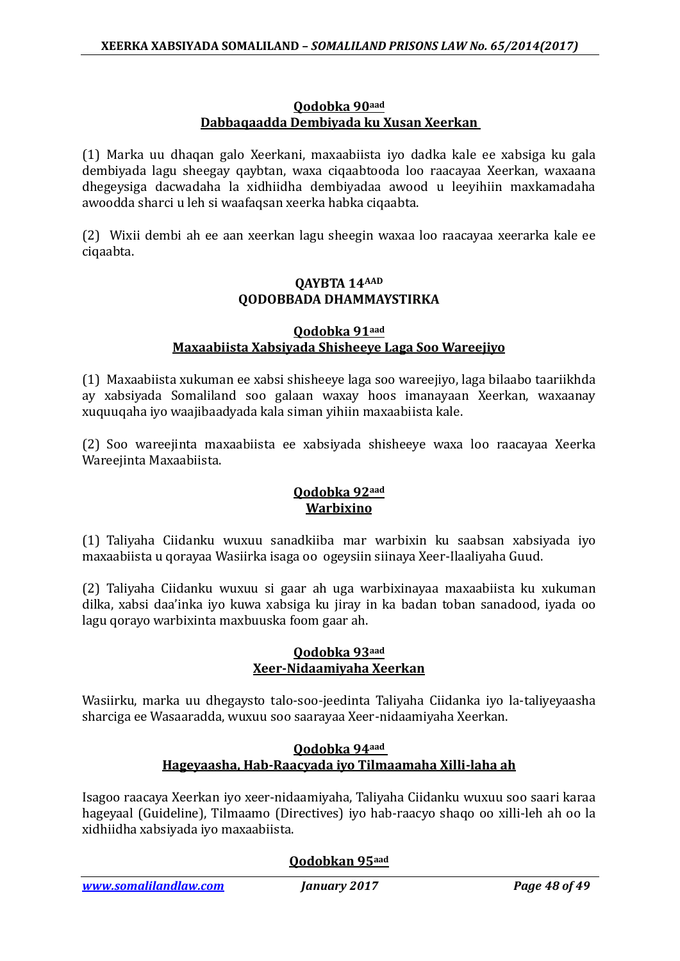#### **Qodobka 90aad Dabbaqaadda Dembiyada ku Xusan Xeerkan**

(1) Marka uu dhaqan galo Xeerkani, maxaabiista iyo dadka kale ee xabsiga ku gala dembiyada lagu sheegay qaybtan, waxa ciqaabtooda loo raacayaa Xeerkan, waxaana dhegeysiga dacwadaha la xidhiidha dembiyadaa awood u leeyihiin maxkamadaha awoodda sharci u leh si waafaqsan xeerka habka ciqaabta.

(2) Wixii dembi ah ee aan xeerkan lagu sheegin waxaa loo raacayaa xeerarka kale ee ciqaabta.

### **QAYBTA 14AAD QODOBBADA DHAMMAYSTIRKA**

#### **Qodobka 91aad Maxaabiista Xabsiyada Shisheeye Laga Soo Wareejiyo**

(1) Maxaabiista xukuman ee xabsi shisheeye laga soo wareejiyo, laga bilaabo taariikhda ay xabsiyada Somaliland soo galaan waxay hoos imanayaan Xeerkan, waxaanay xuquuqaha iyo waajibaadyada kala siman yihiin maxaabiista kale.

(2) Soo wareejinta maxaabiista ee xabsiyada shisheeye waxa loo raacayaa Xeerka Wareejinta Maxaabiista.

### **Qodobka 92aad Warbixino**

(1) Taliyaha Ciidanku wuxuu sanadkiiba mar warbixin ku saabsan xabsiyada iyo maxaabiista u qorayaa Wasiirka isaga oo ogeysiin siinaya Xeer-Ilaaliyaha Guud.

(2) Taliyaha Ciidanku wuxuu si gaar ah uga warbixinayaa maxaabiista ku xukuman dilka, xabsi daa'inka iyo kuwa xabsiga ku jiray in ka badan toban sanadood, iyada oo lagu qorayo warbixinta maxbuuska foom gaar ah.

### **Qodobka 93aad Xeer-Nidaamiyaha Xeerkan**

Wasiirku, marka uu dhegaysto talo-soo-jeedinta Taliyaha Ciidanka iyo la-taliyeyaasha sharciga ee Wasaaradda, wuxuu soo saarayaa Xeer-nidaamiyaha Xeerkan.

### **Qodobka 94aad Hageyaasha, Hab-Raacyada iyo Tilmaamaha Xilli-laha ah**

Isagoo raacaya Xeerkan iyo xeer-nidaamiyaha, Taliyaha Ciidanku wuxuu soo saari karaa hageyaal (Guideline), Tilmaamo (Directives) iyo hab-raacyo shaqo oo xilli-leh ah oo la xidhiidha xabsiyada iyo maxaabiista.

### **Qodobkan 95aad**